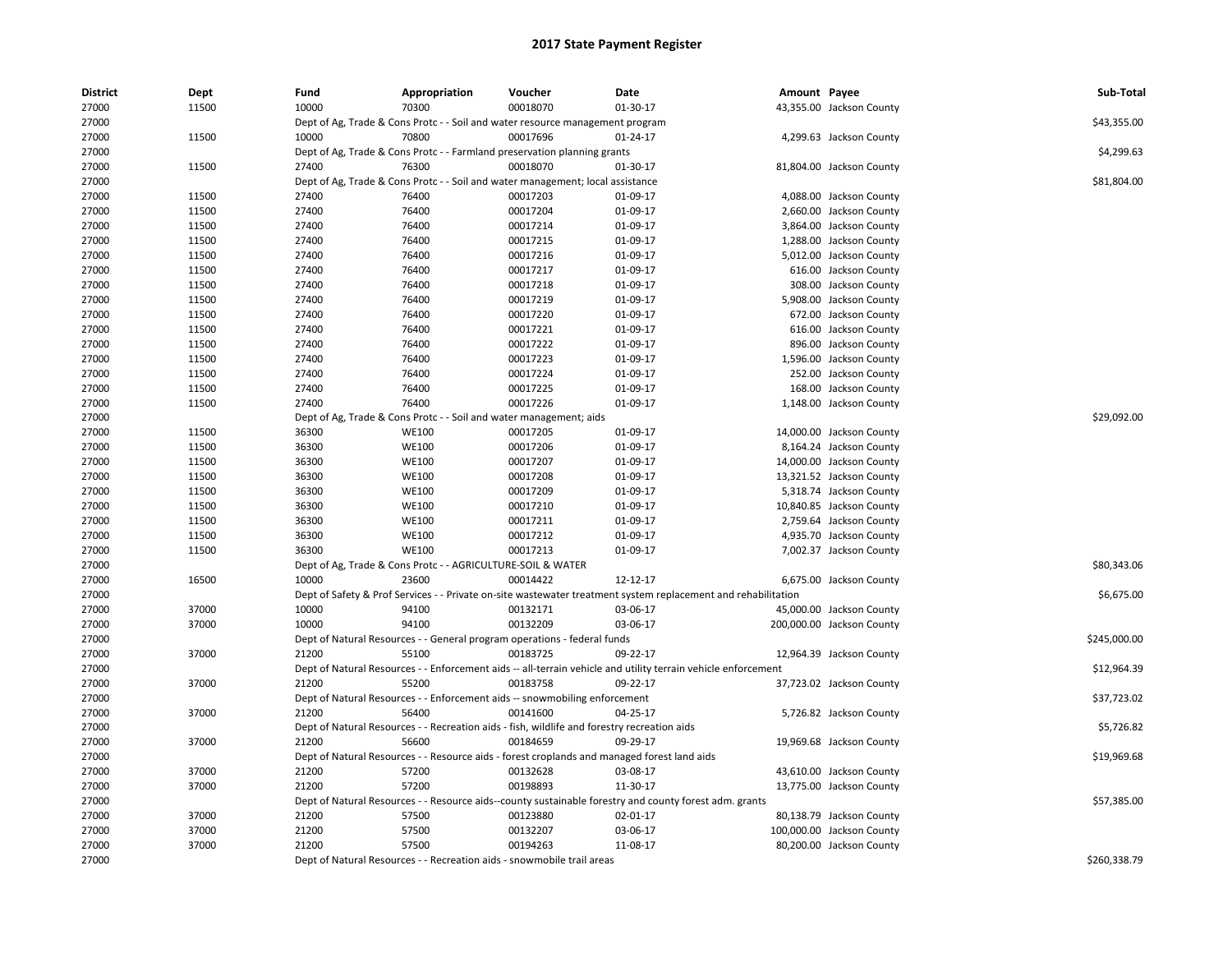| <b>District</b> | Dept  | Fund  | Appropriation                                                                               | Voucher  | Date                                                                                                          | Amount Payee |                           | Sub-Total    |
|-----------------|-------|-------|---------------------------------------------------------------------------------------------|----------|---------------------------------------------------------------------------------------------------------------|--------------|---------------------------|--------------|
| 27000           | 11500 | 10000 | 70300                                                                                       | 00018070 | 01-30-17                                                                                                      |              | 43,355.00 Jackson County  |              |
| 27000           |       |       | Dept of Ag, Trade & Cons Protc - - Soil and water resource management program               |          |                                                                                                               |              |                           | \$43,355.00  |
| 27000           | 11500 | 10000 | 70800                                                                                       | 00017696 | $01 - 24 - 17$                                                                                                |              | 4,299.63 Jackson County   |              |
| 27000           |       |       | Dept of Ag, Trade & Cons Protc - - Farmland preservation planning grants                    |          |                                                                                                               |              |                           | \$4,299.63   |
| 27000           | 11500 | 27400 | 76300                                                                                       | 00018070 | 01-30-17                                                                                                      |              | 81,804.00 Jackson County  |              |
| 27000           |       |       | Dept of Ag, Trade & Cons Protc - - Soil and water management; local assistance              |          |                                                                                                               |              |                           | \$81,804.00  |
| 27000           | 11500 | 27400 | 76400                                                                                       | 00017203 | 01-09-17                                                                                                      |              | 4,088.00 Jackson County   |              |
| 27000           | 11500 | 27400 | 76400                                                                                       | 00017204 | 01-09-17                                                                                                      |              | 2,660.00 Jackson County   |              |
| 27000           | 11500 | 27400 | 76400                                                                                       | 00017214 | 01-09-17                                                                                                      |              | 3,864.00 Jackson County   |              |
| 27000           | 11500 | 27400 | 76400                                                                                       | 00017215 | 01-09-17                                                                                                      |              | 1,288.00 Jackson County   |              |
| 27000           | 11500 | 27400 | 76400                                                                                       | 00017216 | 01-09-17                                                                                                      |              | 5,012.00 Jackson County   |              |
| 27000           | 11500 | 27400 | 76400                                                                                       | 00017217 | 01-09-17                                                                                                      |              | 616.00 Jackson County     |              |
| 27000           | 11500 | 27400 | 76400                                                                                       | 00017218 | 01-09-17                                                                                                      |              | 308.00 Jackson County     |              |
| 27000           | 11500 | 27400 | 76400                                                                                       | 00017219 | 01-09-17                                                                                                      |              | 5,908.00 Jackson County   |              |
| 27000           | 11500 | 27400 | 76400                                                                                       | 00017220 | 01-09-17                                                                                                      |              | 672.00 Jackson County     |              |
| 27000           | 11500 | 27400 | 76400                                                                                       | 00017221 | 01-09-17                                                                                                      |              | 616.00 Jackson County     |              |
| 27000           | 11500 | 27400 | 76400                                                                                       | 00017222 | 01-09-17                                                                                                      |              | 896.00 Jackson County     |              |
| 27000           | 11500 | 27400 | 76400                                                                                       | 00017223 | 01-09-17                                                                                                      |              | 1,596.00 Jackson County   |              |
| 27000           | 11500 | 27400 | 76400                                                                                       | 00017224 | 01-09-17                                                                                                      |              | 252.00 Jackson County     |              |
| 27000           | 11500 | 27400 | 76400                                                                                       | 00017225 | 01-09-17                                                                                                      |              | 168.00 Jackson County     |              |
| 27000           | 11500 | 27400 | 76400                                                                                       | 00017226 | 01-09-17                                                                                                      |              | 1,148.00 Jackson County   |              |
| 27000           |       |       | Dept of Ag, Trade & Cons Protc - - Soil and water management; aids                          |          |                                                                                                               |              |                           | \$29,092.00  |
| 27000           | 11500 | 36300 | <b>WE100</b>                                                                                | 00017205 | 01-09-17                                                                                                      |              | 14,000.00 Jackson County  |              |
| 27000           | 11500 | 36300 | <b>WE100</b>                                                                                | 00017206 | 01-09-17                                                                                                      |              | 8,164.24 Jackson County   |              |
| 27000           | 11500 | 36300 | <b>WE100</b>                                                                                | 00017207 | 01-09-17                                                                                                      |              | 14,000.00 Jackson County  |              |
| 27000           | 11500 | 36300 | <b>WE100</b>                                                                                | 00017208 | 01-09-17                                                                                                      |              | 13,321.52 Jackson County  |              |
| 27000           | 11500 | 36300 | <b>WE100</b>                                                                                | 00017209 | 01-09-17                                                                                                      |              | 5,318.74 Jackson County   |              |
| 27000           | 11500 | 36300 | <b>WE100</b>                                                                                | 00017210 | 01-09-17                                                                                                      |              | 10,840.85 Jackson County  |              |
| 27000           | 11500 | 36300 | <b>WE100</b>                                                                                | 00017211 | 01-09-17                                                                                                      |              | 2,759.64 Jackson County   |              |
| 27000           | 11500 | 36300 | <b>WE100</b>                                                                                | 00017212 | 01-09-17                                                                                                      |              | 4,935.70 Jackson County   |              |
| 27000           | 11500 | 36300 | <b>WE100</b>                                                                                | 00017213 | 01-09-17                                                                                                      |              | 7,002.37 Jackson County   |              |
| 27000           |       |       | Dept of Ag, Trade & Cons Protc - - AGRICULTURE-SOIL & WATER                                 |          |                                                                                                               |              |                           | \$80,343.06  |
| 27000           | 16500 | 10000 | 23600                                                                                       | 00014422 | 12-12-17                                                                                                      |              | 6,675.00 Jackson County   |              |
| 27000           |       |       |                                                                                             |          | Dept of Safety & Prof Services - - Private on-site wastewater treatment system replacement and rehabilitation |              |                           | \$6,675.00   |
| 27000           | 37000 | 10000 | 94100                                                                                       | 00132171 | 03-06-17                                                                                                      |              | 45,000.00 Jackson County  |              |
| 27000           | 37000 | 10000 | 94100                                                                                       | 00132209 | 03-06-17                                                                                                      |              | 200,000.00 Jackson County |              |
| 27000           |       |       | Dept of Natural Resources - - General program operations - federal funds                    |          |                                                                                                               |              |                           | \$245,000.00 |
| 27000           | 37000 | 21200 | 55100                                                                                       | 00183725 | 09-22-17                                                                                                      |              | 12,964.39 Jackson County  |              |
| 27000           |       |       |                                                                                             |          | Dept of Natural Resources - - Enforcement aids -- all-terrain vehicle and utility terrain vehicle enforcement |              |                           | \$12,964.39  |
| 27000           | 37000 | 21200 | 55200                                                                                       | 00183758 | 09-22-17                                                                                                      |              | 37,723.02 Jackson County  |              |
| 27000           |       |       | Dept of Natural Resources - - Enforcement aids -- snowmobiling enforcement                  |          |                                                                                                               |              |                           | \$37,723.02  |
| 27000           | 37000 | 21200 | 56400                                                                                       | 00141600 | 04-25-17                                                                                                      |              | 5,726.82 Jackson County   |              |
| 27000           |       |       | Dept of Natural Resources - - Recreation aids - fish, wildlife and forestry recreation aids |          |                                                                                                               |              |                           | \$5,726.82   |
| 27000           | 37000 | 21200 | 56600                                                                                       | 00184659 | 09-29-17                                                                                                      |              | 19,969.68 Jackson County  |              |
| 27000           |       |       |                                                                                             |          | Dept of Natural Resources - - Resource aids - forest croplands and managed forest land aids                   |              |                           | \$19,969.68  |
| 27000           | 37000 | 21200 | 57200                                                                                       | 00132628 | 03-08-17                                                                                                      |              | 43,610.00 Jackson County  |              |
| 27000           | 37000 | 21200 | 57200                                                                                       | 00198893 | 11-30-17                                                                                                      |              | 13,775.00 Jackson County  |              |
| 27000           |       |       |                                                                                             |          | Dept of Natural Resources - - Resource aids--county sustainable forestry and county forest adm. grants        |              |                           | \$57,385.00  |
| 27000           | 37000 | 21200 | 57500                                                                                       | 00123880 | 02-01-17                                                                                                      |              | 80,138.79 Jackson County  |              |
| 27000           | 37000 | 21200 | 57500                                                                                       | 00132207 | 03-06-17                                                                                                      |              | 100,000.00 Jackson County |              |
| 27000           | 37000 | 21200 | 57500                                                                                       | 00194263 | 11-08-17                                                                                                      |              | 80,200.00 Jackson County  |              |
|                 |       |       |                                                                                             |          |                                                                                                               |              |                           |              |
| 27000           |       |       | Dept of Natural Resources - - Recreation aids - snowmobile trail areas                      |          |                                                                                                               |              |                           | \$260,338.79 |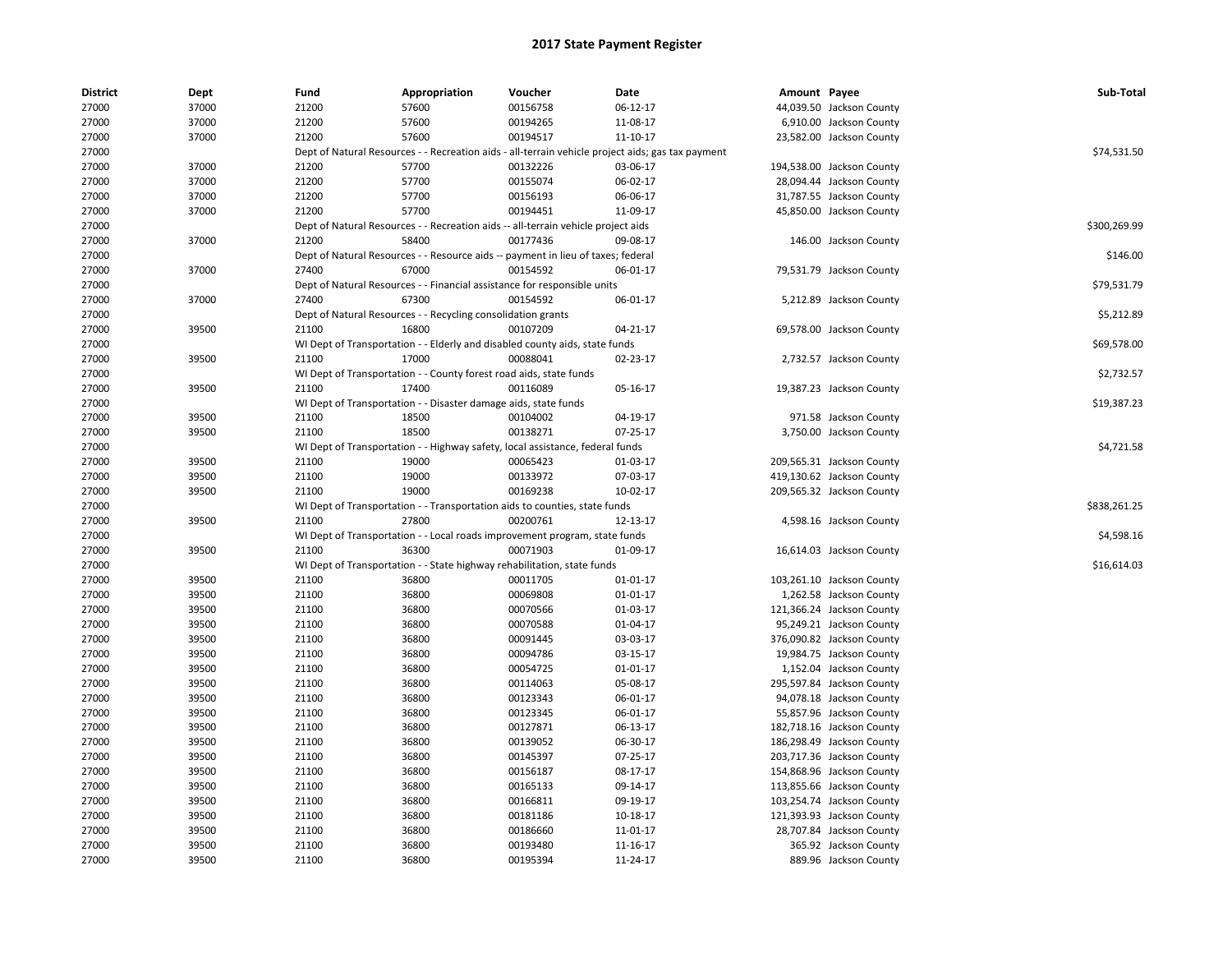| <b>District</b> | Dept  | Fund  | Appropriation                                                                     | Voucher  | Date                                                                                              | Amount Payee |                           | Sub-Total    |
|-----------------|-------|-------|-----------------------------------------------------------------------------------|----------|---------------------------------------------------------------------------------------------------|--------------|---------------------------|--------------|
| 27000           | 37000 | 21200 | 57600                                                                             | 00156758 | 06-12-17                                                                                          |              | 44,039.50 Jackson County  |              |
| 27000           | 37000 | 21200 | 57600                                                                             | 00194265 | 11-08-17                                                                                          |              | 6,910.00 Jackson County   |              |
| 27000           | 37000 | 21200 | 57600                                                                             | 00194517 | 11-10-17                                                                                          |              | 23,582.00 Jackson County  |              |
| 27000           |       |       |                                                                                   |          | Dept of Natural Resources - - Recreation aids - all-terrain vehicle project aids; gas tax payment |              |                           | \$74,531.50  |
| 27000           | 37000 | 21200 | 57700                                                                             | 00132226 | 03-06-17                                                                                          |              | 194,538.00 Jackson County |              |
| 27000           | 37000 | 21200 | 57700                                                                             | 00155074 | 06-02-17                                                                                          |              | 28,094.44 Jackson County  |              |
| 27000           | 37000 | 21200 | 57700                                                                             | 00156193 | 06-06-17                                                                                          |              | 31,787.55 Jackson County  |              |
| 27000           | 37000 | 21200 | 57700                                                                             | 00194451 | 11-09-17                                                                                          |              | 45,850.00 Jackson County  |              |
| 27000           |       |       | Dept of Natural Resources - - Recreation aids -- all-terrain vehicle project aids |          |                                                                                                   |              |                           | \$300,269.99 |
| 27000           | 37000 | 21200 | 58400                                                                             | 00177436 | 09-08-17                                                                                          |              | 146.00 Jackson County     |              |
| 27000           |       |       | Dept of Natural Resources - - Resource aids -- payment in lieu of taxes; federal  |          |                                                                                                   |              |                           | \$146.00     |
| 27000           | 37000 | 27400 | 67000                                                                             | 00154592 | 06-01-17                                                                                          |              | 79,531.79 Jackson County  |              |
| 27000           |       |       | Dept of Natural Resources - - Financial assistance for responsible units          |          |                                                                                                   |              |                           | \$79,531.79  |
| 27000           | 37000 | 27400 | 67300                                                                             | 00154592 | 06-01-17                                                                                          |              | 5,212.89 Jackson County   |              |
| 27000           |       |       | Dept of Natural Resources - - Recycling consolidation grants                      |          |                                                                                                   |              |                           | \$5,212.89   |
| 27000           | 39500 | 21100 | 16800                                                                             | 00107209 | 04-21-17                                                                                          |              | 69,578.00 Jackson County  |              |
| 27000           |       |       | WI Dept of Transportation - - Elderly and disabled county aids, state funds       |          |                                                                                                   |              |                           | \$69,578.00  |
| 27000           | 39500 | 21100 | 17000                                                                             | 00088041 | 02-23-17                                                                                          |              | 2,732.57 Jackson County   |              |
| 27000           |       |       | WI Dept of Transportation - - County forest road aids, state funds                |          |                                                                                                   |              |                           | \$2,732.57   |
| 27000           | 39500 | 21100 | 17400                                                                             | 00116089 | 05-16-17                                                                                          |              | 19,387.23 Jackson County  |              |
| 27000           |       |       | WI Dept of Transportation - - Disaster damage aids, state funds                   |          |                                                                                                   |              |                           | \$19,387.23  |
| 27000           | 39500 | 21100 | 18500                                                                             | 00104002 | 04-19-17                                                                                          |              | 971.58 Jackson County     |              |
| 27000           | 39500 | 21100 | 18500                                                                             | 00138271 | 07-25-17                                                                                          |              | 3,750.00 Jackson County   |              |
| 27000           |       |       | WI Dept of Transportation - - Highway safety, local assistance, federal funds     |          |                                                                                                   |              |                           | \$4,721.58   |
| 27000           | 39500 | 21100 | 19000                                                                             | 00065423 | 01-03-17                                                                                          |              | 209,565.31 Jackson County |              |
| 27000           | 39500 | 21100 | 19000                                                                             | 00133972 | 07-03-17                                                                                          |              | 419,130.62 Jackson County |              |
| 27000           | 39500 | 21100 | 19000                                                                             | 00169238 | 10-02-17                                                                                          |              | 209,565.32 Jackson County |              |
| 27000           |       |       | WI Dept of Transportation - - Transportation aids to counties, state funds        |          |                                                                                                   |              |                           | \$838,261.25 |
| 27000           | 39500 | 21100 | 27800                                                                             | 00200761 | 12-13-17                                                                                          |              | 4,598.16 Jackson County   |              |
| 27000           |       |       | WI Dept of Transportation - - Local roads improvement program, state funds        |          |                                                                                                   |              |                           | \$4,598.16   |
| 27000           | 39500 | 21100 | 36300                                                                             | 00071903 | 01-09-17                                                                                          |              | 16,614.03 Jackson County  |              |
| 27000           |       |       | WI Dept of Transportation - - State highway rehabilitation, state funds           |          |                                                                                                   |              |                           | \$16,614.03  |
| 27000           | 39500 | 21100 | 36800                                                                             | 00011705 | 01-01-17                                                                                          |              | 103,261.10 Jackson County |              |
| 27000           | 39500 | 21100 | 36800                                                                             | 00069808 | $01 - 01 - 17$                                                                                    |              | 1,262.58 Jackson County   |              |
| 27000           | 39500 | 21100 | 36800                                                                             | 00070566 | 01-03-17                                                                                          |              | 121,366.24 Jackson County |              |
| 27000           | 39500 | 21100 | 36800                                                                             | 00070588 | 01-04-17                                                                                          |              | 95,249.21 Jackson County  |              |
| 27000           | 39500 | 21100 | 36800                                                                             | 00091445 | 03-03-17                                                                                          |              | 376,090.82 Jackson County |              |
| 27000           | 39500 | 21100 | 36800                                                                             | 00094786 | 03-15-17                                                                                          |              | 19,984.75 Jackson County  |              |
| 27000           | 39500 | 21100 | 36800                                                                             | 00054725 | 01-01-17                                                                                          |              | 1,152.04 Jackson County   |              |
| 27000           | 39500 | 21100 | 36800                                                                             | 00114063 | 05-08-17                                                                                          |              | 295,597.84 Jackson County |              |
| 27000           | 39500 | 21100 | 36800                                                                             | 00123343 | 06-01-17                                                                                          |              | 94,078.18 Jackson County  |              |
| 27000           | 39500 | 21100 | 36800                                                                             | 00123345 | 06-01-17                                                                                          |              | 55,857.96 Jackson County  |              |
| 27000           | 39500 | 21100 | 36800                                                                             | 00127871 | 06-13-17                                                                                          |              | 182,718.16 Jackson County |              |
| 27000           | 39500 | 21100 | 36800                                                                             | 00139052 | 06-30-17                                                                                          |              | 186,298.49 Jackson County |              |
| 27000           | 39500 | 21100 | 36800                                                                             | 00145397 | 07-25-17                                                                                          |              | 203,717.36 Jackson County |              |
| 27000           | 39500 | 21100 | 36800                                                                             | 00156187 | 08-17-17                                                                                          |              | 154,868.96 Jackson County |              |
| 27000           | 39500 | 21100 | 36800                                                                             | 00165133 | 09-14-17                                                                                          |              | 113,855.66 Jackson County |              |
| 27000           | 39500 | 21100 | 36800                                                                             | 00166811 | 09-19-17                                                                                          |              | 103,254.74 Jackson County |              |
| 27000           | 39500 | 21100 | 36800                                                                             | 00181186 | 10-18-17                                                                                          |              | 121,393.93 Jackson County |              |
| 27000           | 39500 | 21100 | 36800                                                                             | 00186660 | 11-01-17                                                                                          |              | 28,707.84 Jackson County  |              |
| 27000           | 39500 | 21100 | 36800                                                                             | 00193480 | 11-16-17                                                                                          |              | 365.92 Jackson County     |              |
| 27000           | 39500 | 21100 | 36800                                                                             | 00195394 | 11-24-17                                                                                          |              | 889.96 Jackson County     |              |
|                 |       |       |                                                                                   |          |                                                                                                   |              |                           |              |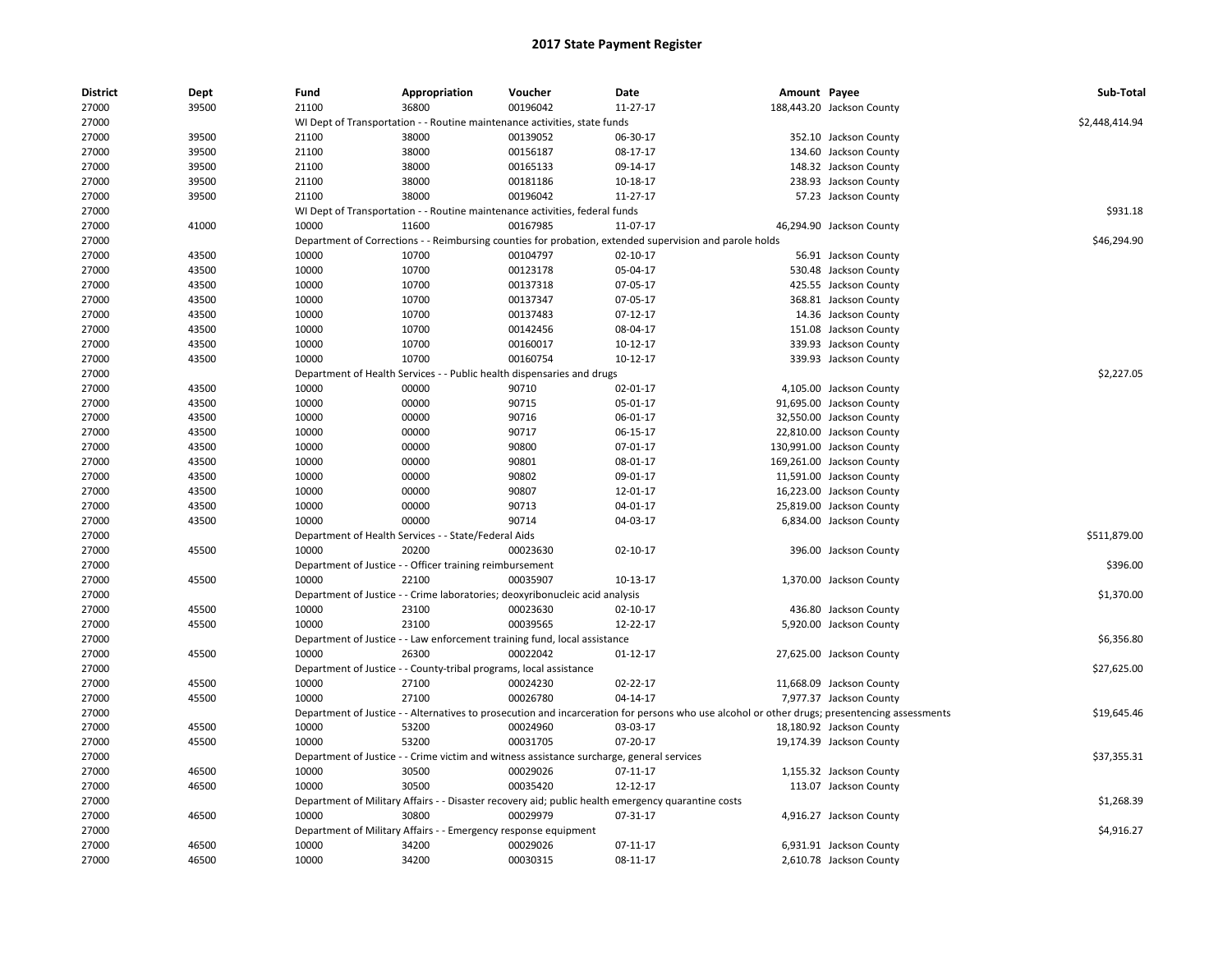| <b>District</b> | <b>Dept</b>    | Fund           | Appropriation                                                                | Voucher              | Date                                                                                                    | Amount Payee |                                                                                                                                               | Sub-Total      |
|-----------------|----------------|----------------|------------------------------------------------------------------------------|----------------------|---------------------------------------------------------------------------------------------------------|--------------|-----------------------------------------------------------------------------------------------------------------------------------------------|----------------|
| 27000           | 39500          | 21100          | 36800                                                                        | 00196042             | 11-27-17                                                                                                |              | 188,443.20 Jackson County                                                                                                                     |                |
| 27000           |                |                | WI Dept of Transportation - - Routine maintenance activities, state funds    |                      |                                                                                                         |              |                                                                                                                                               | \$2,448,414.94 |
| 27000           | 39500          | 21100          | 38000                                                                        | 00139052             | 06-30-17                                                                                                |              | 352.10 Jackson County                                                                                                                         |                |
| 27000           | 39500          | 21100          | 38000                                                                        | 00156187             | 08-17-17                                                                                                |              | 134.60 Jackson County                                                                                                                         |                |
| 27000           | 39500          | 21100          | 38000                                                                        | 00165133             | 09-14-17                                                                                                |              | 148.32 Jackson County                                                                                                                         |                |
| 27000           | 39500          | 21100          | 38000                                                                        | 00181186             | 10-18-17                                                                                                |              | 238.93 Jackson County                                                                                                                         |                |
| 27000           | 39500          | 21100          | 38000                                                                        | 00196042             | 11-27-17                                                                                                |              | 57.23 Jackson County                                                                                                                          |                |
| 27000           |                |                | WI Dept of Transportation - - Routine maintenance activities, federal funds  |                      |                                                                                                         |              |                                                                                                                                               | \$931.18       |
| 27000           | 41000          | 10000          | 11600                                                                        | 00167985             | 11-07-17                                                                                                |              | 46,294.90 Jackson County                                                                                                                      |                |
| 27000           |                |                |                                                                              |                      | Department of Corrections - - Reimbursing counties for probation, extended supervision and parole holds |              |                                                                                                                                               | \$46,294.90    |
| 27000           | 43500          | 10000          | 10700                                                                        | 00104797             | $02 - 10 - 17$                                                                                          |              | 56.91 Jackson County                                                                                                                          |                |
| 27000           | 43500          | 10000          | 10700                                                                        | 00123178             | 05-04-17                                                                                                |              | 530.48 Jackson County                                                                                                                         |                |
| 27000           | 43500          | 10000          | 10700                                                                        | 00137318             | 07-05-17                                                                                                |              | 425.55 Jackson County                                                                                                                         |                |
| 27000           | 43500          | 10000          | 10700                                                                        | 00137347             | 07-05-17                                                                                                |              | 368.81 Jackson County                                                                                                                         |                |
| 27000           | 43500          | 10000          | 10700                                                                        | 00137483             | $07-12-17$                                                                                              |              | 14.36 Jackson County                                                                                                                          |                |
| 27000           | 43500          | 10000          | 10700                                                                        | 00142456             | 08-04-17                                                                                                |              | 151.08 Jackson County                                                                                                                         |                |
| 27000           | 43500          | 10000          | 10700                                                                        | 00160017             | 10-12-17                                                                                                |              | 339.93 Jackson County                                                                                                                         |                |
| 27000           | 43500          | 10000          | 10700                                                                        | 00160754             | $10-12-17$                                                                                              |              | 339.93 Jackson County                                                                                                                         |                |
| 27000           |                |                | Department of Health Services - - Public health dispensaries and drugs       |                      |                                                                                                         |              |                                                                                                                                               | \$2,227.05     |
| 27000           | 43500          | 10000          | 00000                                                                        | 90710                | 02-01-17                                                                                                |              | 4,105.00 Jackson County                                                                                                                       |                |
| 27000           | 43500          | 10000          | 00000                                                                        | 90715                | 05-01-17                                                                                                |              | 91,695.00 Jackson County                                                                                                                      |                |
| 27000           | 43500          | 10000          | 00000                                                                        | 90716                | 06-01-17                                                                                                |              | 32,550.00 Jackson County                                                                                                                      |                |
| 27000           | 43500          | 10000          | 00000                                                                        | 90717                | 06-15-17                                                                                                |              | 22,810.00 Jackson County                                                                                                                      |                |
| 27000           | 43500          | 10000          | 00000                                                                        | 90800                | 07-01-17                                                                                                |              | 130,991.00 Jackson County                                                                                                                     |                |
| 27000           | 43500          | 10000          | 00000                                                                        | 90801                | 08-01-17                                                                                                |              | 169,261.00 Jackson County                                                                                                                     |                |
| 27000           | 43500          | 10000          | 00000                                                                        | 90802                | 09-01-17                                                                                                |              | 11,591.00 Jackson County                                                                                                                      |                |
| 27000           | 43500          | 10000          | 00000                                                                        | 90807                | 12-01-17                                                                                                |              | 16,223.00 Jackson County                                                                                                                      |                |
| 27000           | 43500          | 10000          | 00000                                                                        | 90713                | 04-01-17                                                                                                |              | 25,819.00 Jackson County                                                                                                                      |                |
| 27000           | 43500          | 10000          | 00000                                                                        | 90714                | 04-03-17                                                                                                |              | 6,834.00 Jackson County                                                                                                                       |                |
| 27000           |                |                | Department of Health Services - - State/Federal Aids                         |                      |                                                                                                         |              |                                                                                                                                               | \$511,879.00   |
| 27000           | 45500          | 10000          | 20200                                                                        | 00023630             | 02-10-17                                                                                                |              | 396.00 Jackson County                                                                                                                         |                |
| 27000           |                |                | Department of Justice - - Officer training reimbursement                     |                      |                                                                                                         |              |                                                                                                                                               | \$396.00       |
| 27000           | 45500          | 10000          | 22100                                                                        | 00035907             | 10-13-17                                                                                                |              | 1,370.00 Jackson County                                                                                                                       |                |
| 27000           |                |                | Department of Justice - - Crime laboratories; deoxyribonucleic acid analysis |                      |                                                                                                         |              |                                                                                                                                               | \$1,370.00     |
| 27000           | 45500          | 10000          | 23100                                                                        | 00023630             | $02 - 10 - 17$                                                                                          |              | 436.80 Jackson County                                                                                                                         |                |
| 27000           | 45500          | 10000          | 23100                                                                        | 00039565             | 12-22-17                                                                                                |              | 5,920.00 Jackson County                                                                                                                       |                |
| 27000           |                |                | Department of Justice - - Law enforcement training fund, local assistance    |                      |                                                                                                         |              |                                                                                                                                               | \$6,356.80     |
| 27000           | 45500          | 10000          | 26300                                                                        | 00022042             | $01 - 12 - 17$                                                                                          |              | 27,625.00 Jackson County                                                                                                                      |                |
| 27000           |                |                | Department of Justice - - County-tribal programs, local assistance           |                      |                                                                                                         |              |                                                                                                                                               | \$27,625.00    |
| 27000           | 45500          | 10000          | 27100                                                                        | 00024230             | 02-22-17                                                                                                |              | 11,668.09 Jackson County                                                                                                                      |                |
| 27000           | 45500          | 10000          | 27100                                                                        | 00026780             | 04-14-17                                                                                                |              | 7,977.37 Jackson County                                                                                                                       |                |
| 27000           |                |                |                                                                              |                      |                                                                                                         |              | Department of Justice - - Alternatives to prosecution and incarceration for persons who use alcohol or other drugs; presentencing assessments | \$19,645.46    |
| 27000           | 45500          | 10000          | 53200                                                                        | 00024960             | 03-03-17                                                                                                |              | 18,180.92 Jackson County                                                                                                                      |                |
| 27000           | 45500          | 10000          | 53200                                                                        | 00031705             | 07-20-17                                                                                                |              | 19,174.39 Jackson County                                                                                                                      |                |
|                 |                |                |                                                                              |                      |                                                                                                         |              |                                                                                                                                               |                |
| 27000           |                |                |                                                                              |                      | Department of Justice - - Crime victim and witness assistance surcharge, general services               |              |                                                                                                                                               | \$37,355.31    |
| 27000           | 46500<br>46500 | 10000<br>10000 | 30500<br>30500                                                               | 00029026<br>00035420 | 07-11-17<br>12-12-17                                                                                    |              | 1,155.32 Jackson County                                                                                                                       |                |
| 27000           |                |                |                                                                              |                      |                                                                                                         |              | 113.07 Jackson County                                                                                                                         |                |
| 27000           |                |                |                                                                              |                      | Department of Military Affairs - - Disaster recovery aid; public health emergency quarantine costs      |              |                                                                                                                                               | \$1,268.39     |
| 27000           | 46500          | 10000          | 30800                                                                        | 00029979             | 07-31-17                                                                                                |              | 4,916.27 Jackson County                                                                                                                       |                |
| 27000           |                |                | Department of Military Affairs - - Emergency response equipment              |                      |                                                                                                         |              |                                                                                                                                               | \$4,916.27     |
| 27000           | 46500          | 10000          | 34200                                                                        | 00029026             | $07-11-17$                                                                                              |              | 6,931.91 Jackson County                                                                                                                       |                |
| 27000           | 46500          | 10000          | 34200                                                                        | 00030315             | 08-11-17                                                                                                |              | 2,610.78 Jackson County                                                                                                                       |                |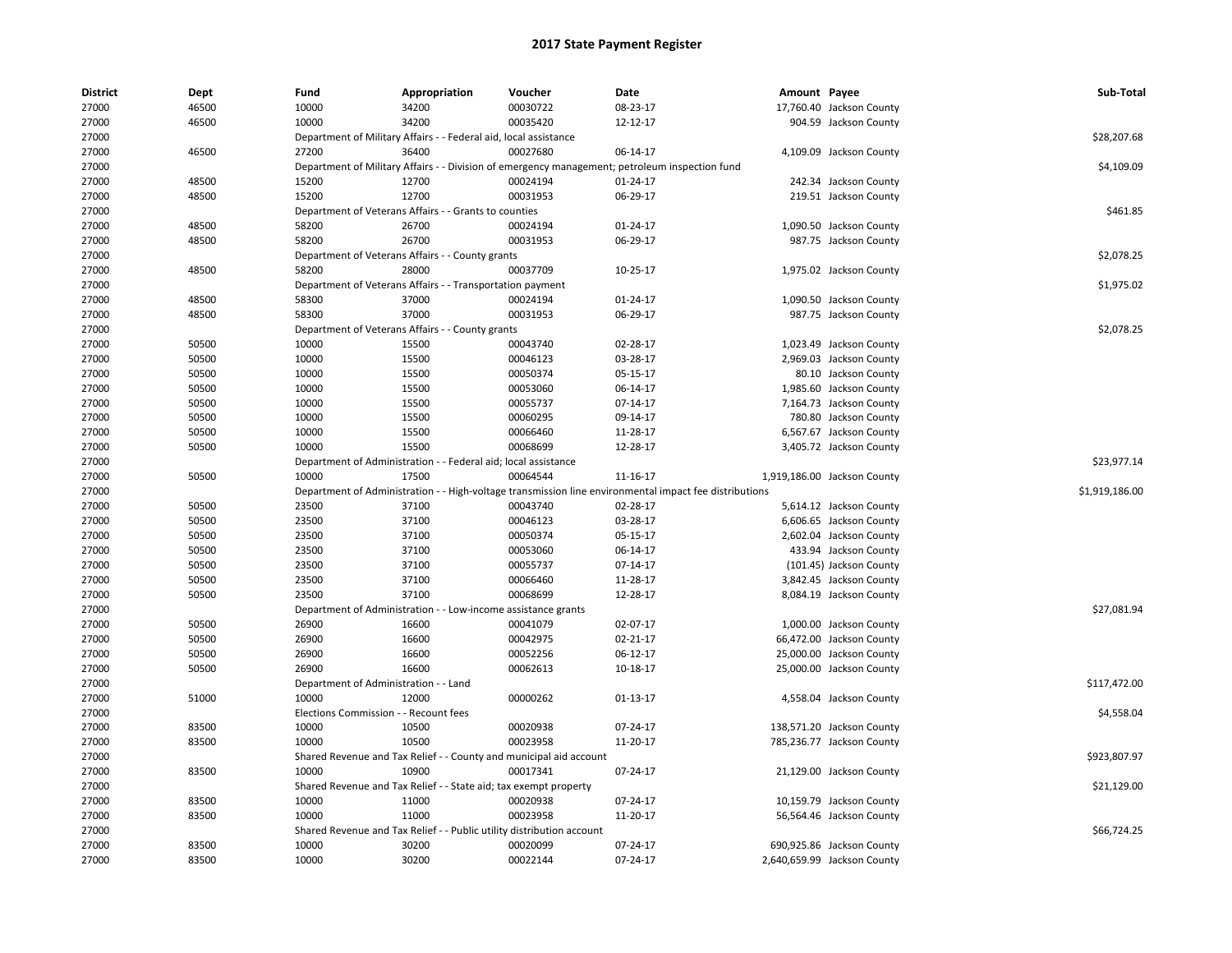| <b>District</b> | Dept  | Fund                                  | Appropriation                                                         | Voucher              | Date                                                                                                   | Amount Payee |                             | Sub-Total      |
|-----------------|-------|---------------------------------------|-----------------------------------------------------------------------|----------------------|--------------------------------------------------------------------------------------------------------|--------------|-----------------------------|----------------|
| 27000           | 46500 | 10000                                 | 34200                                                                 | 00030722             | 08-23-17                                                                                               |              | 17,760.40 Jackson County    |                |
| 27000           | 46500 | 10000                                 | 34200                                                                 | 00035420             | 12-12-17                                                                                               |              | 904.59 Jackson County       |                |
| 27000           |       |                                       | Department of Military Affairs - - Federal aid, local assistance      |                      |                                                                                                        |              |                             | \$28,207.68    |
| 27000           | 46500 | 27200                                 | 36400                                                                 | 00027680             | 06-14-17                                                                                               |              | 4,109.09 Jackson County     |                |
| 27000           |       |                                       |                                                                       |                      | Department of Military Affairs - - Division of emergency management; petroleum inspection fund         |              |                             | \$4,109.09     |
| 27000           | 48500 | 15200                                 | 12700                                                                 | 00024194             | 01-24-17                                                                                               |              | 242.34 Jackson County       |                |
| 27000           | 48500 | 15200                                 | 12700                                                                 | 00031953             | 06-29-17                                                                                               |              | 219.51 Jackson County       |                |
| 27000           |       |                                       | Department of Veterans Affairs - - Grants to counties                 |                      |                                                                                                        |              |                             | \$461.85       |
| 27000           | 48500 | 58200                                 | 26700                                                                 | 00024194             | $01 - 24 - 17$                                                                                         |              | 1,090.50 Jackson County     |                |
| 27000           | 48500 | 58200                                 | 26700                                                                 | 00031953             | 06-29-17                                                                                               |              | 987.75 Jackson County       |                |
| 27000           |       |                                       | Department of Veterans Affairs - - County grants                      |                      |                                                                                                        |              |                             | \$2,078.25     |
| 27000           | 48500 | 58200                                 | 28000                                                                 | 00037709             | 10-25-17                                                                                               |              | 1,975.02 Jackson County     |                |
| 27000           |       |                                       | Department of Veterans Affairs - - Transportation payment             |                      |                                                                                                        |              |                             | \$1,975.02     |
| 27000           | 48500 | 58300                                 | 37000                                                                 | 00024194             | $01 - 24 - 17$                                                                                         |              | 1,090.50 Jackson County     |                |
| 27000           | 48500 | 58300                                 | 37000                                                                 | 00031953             | 06-29-17                                                                                               |              | 987.75 Jackson County       |                |
| 27000           |       |                                       | Department of Veterans Affairs - - County grants                      |                      |                                                                                                        |              |                             | \$2,078.25     |
| 27000           | 50500 | 10000                                 | 15500                                                                 | 00043740             | 02-28-17                                                                                               |              | 1,023.49 Jackson County     |                |
| 27000           | 50500 | 10000                                 | 15500                                                                 | 00046123             | 03-28-17                                                                                               |              | 2,969.03 Jackson County     |                |
| 27000           | 50500 | 10000                                 | 15500                                                                 | 00050374             | 05-15-17                                                                                               |              | 80.10 Jackson County        |                |
| 27000           | 50500 | 10000                                 | 15500                                                                 | 00053060             | 06-14-17                                                                                               |              | 1,985.60 Jackson County     |                |
| 27000           | 50500 | 10000                                 | 15500                                                                 | 00055737             | 07-14-17                                                                                               |              | 7,164.73 Jackson County     |                |
| 27000           | 50500 | 10000                                 | 15500                                                                 | 00060295             | 09-14-17                                                                                               |              | 780.80 Jackson County       |                |
| 27000           | 50500 | 10000                                 | 15500                                                                 | 00066460             | 11-28-17                                                                                               |              | 6,567.67 Jackson County     |                |
| 27000           | 50500 | 10000                                 | 15500                                                                 | 00068699             | 12-28-17                                                                                               |              | 3,405.72 Jackson County     |                |
| 27000           |       |                                       | Department of Administration - - Federal aid; local assistance        |                      |                                                                                                        |              |                             | \$23,977.14    |
| 27000           | 50500 | 10000                                 | 17500                                                                 | 00064544             | 11-16-17                                                                                               |              | 1,919,186.00 Jackson County |                |
| 27000           |       |                                       |                                                                       |                      | Department of Administration - - High-voltage transmission line environmental impact fee distributions |              |                             | \$1,919,186.00 |
| 27000           | 50500 | 23500                                 | 37100                                                                 | 00043740             | 02-28-17                                                                                               |              | 5,614.12 Jackson County     |                |
| 27000           | 50500 | 23500                                 | 37100                                                                 | 00046123             | 03-28-17                                                                                               |              | 6,606.65 Jackson County     |                |
| 27000           | 50500 | 23500                                 | 37100                                                                 | 00050374             | 05-15-17                                                                                               |              | 2,602.04 Jackson County     |                |
| 27000           | 50500 | 23500                                 | 37100                                                                 | 00053060             | 06-14-17                                                                                               |              | 433.94 Jackson County       |                |
| 27000           | 50500 | 23500                                 | 37100                                                                 | 00055737             | 07-14-17                                                                                               |              | (101.45) Jackson County     |                |
| 27000           | 50500 | 23500                                 | 37100                                                                 | 00066460             | 11-28-17                                                                                               |              | 3,842.45 Jackson County     |                |
| 27000           | 50500 | 23500                                 | 37100                                                                 | 00068699             | 12-28-17                                                                                               |              | 8,084.19 Jackson County     |                |
| 27000           |       |                                       | Department of Administration - - Low-income assistance grants         |                      |                                                                                                        |              |                             | \$27,081.94    |
| 27000           | 50500 | 26900                                 | 16600                                                                 | 00041079             | 02-07-17                                                                                               |              | 1,000.00 Jackson County     |                |
| 27000           | 50500 | 26900                                 | 16600                                                                 | 00042975             | 02-21-17                                                                                               |              | 66,472.00 Jackson County    |                |
| 27000           | 50500 | 26900                                 | 16600                                                                 | 00052256             | 06-12-17                                                                                               |              | 25,000.00 Jackson County    |                |
| 27000           | 50500 | 26900                                 | 16600                                                                 | 00062613             | $10 - 18 - 17$                                                                                         |              | 25,000.00 Jackson County    |                |
| 27000           |       | Department of Administration - - Land |                                                                       |                      |                                                                                                        |              |                             | \$117,472.00   |
|                 | 51000 | 10000                                 | 12000                                                                 | 00000262             | 01-13-17                                                                                               |              |                             |                |
| 27000<br>27000  |       | Elections Commission - - Recount fees |                                                                       |                      |                                                                                                        |              | 4,558.04 Jackson County     | \$4,558.04     |
|                 | 83500 |                                       | 10500                                                                 |                      | 07-24-17                                                                                               |              |                             |                |
| 27000           | 83500 | 10000<br>10000                        | 10500                                                                 | 00020938<br>00023958 |                                                                                                        |              | 138,571.20 Jackson County   |                |
| 27000           |       |                                       |                                                                       |                      | 11-20-17                                                                                               |              | 785,236.77 Jackson County   |                |
| 27000           |       |                                       | Shared Revenue and Tax Relief - - County and municipal aid account    |                      |                                                                                                        |              |                             | \$923,807.97   |
| 27000           | 83500 | 10000                                 | 10900                                                                 | 00017341             | 07-24-17                                                                                               |              | 21,129.00 Jackson County    |                |
| 27000           |       |                                       | Shared Revenue and Tax Relief - - State aid; tax exempt property      |                      |                                                                                                        |              |                             | \$21,129.00    |
| 27000           | 83500 | 10000                                 | 11000                                                                 | 00020938             | 07-24-17                                                                                               |              | 10,159.79 Jackson County    |                |
| 27000           | 83500 | 10000                                 | 11000                                                                 | 00023958             | 11-20-17                                                                                               |              | 56,564.46 Jackson County    |                |
| 27000           |       |                                       | Shared Revenue and Tax Relief - - Public utility distribution account |                      |                                                                                                        |              |                             | \$66,724.25    |
| 27000           | 83500 | 10000                                 | 30200                                                                 | 00020099             | 07-24-17                                                                                               |              | 690,925.86 Jackson County   |                |
| 27000           | 83500 | 10000                                 | 30200                                                                 | 00022144             | 07-24-17                                                                                               |              | 2,640,659.99 Jackson County |                |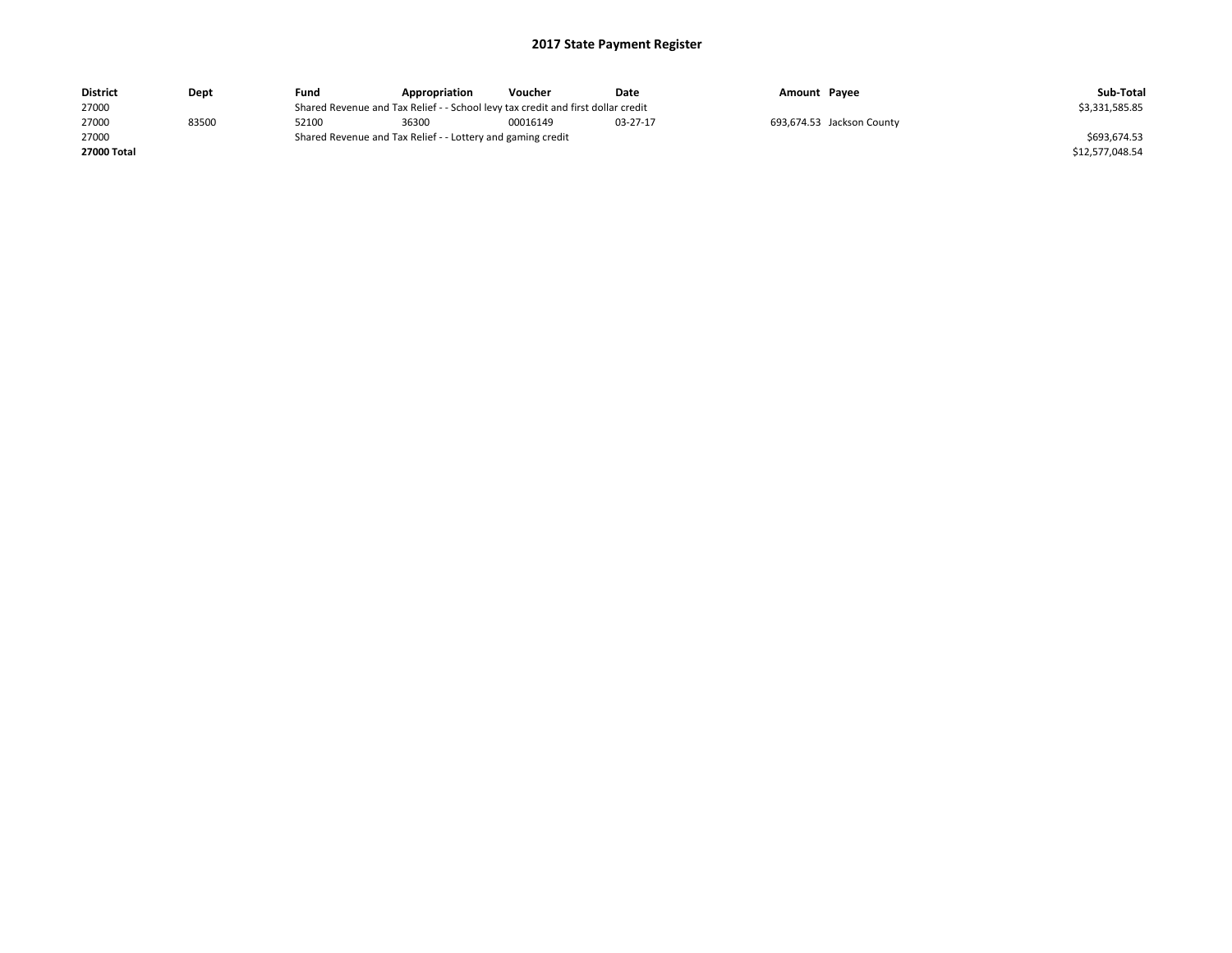| <b>District</b> | Dept  | Fund  | Appropriation                                                                    | Voucher  | Date     | Amount Payee |                           | Sub-Total       |
|-----------------|-------|-------|----------------------------------------------------------------------------------|----------|----------|--------------|---------------------------|-----------------|
| 27000           |       |       | Shared Revenue and Tax Relief - - School levy tax credit and first dollar credit |          |          |              |                           | \$3,331,585.85  |
| 27000           | 83500 | 52100 | 36300                                                                            | 00016149 | 03-27-17 |              | 693,674.53 Jackson County |                 |
| 27000           |       |       | Shared Revenue and Tax Relief - - Lottery and gaming credit                      |          |          |              |                           | \$693,674.53    |
| 27000 Total     |       |       |                                                                                  |          |          |              |                           | \$12,577,048.54 |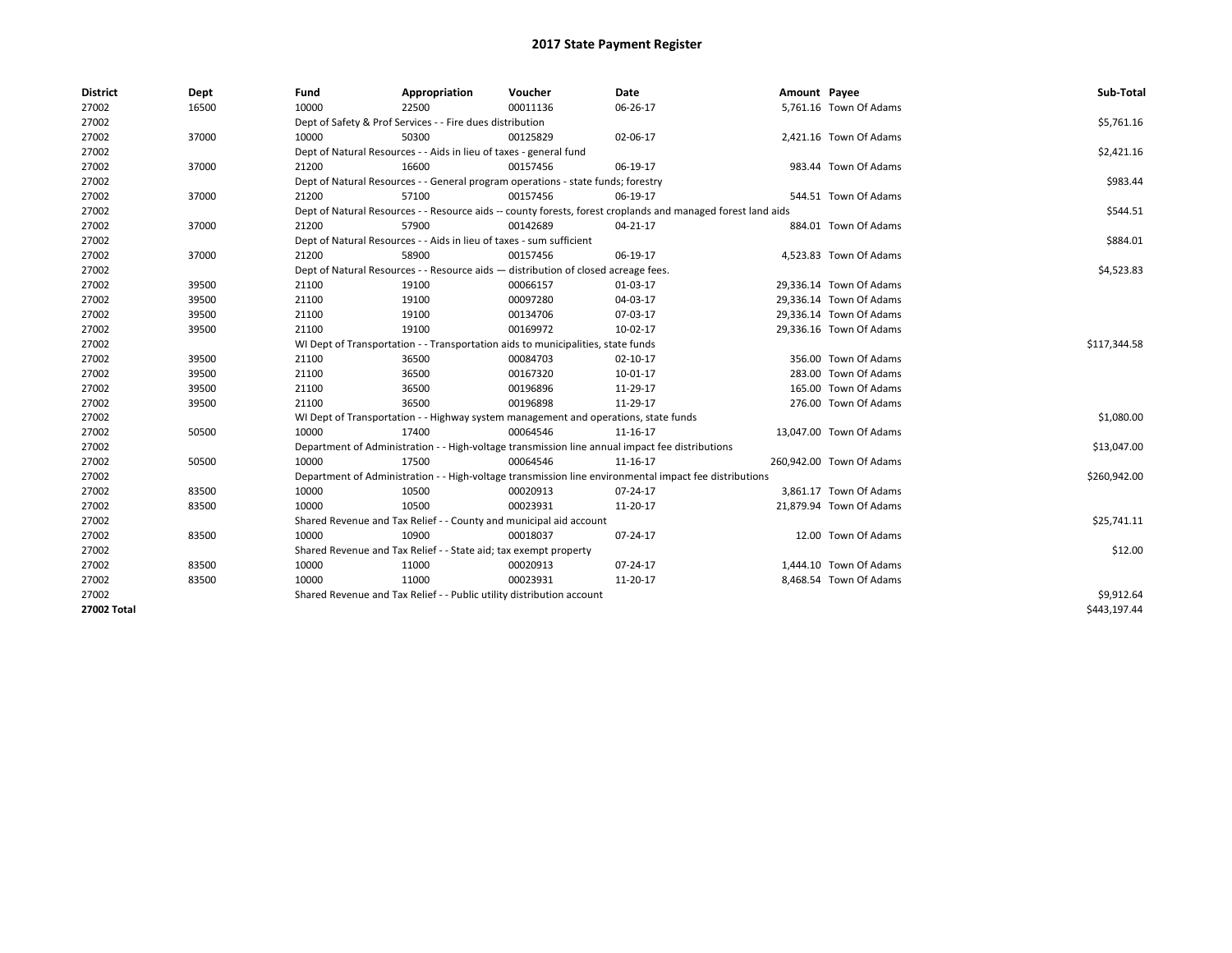| <b>District</b>    | Dept  | Fund  | Appropriation                                                                                                | Voucher  | Date           | Amount Payee |                          | Sub-Total    |
|--------------------|-------|-------|--------------------------------------------------------------------------------------------------------------|----------|----------------|--------------|--------------------------|--------------|
| 27002              | 16500 | 10000 | 22500                                                                                                        | 00011136 | 06-26-17       |              | 5,761.16 Town Of Adams   |              |
| 27002              |       |       | Dept of Safety & Prof Services - - Fire dues distribution                                                    |          |                |              |                          | \$5,761.16   |
| 27002              | 37000 | 10000 | 50300                                                                                                        | 00125829 | 02-06-17       |              | 2,421.16 Town Of Adams   |              |
| 27002              |       |       | Dept of Natural Resources - - Aids in lieu of taxes - general fund                                           |          |                |              |                          | \$2,421.16   |
| 27002              | 37000 | 21200 | 16600                                                                                                        | 00157456 | 06-19-17       |              | 983.44 Town Of Adams     |              |
| 27002              |       |       | Dept of Natural Resources - - General program operations - state funds; forestry                             |          |                |              |                          | \$983.44     |
| 27002              | 37000 | 21200 | 57100                                                                                                        | 00157456 | 06-19-17       |              | 544.51 Town Of Adams     |              |
| 27002              |       |       | Dept of Natural Resources - - Resource aids -- county forests, forest croplands and managed forest land aids |          |                |              |                          | \$544.51     |
| 27002              | 37000 | 21200 | 57900                                                                                                        | 00142689 | 04-21-17       |              | 884.01 Town Of Adams     |              |
| 27002              |       |       | Dept of Natural Resources - - Aids in lieu of taxes - sum sufficient                                         |          |                |              |                          | \$884.01     |
| 27002              | 37000 | 21200 | 58900                                                                                                        | 00157456 | 06-19-17       |              | 4,523.83 Town Of Adams   |              |
| 27002              |       |       | Dept of Natural Resources - - Resource aids - distribution of closed acreage fees.                           |          |                |              |                          | \$4,523.83   |
| 27002              | 39500 | 21100 | 19100                                                                                                        | 00066157 | 01-03-17       |              | 29,336.14 Town Of Adams  |              |
| 27002              | 39500 | 21100 | 19100                                                                                                        | 00097280 | 04-03-17       |              | 29,336.14 Town Of Adams  |              |
| 27002              | 39500 | 21100 | 19100                                                                                                        | 00134706 | 07-03-17       |              | 29,336.14 Town Of Adams  |              |
| 27002              | 39500 | 21100 | 19100                                                                                                        | 00169972 | 10-02-17       |              | 29,336.16 Town Of Adams  |              |
| 27002              |       |       | WI Dept of Transportation - - Transportation aids to municipalities, state funds                             |          | \$117,344.58   |              |                          |              |
| 27002              | 39500 | 21100 | 36500                                                                                                        | 00084703 | $02 - 10 - 17$ |              | 356.00 Town Of Adams     |              |
| 27002              | 39500 | 21100 | 36500                                                                                                        | 00167320 | 10-01-17       |              | 283.00 Town Of Adams     |              |
| 27002              | 39500 | 21100 | 36500                                                                                                        | 00196896 | 11-29-17       |              | 165.00 Town Of Adams     |              |
| 27002              | 39500 | 21100 | 36500                                                                                                        | 00196898 | 11-29-17       |              | 276.00 Town Of Adams     |              |
| 27002              |       |       | WI Dept of Transportation - - Highway system management and operations, state funds                          |          |                |              |                          | \$1,080.00   |
| 27002              | 50500 | 10000 | 17400                                                                                                        | 00064546 | 11-16-17       |              | 13,047.00 Town Of Adams  |              |
| 27002              |       |       | Department of Administration - - High-voltage transmission line annual impact fee distributions              |          |                |              |                          | \$13,047.00  |
| 27002              | 50500 | 10000 | 17500                                                                                                        | 00064546 | 11-16-17       |              | 260,942.00 Town Of Adams |              |
| 27002              |       |       | Department of Administration - - High-voltage transmission line environmental impact fee distributions       |          |                |              |                          | \$260,942.00 |
| 27002              | 83500 | 10000 | 10500                                                                                                        | 00020913 | 07-24-17       |              | 3,861.17 Town Of Adams   |              |
| 27002              | 83500 | 10000 | 10500                                                                                                        | 00023931 | 11-20-17       |              | 21,879.94 Town Of Adams  |              |
| 27002              |       |       | Shared Revenue and Tax Relief - - County and municipal aid account                                           |          |                |              |                          | \$25,741.11  |
| 27002              | 83500 | 10000 | 10900                                                                                                        | 00018037 | 07-24-17       |              | 12.00 Town Of Adams      |              |
| 27002              |       |       | Shared Revenue and Tax Relief - - State aid; tax exempt property                                             |          |                |              |                          | \$12.00      |
| 27002              | 83500 | 10000 | 11000                                                                                                        | 00020913 | 07-24-17       |              | 1,444.10 Town Of Adams   |              |
| 27002              | 83500 | 10000 | 11000                                                                                                        | 00023931 | 11-20-17       |              | 8,468.54 Town Of Adams   |              |
| 27002              |       |       | Shared Revenue and Tax Relief - - Public utility distribution account                                        |          |                |              |                          | \$9,912.64   |
| <b>27002 Total</b> |       |       |                                                                                                              |          |                |              |                          | \$443.197.44 |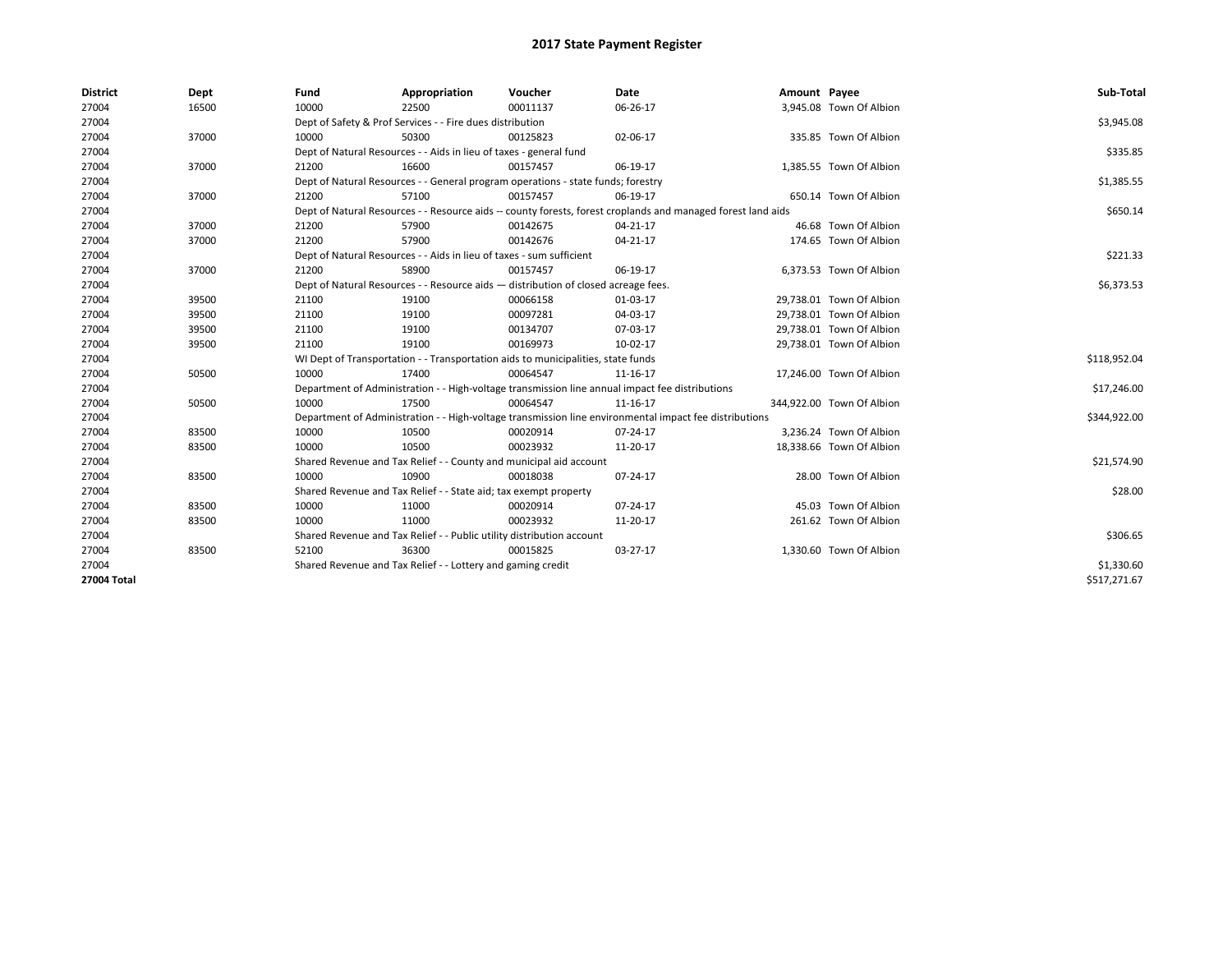| <b>District</b> | Dept  | Fund                                                                                                         | Appropriation                                                                      | Voucher  | Date                                                                                                   | Amount Payee |                           | Sub-Total    |
|-----------------|-------|--------------------------------------------------------------------------------------------------------------|------------------------------------------------------------------------------------|----------|--------------------------------------------------------------------------------------------------------|--------------|---------------------------|--------------|
| 27004           | 16500 | 10000                                                                                                        | 22500                                                                              | 00011137 | 06-26-17                                                                                               |              | 3,945.08 Town Of Albion   |              |
| 27004           |       |                                                                                                              | Dept of Safety & Prof Services - - Fire dues distribution                          |          |                                                                                                        |              |                           | \$3,945.08   |
| 27004           | 37000 | 10000                                                                                                        | 50300                                                                              | 00125823 | 02-06-17                                                                                               |              | 335.85 Town Of Albion     |              |
| 27004           |       |                                                                                                              | Dept of Natural Resources - - Aids in lieu of taxes - general fund                 |          |                                                                                                        |              |                           | \$335.85     |
| 27004           | 37000 | 21200                                                                                                        | 16600                                                                              | 00157457 | 06-19-17                                                                                               |              | 1,385.55 Town Of Albion   |              |
| 27004           |       |                                                                                                              | Dept of Natural Resources - - General program operations - state funds; forestry   |          |                                                                                                        |              |                           | \$1,385.55   |
| 27004           | 37000 | 21200                                                                                                        | 57100                                                                              | 00157457 | 06-19-17                                                                                               |              | 650.14 Town Of Albion     |              |
| 27004           |       | Dept of Natural Resources - - Resource aids -- county forests, forest croplands and managed forest land aids |                                                                                    | \$650.14 |                                                                                                        |              |                           |              |
| 27004           | 37000 | 21200                                                                                                        | 57900                                                                              | 00142675 | 04-21-17                                                                                               |              | 46.68 Town Of Albion      |              |
| 27004           | 37000 | 21200                                                                                                        | 57900                                                                              | 00142676 | 04-21-17                                                                                               |              | 174.65 Town Of Albion     |              |
| 27004           |       |                                                                                                              | Dept of Natural Resources - - Aids in lieu of taxes - sum sufficient               |          |                                                                                                        |              |                           | \$221.33     |
| 27004           | 37000 | 21200                                                                                                        | 58900                                                                              | 00157457 | 06-19-17                                                                                               |              | 6,373.53 Town Of Albion   |              |
| 27004           |       |                                                                                                              | Dept of Natural Resources - - Resource aids - distribution of closed acreage fees. |          |                                                                                                        |              |                           | \$6,373.53   |
| 27004           | 39500 | 21100                                                                                                        | 19100                                                                              | 00066158 | 01-03-17                                                                                               |              | 29,738.01 Town Of Albion  |              |
| 27004           | 39500 | 21100                                                                                                        | 19100                                                                              | 00097281 | 04-03-17                                                                                               |              | 29,738.01 Town Of Albion  |              |
| 27004           | 39500 | 21100                                                                                                        | 19100                                                                              | 00134707 | 07-03-17                                                                                               |              | 29,738.01 Town Of Albion  |              |
| 27004           | 39500 | 21100                                                                                                        | 19100                                                                              | 00169973 | 10-02-17                                                                                               |              | 29,738.01 Town Of Albion  |              |
| 27004           |       |                                                                                                              | WI Dept of Transportation - - Transportation aids to municipalities, state funds   |          |                                                                                                        |              |                           | \$118,952.04 |
| 27004           | 50500 | 10000                                                                                                        | 17400                                                                              | 00064547 | 11-16-17                                                                                               |              | 17,246.00 Town Of Albion  |              |
| 27004           |       |                                                                                                              |                                                                                    |          | Department of Administration - - High-voltage transmission line annual impact fee distributions        |              |                           | \$17,246.00  |
| 27004           | 50500 | 10000                                                                                                        | 17500                                                                              | 00064547 | 11-16-17                                                                                               |              | 344.922.00 Town Of Albion |              |
| 27004           |       |                                                                                                              |                                                                                    |          | Department of Administration - - High-voltage transmission line environmental impact fee distributions |              |                           | \$344,922.00 |
| 27004           | 83500 | 10000                                                                                                        | 10500                                                                              | 00020914 | 07-24-17                                                                                               |              | 3,236.24 Town Of Albion   |              |
| 27004           | 83500 | 10000                                                                                                        | 10500                                                                              | 00023932 | 11-20-17                                                                                               |              | 18,338.66 Town Of Albion  |              |
| 27004           |       |                                                                                                              | Shared Revenue and Tax Relief - - County and municipal aid account                 |          |                                                                                                        |              |                           | \$21,574.90  |
| 27004           | 83500 | 10000                                                                                                        | 10900                                                                              | 00018038 | 07-24-17                                                                                               |              | 28.00 Town Of Albion      |              |
| 27004           |       |                                                                                                              | Shared Revenue and Tax Relief - - State aid; tax exempt property                   |          |                                                                                                        |              |                           | \$28.00      |
| 27004           | 83500 | 10000                                                                                                        | 11000                                                                              | 00020914 | 07-24-17                                                                                               |              | 45.03 Town Of Albion      |              |
| 27004           | 83500 | 10000                                                                                                        | 11000                                                                              | 00023932 | 11-20-17                                                                                               |              | 261.62 Town Of Albion     |              |
| 27004           |       |                                                                                                              | Shared Revenue and Tax Relief - - Public utility distribution account              |          |                                                                                                        |              |                           | \$306.65     |
| 27004           | 83500 | 52100                                                                                                        | 36300                                                                              | 00015825 | 03-27-17                                                                                               |              | 1,330.60 Town Of Albion   |              |
| 27004           |       |                                                                                                              | Shared Revenue and Tax Relief - - Lottery and gaming credit                        |          |                                                                                                        |              |                           | \$1,330.60   |
| 27004 Total     |       |                                                                                                              |                                                                                    |          |                                                                                                        |              |                           | \$517,271.67 |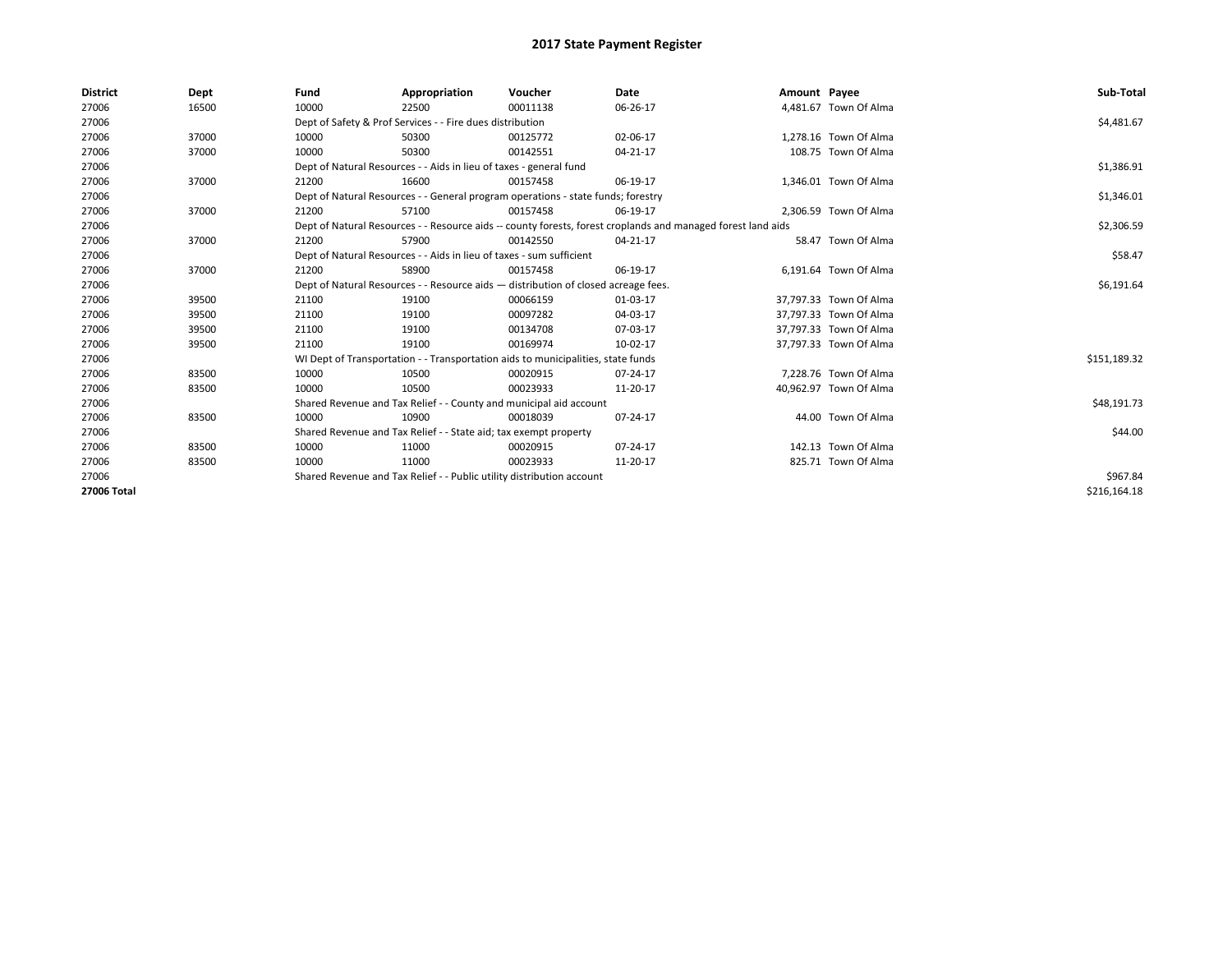| <b>District</b> | Dept  | Fund  | Appropriation                                                                                                | Voucher  | Date       | Amount Payee |                        | Sub-Total    |
|-----------------|-------|-------|--------------------------------------------------------------------------------------------------------------|----------|------------|--------------|------------------------|--------------|
| 27006           | 16500 | 10000 | 22500                                                                                                        | 00011138 | 06-26-17   |              | 4,481.67 Town Of Alma  |              |
| 27006           |       |       | Dept of Safety & Prof Services - - Fire dues distribution                                                    |          |            |              |                        | \$4,481.67   |
| 27006           | 37000 | 10000 | 50300                                                                                                        | 00125772 | 02-06-17   |              | 1.278.16 Town Of Alma  |              |
| 27006           | 37000 | 10000 | 50300                                                                                                        | 00142551 | 04-21-17   |              | 108.75 Town Of Alma    |              |
| 27006           |       |       | Dept of Natural Resources - - Aids in lieu of taxes - general fund                                           |          |            |              |                        | \$1,386.91   |
| 27006           | 37000 | 21200 | 16600                                                                                                        | 00157458 | 06-19-17   |              | 1,346.01 Town Of Alma  |              |
| 27006           |       |       | Dept of Natural Resources - - General program operations - state funds; forestry                             |          |            |              |                        | \$1,346.01   |
| 27006           | 37000 | 21200 | 57100                                                                                                        | 00157458 | 06-19-17   |              | 2,306.59 Town Of Alma  |              |
| 27006           |       |       | Dept of Natural Resources - - Resource aids -- county forests, forest croplands and managed forest land aids |          | \$2,306.59 |              |                        |              |
| 27006           | 37000 | 21200 | 57900                                                                                                        | 00142550 | 04-21-17   |              | 58.47 Town Of Alma     |              |
| 27006           |       |       | Dept of Natural Resources - - Aids in lieu of taxes - sum sufficient                                         |          |            |              |                        | \$58.47      |
| 27006           | 37000 | 21200 | 58900                                                                                                        | 00157458 | 06-19-17   |              | 6,191.64 Town Of Alma  |              |
| 27006           |       |       | Dept of Natural Resources - - Resource aids - distribution of closed acreage fees.                           |          | \$6,191.64 |              |                        |              |
| 27006           | 39500 | 21100 | 19100                                                                                                        | 00066159 | 01-03-17   |              | 37,797.33 Town Of Alma |              |
| 27006           | 39500 | 21100 | 19100                                                                                                        | 00097282 | 04-03-17   |              | 37,797.33 Town Of Alma |              |
| 27006           | 39500 | 21100 | 19100                                                                                                        | 00134708 | 07-03-17   |              | 37,797.33 Town Of Alma |              |
| 27006           | 39500 | 21100 | 19100                                                                                                        | 00169974 | 10-02-17   |              | 37,797.33 Town Of Alma |              |
| 27006           |       |       | WI Dept of Transportation - - Transportation aids to municipalities, state funds                             |          |            |              |                        | \$151,189.32 |
| 27006           | 83500 | 10000 | 10500                                                                                                        | 00020915 | 07-24-17   |              | 7,228.76 Town Of Alma  |              |
| 27006           | 83500 | 10000 | 10500                                                                                                        | 00023933 | 11-20-17   |              | 40,962.97 Town Of Alma |              |
| 27006           |       |       | Shared Revenue and Tax Relief - - County and municipal aid account                                           |          |            |              |                        | \$48,191.73  |
| 27006           | 83500 | 10000 | 10900                                                                                                        | 00018039 | 07-24-17   |              | 44.00 Town Of Alma     |              |
| 27006           |       |       | Shared Revenue and Tax Relief - - State aid; tax exempt property                                             |          |            |              |                        | \$44.00      |
| 27006           | 83500 | 10000 | 11000                                                                                                        | 00020915 | 07-24-17   |              | 142.13 Town Of Alma    |              |
| 27006           | 83500 | 10000 | 11000                                                                                                        | 00023933 | 11-20-17   |              | 825.71 Town Of Alma    |              |
| 27006           |       |       | Shared Revenue and Tax Relief - - Public utility distribution account                                        |          | \$967.84   |              |                        |              |
| 27006 Total     |       |       |                                                                                                              |          |            |              |                        | \$216,164.18 |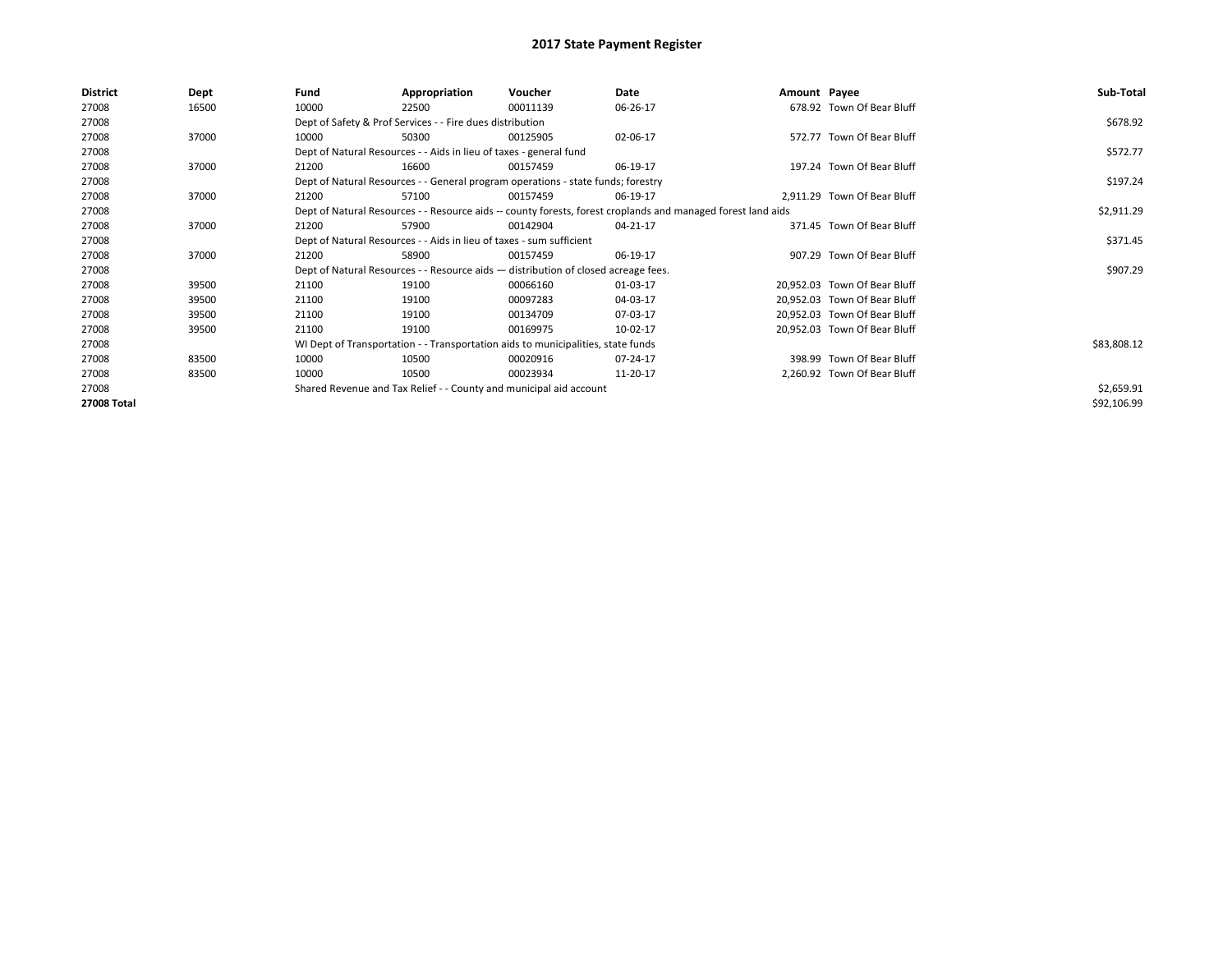| <b>District</b> | Dept  | Fund  | Appropriation                                                                      | Voucher  | Date                                                                                                         | Amount Payee |                              | Sub-Total   |  |
|-----------------|-------|-------|------------------------------------------------------------------------------------|----------|--------------------------------------------------------------------------------------------------------------|--------------|------------------------------|-------------|--|
| 27008           | 16500 | 10000 | 22500                                                                              | 00011139 | 06-26-17                                                                                                     |              | 678.92 Town Of Bear Bluff    |             |  |
| 27008           |       |       | Dept of Safety & Prof Services - - Fire dues distribution                          |          |                                                                                                              |              |                              | \$678.92    |  |
| 27008           | 37000 | 10000 | 50300                                                                              | 00125905 | 02-06-17                                                                                                     |              | 572.77 Town Of Bear Bluff    |             |  |
| 27008           |       |       | Dept of Natural Resources - - Aids in lieu of taxes - general fund                 |          |                                                                                                              |              |                              |             |  |
| 27008           | 37000 | 21200 | 16600                                                                              | 00157459 | 06-19-17                                                                                                     |              | 197.24 Town Of Bear Bluff    |             |  |
| 27008           |       |       | Dept of Natural Resources - - General program operations - state funds; forestry   |          | \$197.24                                                                                                     |              |                              |             |  |
| 27008           | 37000 | 21200 | 57100                                                                              | 00157459 | 06-19-17                                                                                                     |              | 2,911.29 Town Of Bear Bluff  |             |  |
| 27008           |       |       |                                                                                    |          | Dept of Natural Resources - - Resource aids -- county forests, forest croplands and managed forest land aids |              |                              | \$2,911.29  |  |
| 27008           | 37000 | 21200 | 57900                                                                              | 00142904 | 04-21-17                                                                                                     |              | 371.45 Town Of Bear Bluff    |             |  |
| 27008           |       |       | Dept of Natural Resources - - Aids in lieu of taxes - sum sufficient               |          |                                                                                                              |              |                              | \$371.45    |  |
| 27008           | 37000 | 21200 | 58900                                                                              | 00157459 | 06-19-17                                                                                                     |              | 907.29 Town Of Bear Bluff    |             |  |
| 27008           |       |       | Dept of Natural Resources - - Resource aids - distribution of closed acreage fees. |          |                                                                                                              |              |                              | \$907.29    |  |
| 27008           | 39500 | 21100 | 19100                                                                              | 00066160 | 01-03-17                                                                                                     |              | 20,952.03 Town Of Bear Bluff |             |  |
| 27008           | 39500 | 21100 | 19100                                                                              | 00097283 | 04-03-17                                                                                                     |              | 20,952.03 Town Of Bear Bluff |             |  |
| 27008           | 39500 | 21100 | 19100                                                                              | 00134709 | 07-03-17                                                                                                     |              | 20,952.03 Town Of Bear Bluff |             |  |
| 27008           | 39500 | 21100 | 19100                                                                              | 00169975 | 10-02-17                                                                                                     |              | 20,952.03 Town Of Bear Bluff |             |  |
| 27008           |       |       | WI Dept of Transportation - - Transportation aids to municipalities, state funds   |          |                                                                                                              |              |                              | \$83,808.12 |  |
| 27008           | 83500 | 10000 | 10500                                                                              | 00020916 | 07-24-17                                                                                                     |              | 398.99 Town Of Bear Bluff    |             |  |
| 27008           | 83500 | 10000 | 10500                                                                              | 00023934 | 11-20-17                                                                                                     |              | 2.260.92 Town Of Bear Bluff  |             |  |
| 27008           |       |       | Shared Revenue and Tax Relief - - County and municipal aid account                 |          |                                                                                                              |              |                              | \$2,659.91  |  |
| 27008 Total     |       |       |                                                                                    |          |                                                                                                              |              |                              | \$92,106.99 |  |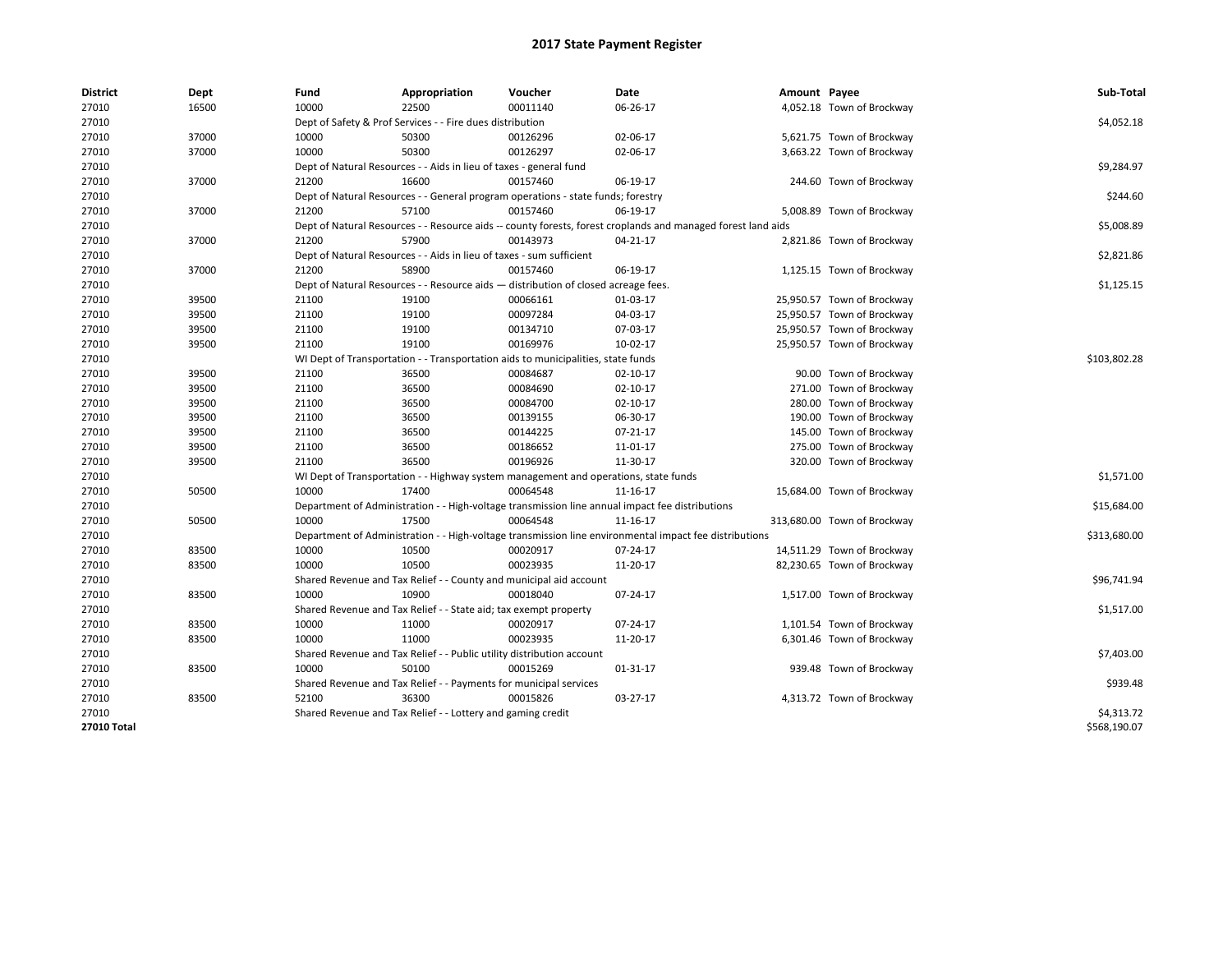| <b>District</b> | Dept  | Fund  | Appropriation                                                                                                | Voucher  | Date           | Amount Payee |                             | Sub-Total    |
|-----------------|-------|-------|--------------------------------------------------------------------------------------------------------------|----------|----------------|--------------|-----------------------------|--------------|
| 27010           | 16500 | 10000 | 22500                                                                                                        | 00011140 | 06-26-17       |              | 4,052.18 Town of Brockway   |              |
| 27010           |       |       | Dept of Safety & Prof Services - - Fire dues distribution                                                    |          |                |              |                             | \$4,052.18   |
| 27010           | 37000 | 10000 | 50300                                                                                                        | 00126296 | 02-06-17       |              | 5,621.75 Town of Brockway   |              |
| 27010           | 37000 | 10000 | 50300                                                                                                        | 00126297 | 02-06-17       |              | 3,663.22 Town of Brockway   |              |
| 27010           |       |       | Dept of Natural Resources - - Aids in lieu of taxes - general fund                                           |          |                |              |                             | \$9,284.97   |
| 27010           | 37000 | 21200 | 16600                                                                                                        | 00157460 | 06-19-17       |              | 244.60 Town of Brockway     |              |
| 27010           |       |       | Dept of Natural Resources - - General program operations - state funds; forestry                             |          |                |              |                             | \$244.60     |
| 27010           | 37000 | 21200 | 57100                                                                                                        | 00157460 | 06-19-17       |              | 5,008.89 Town of Brockway   |              |
| 27010           |       |       | Dept of Natural Resources - - Resource aids -- county forests, forest croplands and managed forest land aids |          |                |              |                             | \$5,008.89   |
| 27010           | 37000 | 21200 | 57900                                                                                                        | 00143973 | 04-21-17       |              | 2,821.86 Town of Brockway   |              |
| 27010           |       |       | Dept of Natural Resources - - Aids in lieu of taxes - sum sufficient                                         |          |                |              |                             | \$2,821.86   |
| 27010           | 37000 | 21200 | 58900                                                                                                        | 00157460 | 06-19-17       |              | 1,125.15 Town of Brockway   |              |
| 27010           |       |       | Dept of Natural Resources - - Resource aids - distribution of closed acreage fees.                           |          |                |              |                             | \$1,125.15   |
| 27010           | 39500 | 21100 | 19100                                                                                                        | 00066161 | 01-03-17       |              | 25,950.57 Town of Brockway  |              |
| 27010           | 39500 | 21100 | 19100                                                                                                        | 00097284 | 04-03-17       |              | 25,950.57 Town of Brockway  |              |
| 27010           | 39500 | 21100 | 19100                                                                                                        | 00134710 | 07-03-17       |              | 25,950.57 Town of Brockway  |              |
| 27010           | 39500 | 21100 | 19100                                                                                                        | 00169976 | 10-02-17       |              | 25,950.57 Town of Brockway  |              |
| 27010           |       |       | WI Dept of Transportation - - Transportation aids to municipalities, state funds                             |          |                |              |                             | \$103,802.28 |
| 27010           | 39500 | 21100 | 36500                                                                                                        | 00084687 | 02-10-17       |              | 90.00 Town of Brockway      |              |
| 27010           | 39500 | 21100 | 36500                                                                                                        | 00084690 | $02 - 10 - 17$ |              | 271.00 Town of Brockway     |              |
| 27010           | 39500 | 21100 | 36500                                                                                                        | 00084700 | $02 - 10 - 17$ |              | 280.00 Town of Brockway     |              |
| 27010           | 39500 | 21100 | 36500                                                                                                        | 00139155 | 06-30-17       |              | 190.00 Town of Brockway     |              |
| 27010           | 39500 | 21100 | 36500                                                                                                        | 00144225 | 07-21-17       |              | 145.00 Town of Brockway     |              |
| 27010           | 39500 | 21100 | 36500                                                                                                        | 00186652 | 11-01-17       |              | 275.00 Town of Brockway     |              |
| 27010           | 39500 | 21100 | 36500                                                                                                        | 00196926 | 11-30-17       |              | 320.00 Town of Brockway     |              |
| 27010           |       |       | WI Dept of Transportation - - Highway system management and operations, state funds                          |          |                |              |                             | \$1,571.00   |
| 27010           | 50500 | 10000 | 17400                                                                                                        | 00064548 | 11-16-17       |              | 15,684.00 Town of Brockway  |              |
| 27010           |       |       | Department of Administration - - High-voltage transmission line annual impact fee distributions              |          |                |              |                             | \$15,684.00  |
| 27010           | 50500 | 10000 | 17500                                                                                                        | 00064548 | 11-16-17       |              | 313,680.00 Town of Brockway |              |
| 27010           |       |       | Department of Administration - - High-voltage transmission line environmental impact fee distributions       |          |                |              |                             | \$313,680.00 |
| 27010           | 83500 | 10000 | 10500                                                                                                        | 00020917 | 07-24-17       |              | 14,511.29 Town of Brockway  |              |
| 27010           | 83500 | 10000 | 10500                                                                                                        | 00023935 | 11-20-17       |              | 82,230.65 Town of Brockway  |              |
| 27010           |       |       | Shared Revenue and Tax Relief - - County and municipal aid account                                           |          |                |              |                             | \$96,741.94  |
| 27010           | 83500 | 10000 | 10900                                                                                                        | 00018040 | 07-24-17       |              | 1,517.00 Town of Brockway   |              |
| 27010           |       |       | Shared Revenue and Tax Relief - - State aid; tax exempt property                                             |          |                |              |                             | \$1,517.00   |
| 27010           | 83500 | 10000 | 11000                                                                                                        | 00020917 | 07-24-17       |              | 1,101.54 Town of Brockway   |              |
| 27010           | 83500 | 10000 | 11000                                                                                                        | 00023935 | 11-20-17       |              | 6,301.46 Town of Brockway   |              |
| 27010           |       |       | Shared Revenue and Tax Relief - - Public utility distribution account                                        |          |                |              |                             | \$7,403.00   |
| 27010           | 83500 | 10000 | 50100                                                                                                        | 00015269 | 01-31-17       |              | 939.48 Town of Brockway     |              |
| 27010           |       |       | Shared Revenue and Tax Relief - - Payments for municipal services                                            |          |                |              |                             | \$939.48     |
| 27010           | 83500 | 52100 | 36300                                                                                                        | 00015826 | 03-27-17       |              | 4,313.72 Town of Brockway   |              |
| 27010           |       |       | Shared Revenue and Tax Relief - - Lottery and gaming credit                                                  |          |                |              |                             | \$4,313.72   |
| 27010 Total     |       |       |                                                                                                              |          |                |              |                             | \$568,190.07 |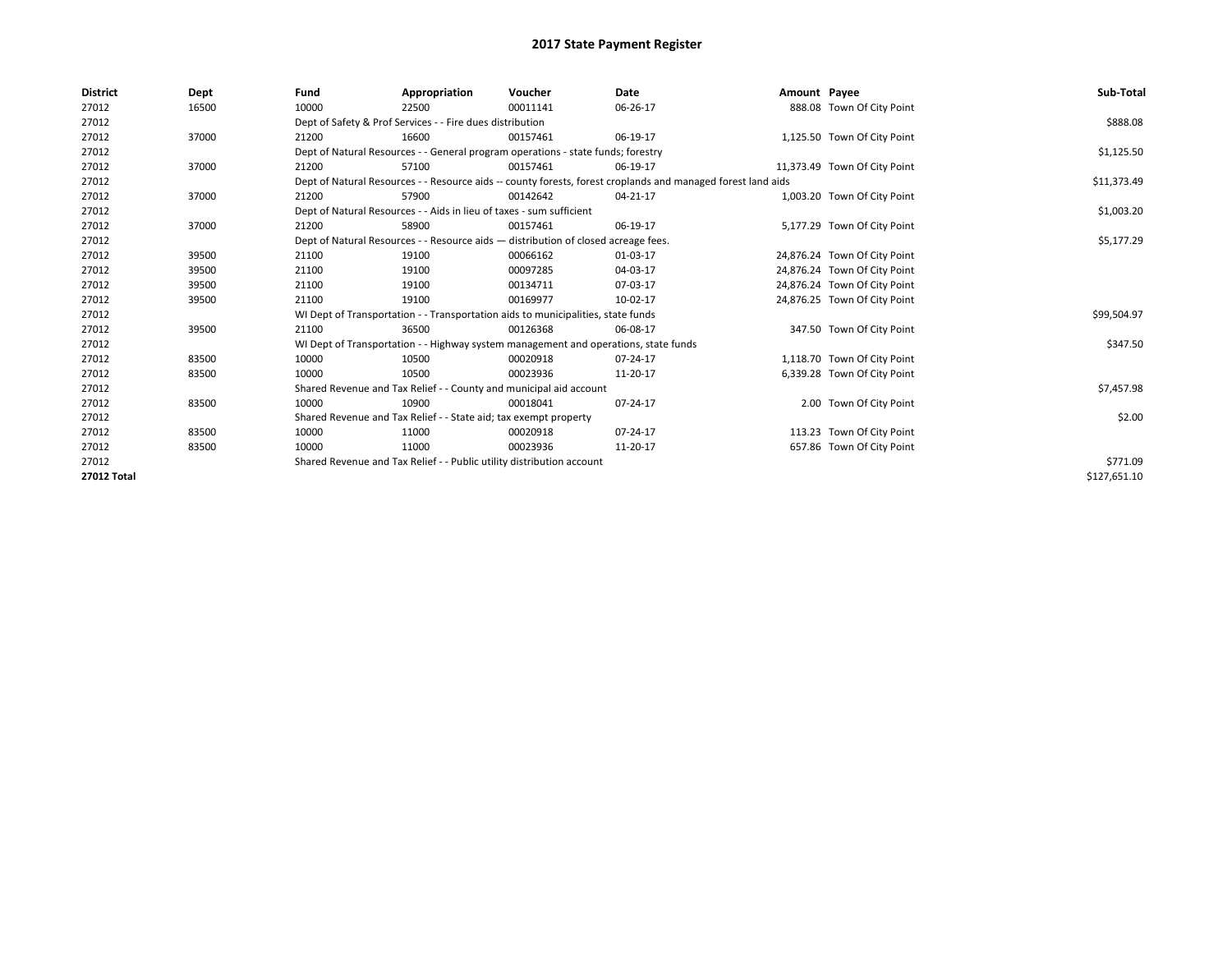| <b>District</b> | Dept  | Fund  | Appropriation                                                                                                | Voucher  | Date       | Amount Payee |                              | Sub-Total    |  |  |
|-----------------|-------|-------|--------------------------------------------------------------------------------------------------------------|----------|------------|--------------|------------------------------|--------------|--|--|
| 27012           | 16500 | 10000 | 22500                                                                                                        | 00011141 | 06-26-17   |              | 888.08 Town Of City Point    |              |  |  |
| 27012           |       |       | Dept of Safety & Prof Services - - Fire dues distribution                                                    |          |            |              |                              | \$888.08     |  |  |
| 27012           | 37000 | 21200 | 16600                                                                                                        | 00157461 | 06-19-17   |              | 1,125.50 Town Of City Point  |              |  |  |
| 27012           |       |       | Dept of Natural Resources - - General program operations - state funds; forestry                             |          |            |              |                              | \$1,125.50   |  |  |
| 27012           | 37000 | 21200 | 57100                                                                                                        | 00157461 | 06-19-17   |              | 11,373.49 Town Of City Point |              |  |  |
| 27012           |       |       | Dept of Natural Resources - - Resource aids -- county forests, forest croplands and managed forest land aids |          |            |              |                              |              |  |  |
| 27012           | 37000 | 21200 | 57900                                                                                                        | 00142642 | 04-21-17   |              | 1,003.20 Town Of City Point  |              |  |  |
| 27012           |       |       | Dept of Natural Resources - - Aids in lieu of taxes - sum sufficient                                         |          |            |              |                              | \$1,003.20   |  |  |
| 27012           | 37000 | 21200 | 58900                                                                                                        | 00157461 | 06-19-17   |              | 5,177.29 Town Of City Point  |              |  |  |
| 27012           |       |       | Dept of Natural Resources - - Resource aids - distribution of closed acreage fees.                           |          | \$5,177.29 |              |                              |              |  |  |
| 27012           | 39500 | 21100 | 19100                                                                                                        | 00066162 | 01-03-17   |              | 24,876.24 Town Of City Point |              |  |  |
| 27012           | 39500 | 21100 | 19100                                                                                                        | 00097285 | 04-03-17   |              | 24,876.24 Town Of City Point |              |  |  |
| 27012           | 39500 | 21100 | 19100                                                                                                        | 00134711 | 07-03-17   |              | 24,876.24 Town Of City Point |              |  |  |
| 27012           | 39500 | 21100 | 19100                                                                                                        | 00169977 | 10-02-17   |              | 24,876.25 Town Of City Point |              |  |  |
| 27012           |       |       | WI Dept of Transportation - - Transportation aids to municipalities, state funds                             |          |            |              |                              | \$99,504.97  |  |  |
| 27012           | 39500 | 21100 | 36500                                                                                                        | 00126368 | 06-08-17   |              | 347.50 Town Of City Point    |              |  |  |
| 27012           |       |       | WI Dept of Transportation - - Highway system management and operations, state funds                          |          |            |              |                              | \$347.50     |  |  |
| 27012           | 83500 | 10000 | 10500                                                                                                        | 00020918 | 07-24-17   |              | 1,118.70 Town Of City Point  |              |  |  |
| 27012           | 83500 | 10000 | 10500                                                                                                        | 00023936 | 11-20-17   |              | 6,339.28 Town Of City Point  |              |  |  |
| 27012           |       |       | Shared Revenue and Tax Relief - - County and municipal aid account                                           |          |            |              |                              | \$7,457.98   |  |  |
| 27012           | 83500 | 10000 | 10900                                                                                                        | 00018041 | 07-24-17   |              | 2.00 Town Of City Point      |              |  |  |
| 27012           |       |       | Shared Revenue and Tax Relief - - State aid; tax exempt property                                             |          |            |              |                              | \$2.00       |  |  |
| 27012           | 83500 | 10000 | 11000                                                                                                        | 00020918 | 07-24-17   |              | 113.23 Town Of City Point    |              |  |  |
| 27012           | 83500 | 10000 | 11000                                                                                                        | 00023936 | 11-20-17   |              | 657.86 Town Of City Point    |              |  |  |
| 27012           |       |       | Shared Revenue and Tax Relief - - Public utility distribution account                                        |          |            |              |                              |              |  |  |
| 27012 Total     |       |       |                                                                                                              |          |            |              |                              | \$127,651.10 |  |  |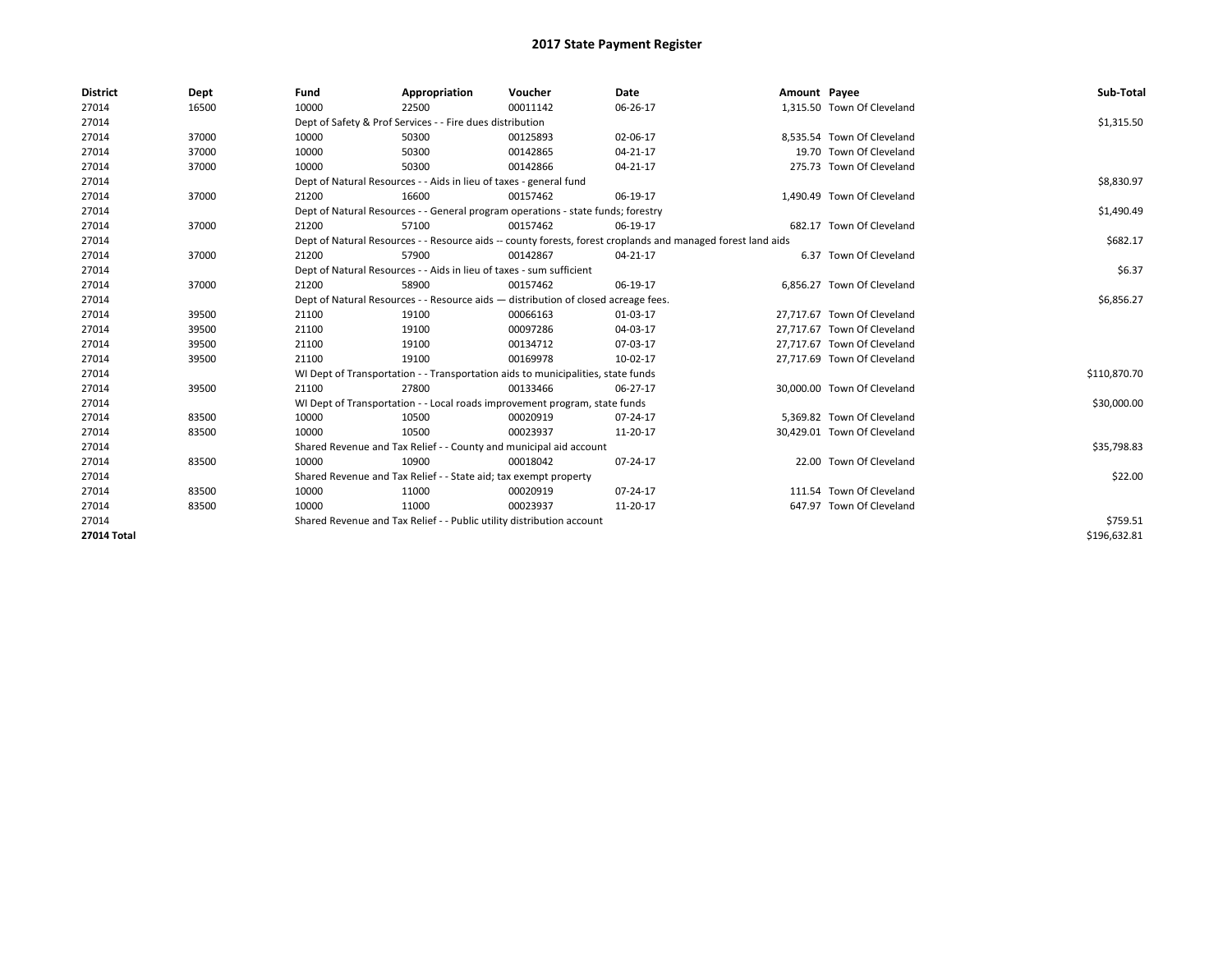| <b>District</b> | Dept  | Fund                                                                               | Appropriation                                                                                                | Voucher    | Date     | Amount Payee |                             | Sub-Total    |  |
|-----------------|-------|------------------------------------------------------------------------------------|--------------------------------------------------------------------------------------------------------------|------------|----------|--------------|-----------------------------|--------------|--|
| 27014           | 16500 | 10000                                                                              | 22500                                                                                                        | 00011142   | 06-26-17 |              | 1,315.50 Town Of Cleveland  |              |  |
| 27014           |       |                                                                                    | Dept of Safety & Prof Services - - Fire dues distribution                                                    |            |          |              |                             | \$1,315.50   |  |
| 27014           | 37000 | 10000                                                                              | 50300                                                                                                        | 00125893   | 02-06-17 |              | 8.535.54 Town Of Cleveland  |              |  |
| 27014           | 37000 | 10000                                                                              | 50300                                                                                                        | 00142865   | 04-21-17 |              | 19.70 Town Of Cleveland     |              |  |
| 27014           | 37000 | 10000                                                                              | 50300                                                                                                        | 00142866   | 04-21-17 |              | 275.73 Town Of Cleveland    |              |  |
| 27014           |       | Dept of Natural Resources - - Aids in lieu of taxes - general fund                 |                                                                                                              |            |          |              |                             | \$8,830.97   |  |
| 27014           | 37000 | 21200                                                                              | 16600                                                                                                        | 00157462   | 06-19-17 |              | 1,490.49 Town Of Cleveland  |              |  |
| 27014           |       |                                                                                    | Dept of Natural Resources - - General program operations - state funds; forestry                             |            |          |              |                             | \$1,490.49   |  |
| 27014           | 37000 | 21200                                                                              | 57100                                                                                                        | 00157462   | 06-19-17 |              | 682.17 Town Of Cleveland    |              |  |
| 27014           |       |                                                                                    | Dept of Natural Resources - - Resource aids -- county forests, forest croplands and managed forest land aids |            |          |              |                             |              |  |
| 27014           | 37000 | 21200                                                                              | 57900                                                                                                        | 00142867   | 04-21-17 |              | 6.37 Town Of Cleveland      |              |  |
| 27014           |       |                                                                                    | Dept of Natural Resources - - Aids in lieu of taxes - sum sufficient                                         |            |          |              |                             | \$6.37       |  |
| 27014           | 37000 | 21200                                                                              | 58900                                                                                                        | 00157462   | 06-19-17 |              | 6,856.27 Town Of Cleveland  |              |  |
| 27014           |       | Dept of Natural Resources - - Resource aids - distribution of closed acreage fees. |                                                                                                              | \$6,856.27 |          |              |                             |              |  |
| 27014           | 39500 | 21100                                                                              | 19100                                                                                                        | 00066163   | 01-03-17 |              | 27,717.67 Town Of Cleveland |              |  |
| 27014           | 39500 | 21100                                                                              | 19100                                                                                                        | 00097286   | 04-03-17 |              | 27.717.67 Town Of Cleveland |              |  |
| 27014           | 39500 | 21100                                                                              | 19100                                                                                                        | 00134712   | 07-03-17 |              | 27,717.67 Town Of Cleveland |              |  |
| 27014           | 39500 | 21100                                                                              | 19100                                                                                                        | 00169978   | 10-02-17 |              | 27,717.69 Town Of Cleveland |              |  |
| 27014           |       |                                                                                    | WI Dept of Transportation - - Transportation aids to municipalities, state funds                             |            |          |              |                             | \$110,870.70 |  |
| 27014           | 39500 | 21100                                                                              | 27800                                                                                                        | 00133466   | 06-27-17 |              | 30,000.00 Town Of Cleveland |              |  |
| 27014           |       |                                                                                    | WI Dept of Transportation - - Local roads improvement program, state funds                                   |            |          |              |                             | \$30,000.00  |  |
| 27014           | 83500 | 10000                                                                              | 10500                                                                                                        | 00020919   | 07-24-17 |              | 5.369.82 Town Of Cleveland  |              |  |
| 27014           | 83500 | 10000                                                                              | 10500                                                                                                        | 00023937   | 11-20-17 |              | 30,429.01 Town Of Cleveland |              |  |
| 27014           |       |                                                                                    | Shared Revenue and Tax Relief - - County and municipal aid account                                           |            |          |              |                             | \$35,798.83  |  |
| 27014           | 83500 | 10000                                                                              | 10900                                                                                                        | 00018042   | 07-24-17 |              | 22.00 Town Of Cleveland     |              |  |
| 27014           |       |                                                                                    | Shared Revenue and Tax Relief - - State aid; tax exempt property                                             |            |          |              |                             | \$22.00      |  |
| 27014           | 83500 | 10000                                                                              | 11000                                                                                                        | 00020919   | 07-24-17 |              | 111.54 Town Of Cleveland    |              |  |
| 27014           | 83500 | 10000                                                                              | 11000                                                                                                        | 00023937   | 11-20-17 |              | 647.97 Town Of Cleveland    |              |  |
| 27014           |       |                                                                                    | Shared Revenue and Tax Relief - - Public utility distribution account                                        |            |          |              |                             | \$759.51     |  |
| 27014 Total     |       |                                                                                    |                                                                                                              |            |          |              |                             | \$196,632.81 |  |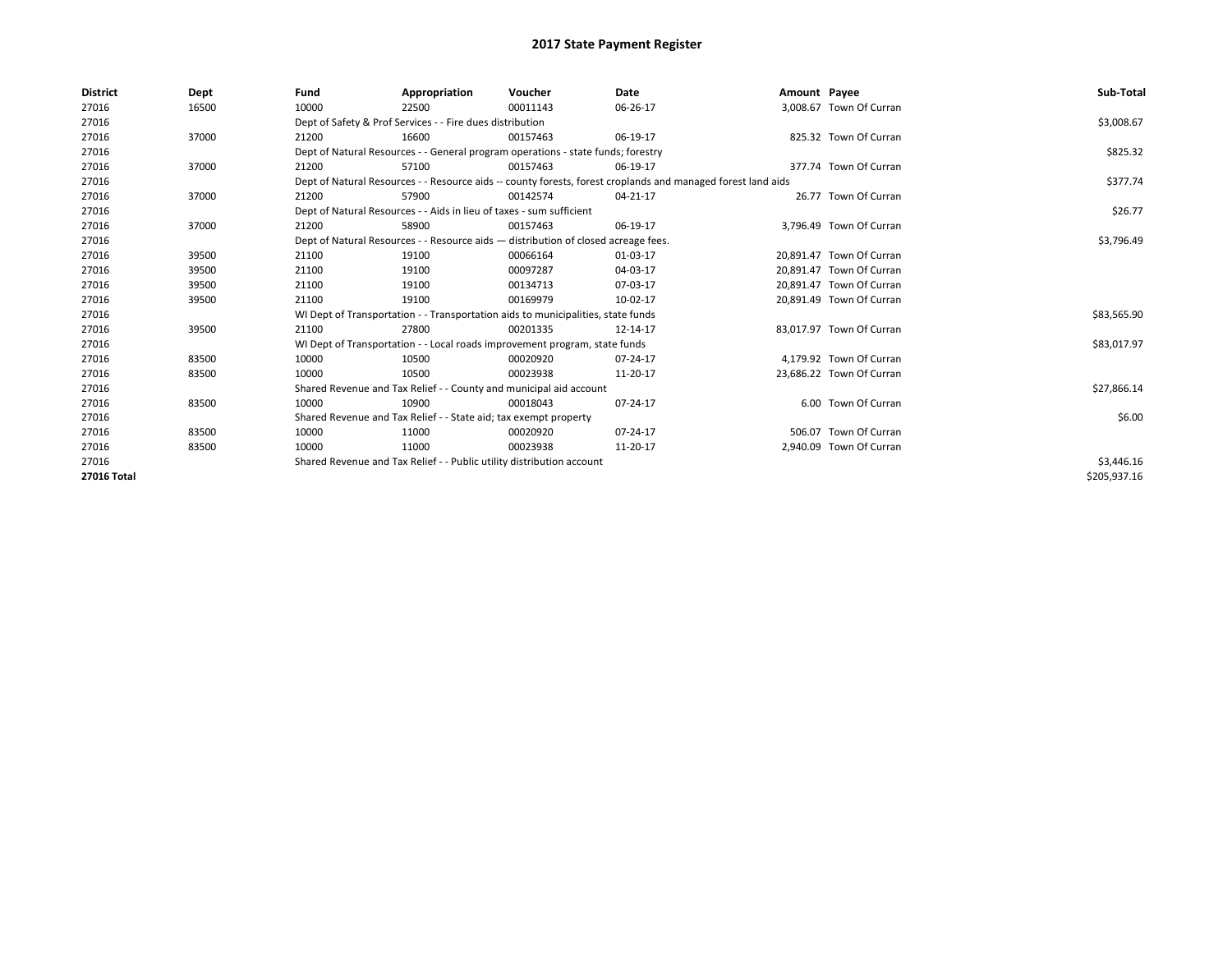| <b>District</b>    | Dept  | Fund  | Appropriation                                                                      | Voucher  | Date                                                                                                         | Amount Payee |                          | Sub-Total    |  |  |
|--------------------|-------|-------|------------------------------------------------------------------------------------|----------|--------------------------------------------------------------------------------------------------------------|--------------|--------------------------|--------------|--|--|
| 27016              | 16500 | 10000 | 22500                                                                              | 00011143 | 06-26-17                                                                                                     |              | 3,008.67 Town Of Curran  |              |  |  |
| 27016              |       |       | Dept of Safety & Prof Services - - Fire dues distribution                          |          |                                                                                                              |              |                          | \$3,008.67   |  |  |
| 27016              | 37000 | 21200 | 16600                                                                              | 00157463 | 06-19-17                                                                                                     |              | 825.32 Town Of Curran    |              |  |  |
| 27016              |       |       | Dept of Natural Resources - - General program operations - state funds; forestry   |          |                                                                                                              |              |                          | \$825.32     |  |  |
| 27016              | 37000 | 21200 | 57100                                                                              | 00157463 | 06-19-17                                                                                                     |              | 377.74 Town Of Curran    |              |  |  |
| 27016              |       |       |                                                                                    |          | Dept of Natural Resources - - Resource aids -- county forests, forest croplands and managed forest land aids |              |                          | \$377.74     |  |  |
| 27016              | 37000 | 21200 | 57900                                                                              | 00142574 | 04-21-17                                                                                                     |              | 26.77 Town Of Curran     |              |  |  |
| 27016              |       |       | Dept of Natural Resources - - Aids in lieu of taxes - sum sufficient               |          |                                                                                                              |              |                          | \$26.77      |  |  |
| 27016              | 37000 | 21200 | 58900                                                                              | 00157463 | 06-19-17                                                                                                     |              | 3,796.49 Town Of Curran  |              |  |  |
| 27016              |       |       | Dept of Natural Resources - - Resource aids - distribution of closed acreage fees. |          | \$3,796.49                                                                                                   |              |                          |              |  |  |
| 27016              | 39500 | 21100 | 19100                                                                              | 00066164 | 01-03-17                                                                                                     |              | 20.891.47 Town Of Curran |              |  |  |
| 27016              | 39500 | 21100 | 19100                                                                              | 00097287 | 04-03-17                                                                                                     |              | 20.891.47 Town Of Curran |              |  |  |
| 27016              | 39500 | 21100 | 19100                                                                              | 00134713 | 07-03-17                                                                                                     |              | 20,891.47 Town Of Curran |              |  |  |
| 27016              | 39500 | 21100 | 19100                                                                              | 00169979 | 10-02-17                                                                                                     |              | 20,891.49 Town Of Curran |              |  |  |
| 27016              |       |       | WI Dept of Transportation - - Transportation aids to municipalities, state funds   |          |                                                                                                              |              |                          | \$83,565.90  |  |  |
| 27016              | 39500 | 21100 | 27800                                                                              | 00201335 | 12-14-17                                                                                                     |              | 83.017.97 Town Of Curran |              |  |  |
| 27016              |       |       | WI Dept of Transportation - - Local roads improvement program, state funds         |          |                                                                                                              |              |                          | \$83,017.97  |  |  |
| 27016              | 83500 | 10000 | 10500                                                                              | 00020920 | 07-24-17                                                                                                     |              | 4,179.92 Town Of Curran  |              |  |  |
| 27016              | 83500 | 10000 | 10500                                                                              | 00023938 | 11-20-17                                                                                                     |              | 23,686.22 Town Of Curran |              |  |  |
| 27016              |       |       | Shared Revenue and Tax Relief - - County and municipal aid account                 |          |                                                                                                              |              |                          | \$27,866.14  |  |  |
| 27016              | 83500 | 10000 | 10900                                                                              | 00018043 | 07-24-17                                                                                                     |              | 6.00 Town Of Curran      |              |  |  |
| 27016              |       |       | Shared Revenue and Tax Relief - - State aid; tax exempt property                   |          |                                                                                                              |              |                          | \$6.00       |  |  |
| 27016              | 83500 | 10000 | 11000                                                                              | 00020920 | 07-24-17                                                                                                     |              | 506.07 Town Of Curran    |              |  |  |
| 27016              | 83500 | 10000 | 11000                                                                              | 00023938 | 11-20-17                                                                                                     |              | 2,940.09 Town Of Curran  |              |  |  |
| 27016              |       |       | Shared Revenue and Tax Relief - - Public utility distribution account              |          |                                                                                                              |              |                          |              |  |  |
| <b>27016 Total</b> |       |       |                                                                                    |          |                                                                                                              |              |                          | \$205,937.16 |  |  |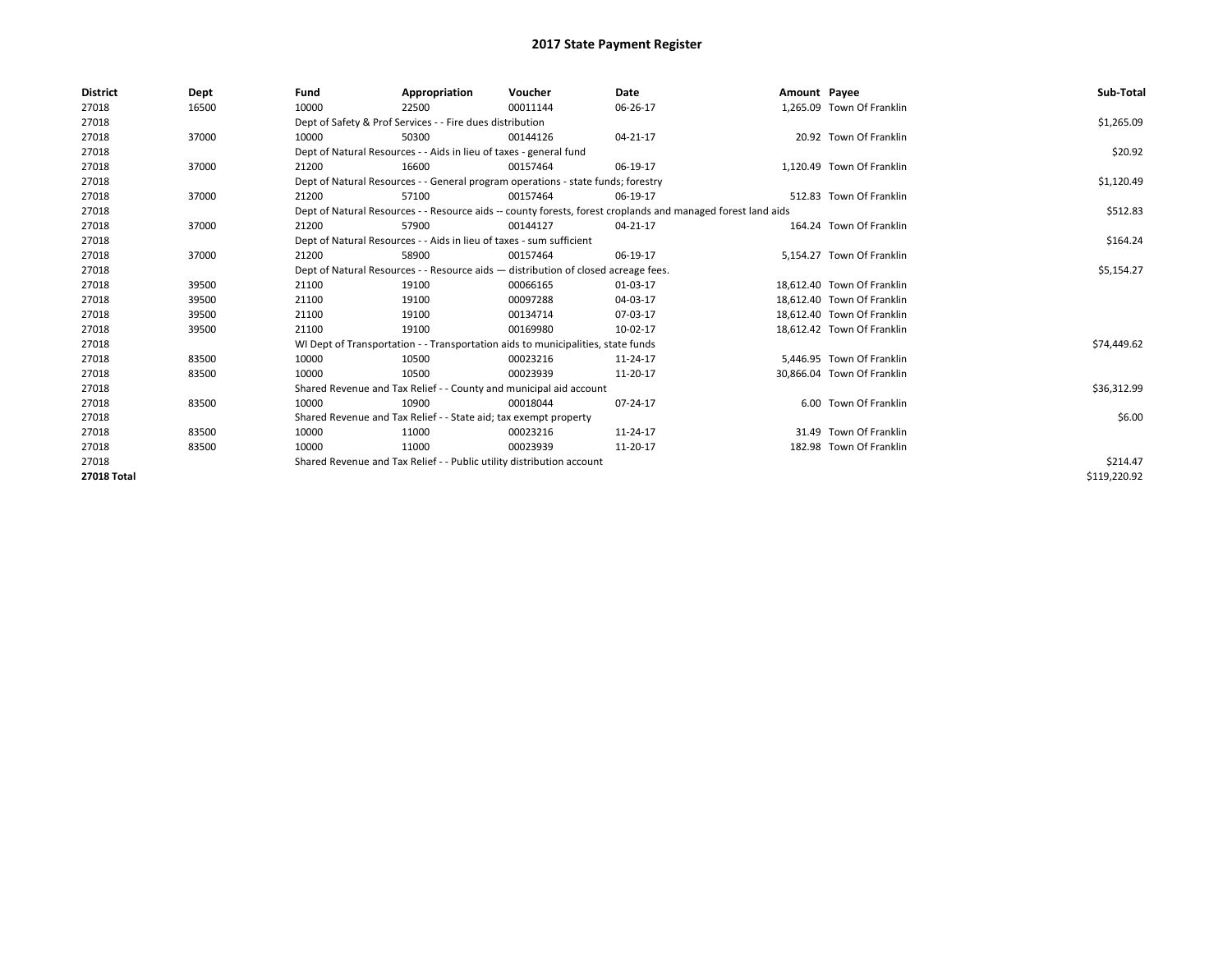| <b>District</b> | Dept  | Fund  | Appropriation                                                                      | Voucher  | Date                                                                                                         | Amount Payee |                            | Sub-Total    |  |  |
|-----------------|-------|-------|------------------------------------------------------------------------------------|----------|--------------------------------------------------------------------------------------------------------------|--------------|----------------------------|--------------|--|--|
| 27018           | 16500 | 10000 | 22500                                                                              | 00011144 | 06-26-17                                                                                                     |              | 1,265.09 Town Of Franklin  |              |  |  |
| 27018           |       |       | Dept of Safety & Prof Services - - Fire dues distribution                          |          |                                                                                                              |              |                            | \$1,265.09   |  |  |
| 27018           | 37000 | 10000 | 50300                                                                              | 00144126 | 04-21-17                                                                                                     |              | 20.92 Town Of Franklin     |              |  |  |
| 27018           |       |       | Dept of Natural Resources - - Aids in lieu of taxes - general fund                 |          |                                                                                                              |              |                            | \$20.92      |  |  |
| 27018           | 37000 | 21200 | 16600                                                                              | 00157464 | 06-19-17                                                                                                     |              | 1,120.49 Town Of Franklin  |              |  |  |
| 27018           |       |       | Dept of Natural Resources - - General program operations - state funds; forestry   |          |                                                                                                              |              |                            | \$1,120.49   |  |  |
| 27018           | 37000 | 21200 | 57100                                                                              | 00157464 | 06-19-17                                                                                                     |              | 512.83 Town Of Franklin    |              |  |  |
| 27018           |       |       |                                                                                    |          | Dept of Natural Resources - - Resource aids -- county forests, forest croplands and managed forest land aids |              |                            | \$512.83     |  |  |
| 27018           | 37000 | 21200 | 57900                                                                              | 00144127 | 04-21-17                                                                                                     |              | 164.24 Town Of Franklin    |              |  |  |
| 27018           |       |       | Dept of Natural Resources - - Aids in lieu of taxes - sum sufficient               |          | \$164.24                                                                                                     |              |                            |              |  |  |
| 27018           | 37000 | 21200 | 58900                                                                              | 00157464 | 06-19-17                                                                                                     |              | 5.154.27 Town Of Franklin  |              |  |  |
| 27018           |       |       | Dept of Natural Resources - - Resource aids - distribution of closed acreage fees. |          | \$5,154.27                                                                                                   |              |                            |              |  |  |
| 27018           | 39500 | 21100 | 19100                                                                              | 00066165 | 01-03-17                                                                                                     |              | 18.612.40 Town Of Franklin |              |  |  |
| 27018           | 39500 | 21100 | 19100                                                                              | 00097288 | 04-03-17                                                                                                     |              | 18.612.40 Town Of Franklin |              |  |  |
| 27018           | 39500 | 21100 | 19100                                                                              | 00134714 | 07-03-17                                                                                                     |              | 18,612.40 Town Of Franklin |              |  |  |
| 27018           | 39500 | 21100 | 19100                                                                              | 00169980 | 10-02-17                                                                                                     |              | 18,612.42 Town Of Franklin |              |  |  |
| 27018           |       |       | WI Dept of Transportation - - Transportation aids to municipalities, state funds   |          |                                                                                                              |              |                            | \$74,449.62  |  |  |
| 27018           | 83500 | 10000 | 10500                                                                              | 00023216 | 11-24-17                                                                                                     |              | 5,446.95 Town Of Franklin  |              |  |  |
| 27018           | 83500 | 10000 | 10500                                                                              | 00023939 | 11-20-17                                                                                                     |              | 30,866.04 Town Of Franklin |              |  |  |
| 27018           |       |       | Shared Revenue and Tax Relief - - County and municipal aid account                 |          |                                                                                                              |              |                            | \$36,312.99  |  |  |
| 27018           | 83500 | 10000 | 10900                                                                              | 00018044 | 07-24-17                                                                                                     |              | 6.00 Town Of Franklin      |              |  |  |
| 27018           |       |       | Shared Revenue and Tax Relief - - State aid; tax exempt property                   |          |                                                                                                              |              |                            | \$6.00       |  |  |
| 27018           | 83500 | 10000 | 11000                                                                              | 00023216 | 11-24-17                                                                                                     |              | 31.49 Town Of Franklin     |              |  |  |
| 27018           | 83500 | 10000 | 11000                                                                              | 00023939 | 11-20-17                                                                                                     |              | 182.98 Town Of Franklin    |              |  |  |
| 27018           |       |       | Shared Revenue and Tax Relief - - Public utility distribution account              |          |                                                                                                              |              |                            |              |  |  |
| 27018 Total     |       |       |                                                                                    |          |                                                                                                              |              |                            | \$119,220.92 |  |  |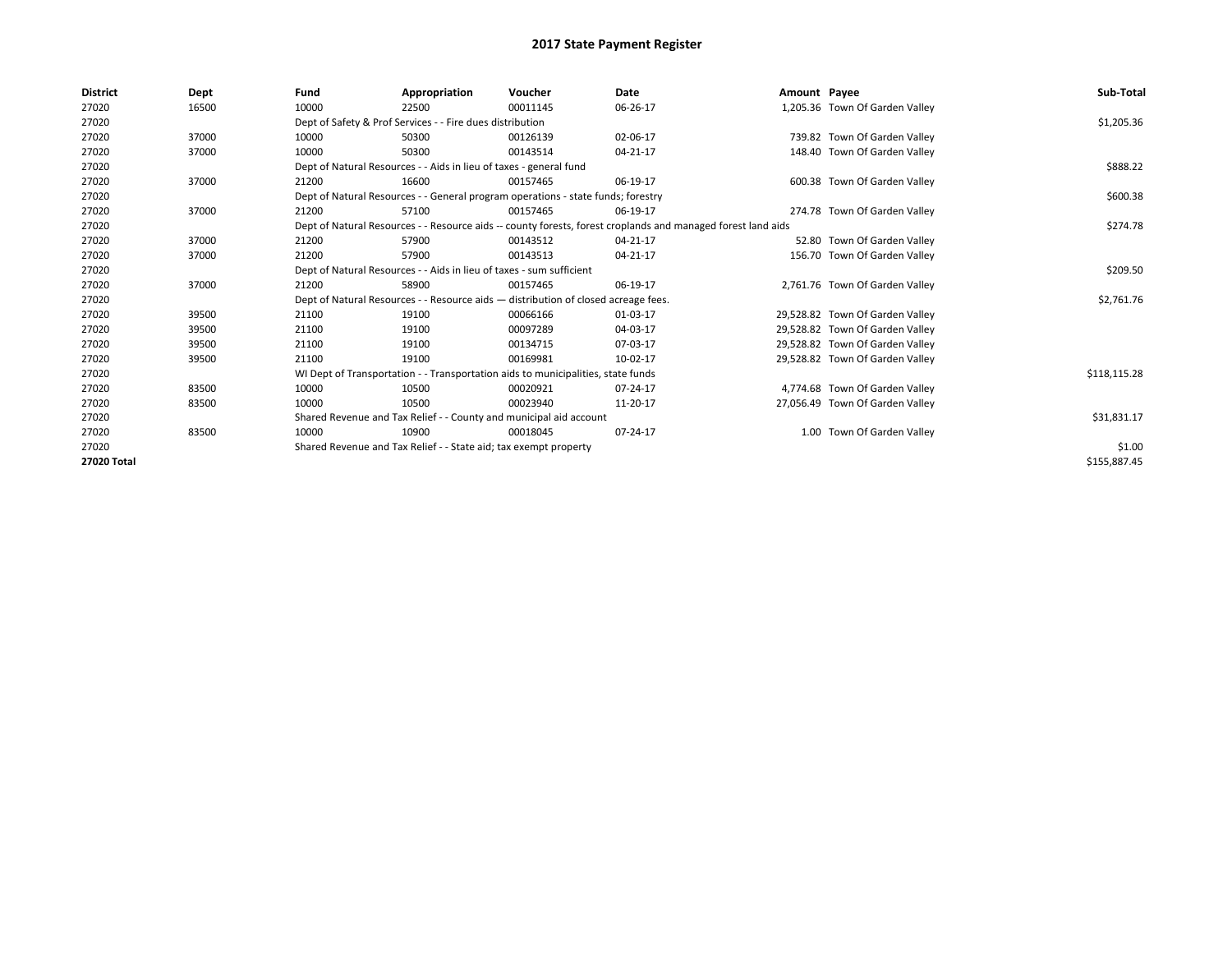| <b>District</b> | Dept  | Fund                                                                 | Appropriation                                                                                                | Voucher                                                                            | Date     | Amount Payee |                                 | Sub-Total    |  |  |
|-----------------|-------|----------------------------------------------------------------------|--------------------------------------------------------------------------------------------------------------|------------------------------------------------------------------------------------|----------|--------------|---------------------------------|--------------|--|--|
| 27020           | 16500 | 10000                                                                | 22500                                                                                                        | 00011145                                                                           | 06-26-17 |              | 1,205.36 Town Of Garden Valley  |              |  |  |
| 27020           |       |                                                                      | Dept of Safety & Prof Services - - Fire dues distribution                                                    |                                                                                    |          |              |                                 | \$1,205.36   |  |  |
| 27020           | 37000 | 10000                                                                | 50300                                                                                                        | 00126139                                                                           | 02-06-17 |              | 739.82 Town Of Garden Valley    |              |  |  |
| 27020           | 37000 | 10000                                                                | 50300                                                                                                        | 00143514                                                                           | 04-21-17 |              | 148.40 Town Of Garden Valley    |              |  |  |
| 27020           |       |                                                                      | Dept of Natural Resources - - Aids in lieu of taxes - general fund                                           |                                                                                    |          |              |                                 | \$888.22     |  |  |
| 27020           | 37000 | 21200                                                                | 16600                                                                                                        | 00157465                                                                           | 06-19-17 |              | 600.38 Town Of Garden Valley    |              |  |  |
| 27020           |       |                                                                      |                                                                                                              | Dept of Natural Resources - - General program operations - state funds; forestry   |          |              |                                 | \$600.38     |  |  |
| 27020           | 37000 | 21200                                                                | 57100                                                                                                        | 00157465                                                                           | 06-19-17 |              | 274.78 Town Of Garden Valley    |              |  |  |
| 27020           |       |                                                                      | Dept of Natural Resources - - Resource aids -- county forests, forest croplands and managed forest land aids |                                                                                    |          |              |                                 |              |  |  |
| 27020           | 37000 | 21200                                                                | 57900                                                                                                        | 00143512                                                                           | 04-21-17 |              | 52.80 Town Of Garden Valley     |              |  |  |
| 27020           | 37000 | 21200                                                                | 57900                                                                                                        | 00143513                                                                           | 04-21-17 |              | 156.70 Town Of Garden Valley    |              |  |  |
| 27020           |       | Dept of Natural Resources - - Aids in lieu of taxes - sum sufficient |                                                                                                              | \$209.50                                                                           |          |              |                                 |              |  |  |
| 27020           | 37000 | 21200                                                                | 58900                                                                                                        | 00157465                                                                           | 06-19-17 |              | 2,761.76 Town Of Garden Valley  |              |  |  |
| 27020           |       |                                                                      |                                                                                                              | Dept of Natural Resources - - Resource aids - distribution of closed acreage fees. |          |              |                                 | \$2,761.76   |  |  |
| 27020           | 39500 | 21100                                                                | 19100                                                                                                        | 00066166                                                                           | 01-03-17 |              | 29,528.82 Town Of Garden Valley |              |  |  |
| 27020           | 39500 | 21100                                                                | 19100                                                                                                        | 00097289                                                                           | 04-03-17 |              | 29,528.82 Town Of Garden Valley |              |  |  |
| 27020           | 39500 | 21100                                                                | 19100                                                                                                        | 00134715                                                                           | 07-03-17 |              | 29,528.82 Town Of Garden Valley |              |  |  |
| 27020           | 39500 | 21100                                                                | 19100                                                                                                        | 00169981                                                                           | 10-02-17 |              | 29,528.82 Town Of Garden Valley |              |  |  |
| 27020           |       |                                                                      |                                                                                                              | WI Dept of Transportation - - Transportation aids to municipalities, state funds   |          |              |                                 | \$118,115.28 |  |  |
| 27020           | 83500 | 10000                                                                | 10500                                                                                                        | 00020921                                                                           | 07-24-17 |              | 4,774.68 Town Of Garden Valley  |              |  |  |
| 27020           | 83500 | 10000                                                                | 10500                                                                                                        | 00023940                                                                           | 11-20-17 |              | 27,056.49 Town Of Garden Valley |              |  |  |
| 27020           |       |                                                                      | Shared Revenue and Tax Relief - - County and municipal aid account                                           |                                                                                    |          |              |                                 | \$31,831.17  |  |  |
| 27020           | 83500 | 10000                                                                | 10900                                                                                                        | 00018045                                                                           | 07-24-17 |              | 1.00 Town Of Garden Valley      |              |  |  |
| 27020           |       |                                                                      | Shared Revenue and Tax Relief - - State aid; tax exempt property                                             |                                                                                    |          |              |                                 | \$1.00       |  |  |
| 27020 Total     |       |                                                                      |                                                                                                              |                                                                                    |          |              |                                 | \$155,887.45 |  |  |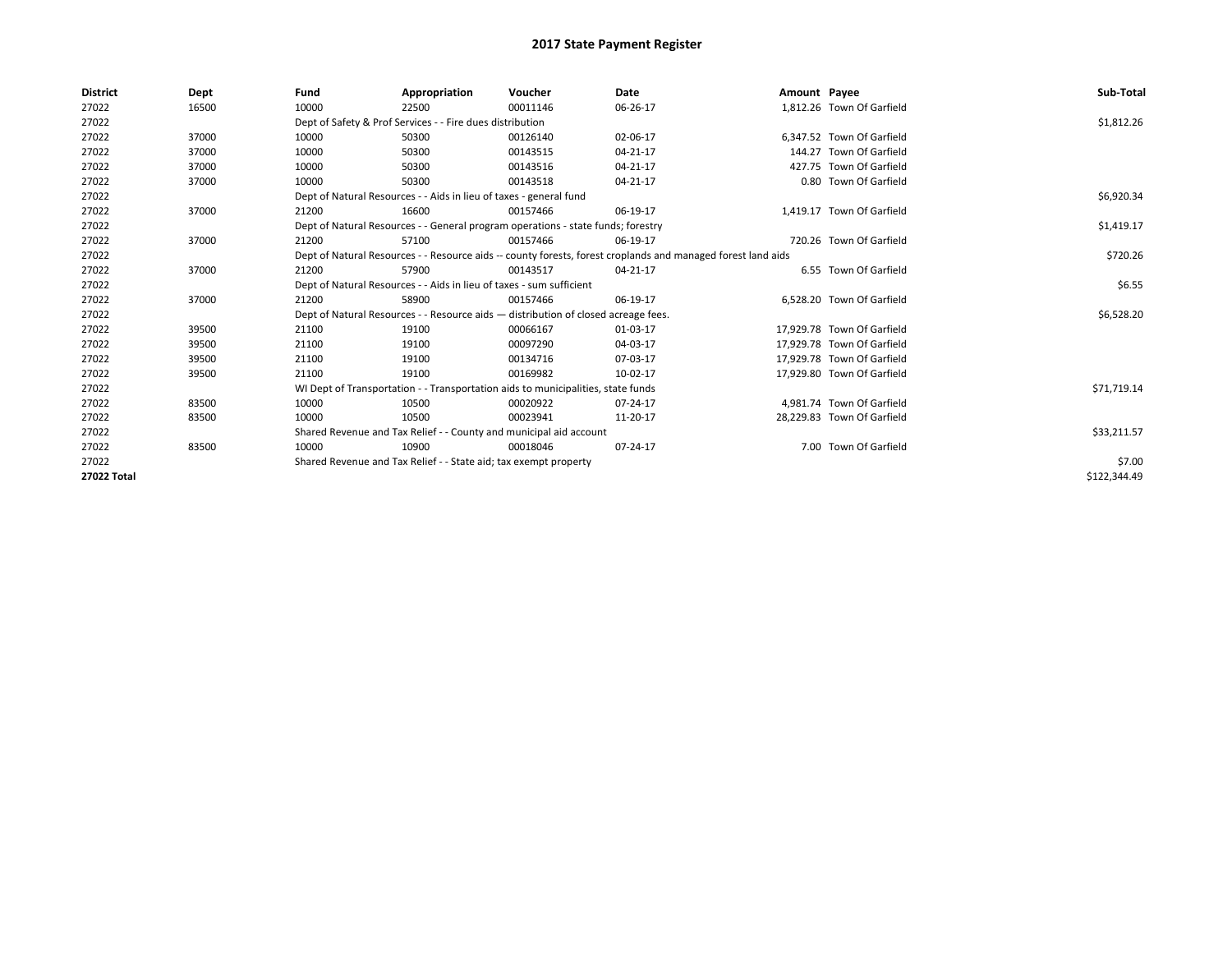| <b>District</b> | Dept  | Fund  | Appropriation                                                                                                | Voucher  | Date     | Amount Payee |                            | Sub-Total    |  |  |
|-----------------|-------|-------|--------------------------------------------------------------------------------------------------------------|----------|----------|--------------|----------------------------|--------------|--|--|
| 27022           | 16500 | 10000 | 22500                                                                                                        | 00011146 | 06-26-17 |              | 1.812.26 Town Of Garfield  |              |  |  |
| 27022           |       |       | Dept of Safety & Prof Services - - Fire dues distribution                                                    |          |          |              |                            | \$1,812.26   |  |  |
| 27022           | 37000 | 10000 | 50300                                                                                                        | 00126140 | 02-06-17 |              | 6,347.52 Town Of Garfield  |              |  |  |
| 27022           | 37000 | 10000 | 50300                                                                                                        | 00143515 | 04-21-17 |              | 144.27 Town Of Garfield    |              |  |  |
| 27022           | 37000 | 10000 | 50300                                                                                                        | 00143516 | 04-21-17 |              | 427.75 Town Of Garfield    |              |  |  |
| 27022           | 37000 | 10000 | 50300                                                                                                        | 00143518 | 04-21-17 |              | 0.80 Town Of Garfield      |              |  |  |
| 27022           |       |       | Dept of Natural Resources - - Aids in lieu of taxes - general fund                                           |          |          |              |                            | \$6,920.34   |  |  |
| 27022           | 37000 | 21200 | 16600                                                                                                        | 00157466 | 06-19-17 |              | 1,419.17 Town Of Garfield  |              |  |  |
| 27022           |       |       | Dept of Natural Resources - - General program operations - state funds; forestry                             |          |          |              |                            | \$1,419.17   |  |  |
| 27022           | 37000 | 21200 | 57100                                                                                                        | 00157466 | 06-19-17 |              | 720.26 Town Of Garfield    |              |  |  |
| 27022           |       |       | Dept of Natural Resources - - Resource aids -- county forests, forest croplands and managed forest land aids |          | \$720.26 |              |                            |              |  |  |
| 27022           | 37000 | 21200 | 57900                                                                                                        | 00143517 | 04-21-17 |              | 6.55 Town Of Garfield      |              |  |  |
| 27022           |       |       | Dept of Natural Resources - - Aids in lieu of taxes - sum sufficient                                         |          |          |              |                            |              |  |  |
| 27022           | 37000 | 21200 | 58900                                                                                                        | 00157466 | 06-19-17 |              | 6,528.20 Town Of Garfield  |              |  |  |
| 27022           |       |       | Dept of Natural Resources - - Resource aids - distribution of closed acreage fees.                           |          |          |              |                            | \$6,528.20   |  |  |
| 27022           | 39500 | 21100 | 19100                                                                                                        | 00066167 | 01-03-17 |              | 17.929.78 Town Of Garfield |              |  |  |
| 27022           | 39500 | 21100 | 19100                                                                                                        | 00097290 | 04-03-17 |              | 17,929.78 Town Of Garfield |              |  |  |
| 27022           | 39500 | 21100 | 19100                                                                                                        | 00134716 | 07-03-17 |              | 17,929.78 Town Of Garfield |              |  |  |
| 27022           | 39500 | 21100 | 19100                                                                                                        | 00169982 | 10-02-17 |              | 17,929.80 Town Of Garfield |              |  |  |
| 27022           |       |       | WI Dept of Transportation - - Transportation aids to municipalities, state funds                             |          |          |              |                            | \$71,719.14  |  |  |
| 27022           | 83500 | 10000 | 10500                                                                                                        | 00020922 | 07-24-17 |              | 4,981.74 Town Of Garfield  |              |  |  |
| 27022           | 83500 | 10000 | 10500                                                                                                        | 00023941 | 11-20-17 |              | 28,229.83 Town Of Garfield |              |  |  |
| 27022           |       |       | Shared Revenue and Tax Relief - - County and municipal aid account                                           |          |          |              |                            | \$33,211.57  |  |  |
| 27022           | 83500 | 10000 | 10900                                                                                                        | 00018046 | 07-24-17 |              | 7.00 Town Of Garfield      |              |  |  |
| 27022           |       |       | Shared Revenue and Tax Relief - - State aid; tax exempt property                                             |          |          |              |                            | \$7.00       |  |  |
| 27022 Total     |       |       |                                                                                                              |          |          |              |                            | \$122,344.49 |  |  |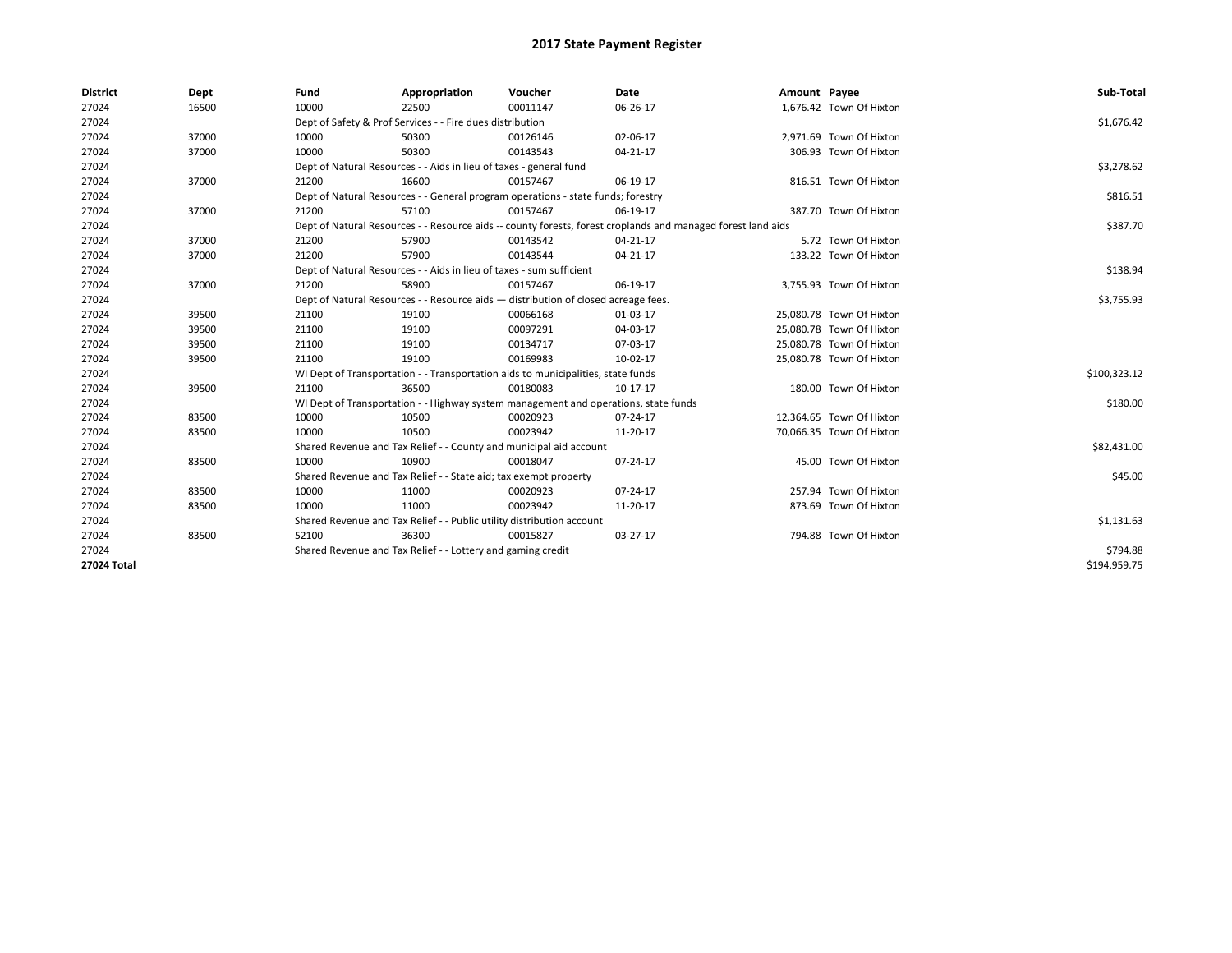| <b>District</b> | Dept  | Fund  | Appropriation                                                                                                | Voucher  | Date     | Amount Payee |                          | Sub-Total    |  |  |
|-----------------|-------|-------|--------------------------------------------------------------------------------------------------------------|----------|----------|--------------|--------------------------|--------------|--|--|
| 27024           | 16500 | 10000 | 22500                                                                                                        | 00011147 | 06-26-17 |              | 1,676.42 Town Of Hixton  |              |  |  |
| 27024           |       |       | Dept of Safety & Prof Services - - Fire dues distribution                                                    |          |          |              |                          | \$1,676.42   |  |  |
| 27024           | 37000 | 10000 | 50300                                                                                                        | 00126146 | 02-06-17 |              | 2,971.69 Town Of Hixton  |              |  |  |
| 27024           | 37000 | 10000 | 50300                                                                                                        | 00143543 | 04-21-17 |              | 306.93 Town Of Hixton    |              |  |  |
| 27024           |       |       | Dept of Natural Resources - - Aids in lieu of taxes - general fund                                           |          |          |              |                          | \$3,278.62   |  |  |
| 27024           | 37000 | 21200 | 16600                                                                                                        | 00157467 | 06-19-17 |              | 816.51 Town Of Hixton    |              |  |  |
| 27024           |       |       | Dept of Natural Resources - - General program operations - state funds; forestry                             |          |          |              |                          | \$816.51     |  |  |
| 27024           | 37000 | 21200 | 57100                                                                                                        | 00157467 | 06-19-17 |              | 387.70 Town Of Hixton    |              |  |  |
| 27024           |       |       | Dept of Natural Resources - - Resource aids -- county forests, forest croplands and managed forest land aids |          |          |              |                          | \$387.70     |  |  |
| 27024           | 37000 | 21200 | 57900                                                                                                        | 00143542 | 04-21-17 |              | 5.72 Town Of Hixton      |              |  |  |
| 27024           | 37000 | 21200 | 57900                                                                                                        | 00143544 | 04-21-17 |              | 133.22 Town Of Hixton    |              |  |  |
| 27024           |       |       | Dept of Natural Resources - - Aids in lieu of taxes - sum sufficient                                         |          | \$138.94 |              |                          |              |  |  |
| 27024           | 37000 | 21200 | 58900                                                                                                        | 00157467 | 06-19-17 |              | 3,755.93 Town Of Hixton  |              |  |  |
| 27024           |       |       | Dept of Natural Resources - - Resource aids - distribution of closed acreage fees.                           |          |          |              |                          |              |  |  |
| 27024           | 39500 | 21100 | 19100                                                                                                        | 00066168 | 01-03-17 |              | 25,080.78 Town Of Hixton |              |  |  |
| 27024           | 39500 | 21100 | 19100                                                                                                        | 00097291 | 04-03-17 |              | 25,080.78 Town Of Hixton |              |  |  |
| 27024           | 39500 | 21100 | 19100                                                                                                        | 00134717 | 07-03-17 |              | 25,080.78 Town Of Hixton |              |  |  |
| 27024           | 39500 | 21100 | 19100                                                                                                        | 00169983 | 10-02-17 |              | 25,080.78 Town Of Hixton |              |  |  |
| 27024           |       |       | WI Dept of Transportation - - Transportation aids to municipalities, state funds                             |          |          |              |                          | \$100,323.12 |  |  |
| 27024           | 39500 | 21100 | 36500                                                                                                        | 00180083 | 10-17-17 |              | 180.00 Town Of Hixton    |              |  |  |
| 27024           |       |       | WI Dept of Transportation - - Highway system management and operations, state funds                          |          |          |              |                          | \$180.00     |  |  |
| 27024           | 83500 | 10000 | 10500                                                                                                        | 00020923 | 07-24-17 |              | 12,364.65 Town Of Hixton |              |  |  |
| 27024           | 83500 | 10000 | 10500                                                                                                        | 00023942 | 11-20-17 |              | 70.066.35 Town Of Hixton |              |  |  |
| 27024           |       |       | Shared Revenue and Tax Relief - - County and municipal aid account                                           |          |          |              |                          | \$82,431.00  |  |  |
| 27024           | 83500 | 10000 | 10900                                                                                                        | 00018047 | 07-24-17 |              | 45.00 Town Of Hixton     |              |  |  |
| 27024           |       |       | Shared Revenue and Tax Relief - - State aid; tax exempt property                                             |          |          |              |                          | \$45.00      |  |  |
| 27024           | 83500 | 10000 | 11000                                                                                                        | 00020923 | 07-24-17 |              | 257.94 Town Of Hixton    |              |  |  |
| 27024           | 83500 | 10000 | 11000                                                                                                        | 00023942 | 11-20-17 |              | 873.69 Town Of Hixton    |              |  |  |
| 27024           |       |       | Shared Revenue and Tax Relief - - Public utility distribution account                                        |          |          |              |                          | \$1,131.63   |  |  |
| 27024           | 83500 | 52100 | 36300                                                                                                        | 00015827 | 03-27-17 |              | 794.88 Town Of Hixton    |              |  |  |
| 27024           |       |       | Shared Revenue and Tax Relief - - Lottery and gaming credit                                                  |          |          |              |                          | \$794.88     |  |  |
| 27024 Total     |       |       |                                                                                                              |          |          |              |                          | \$194,959.75 |  |  |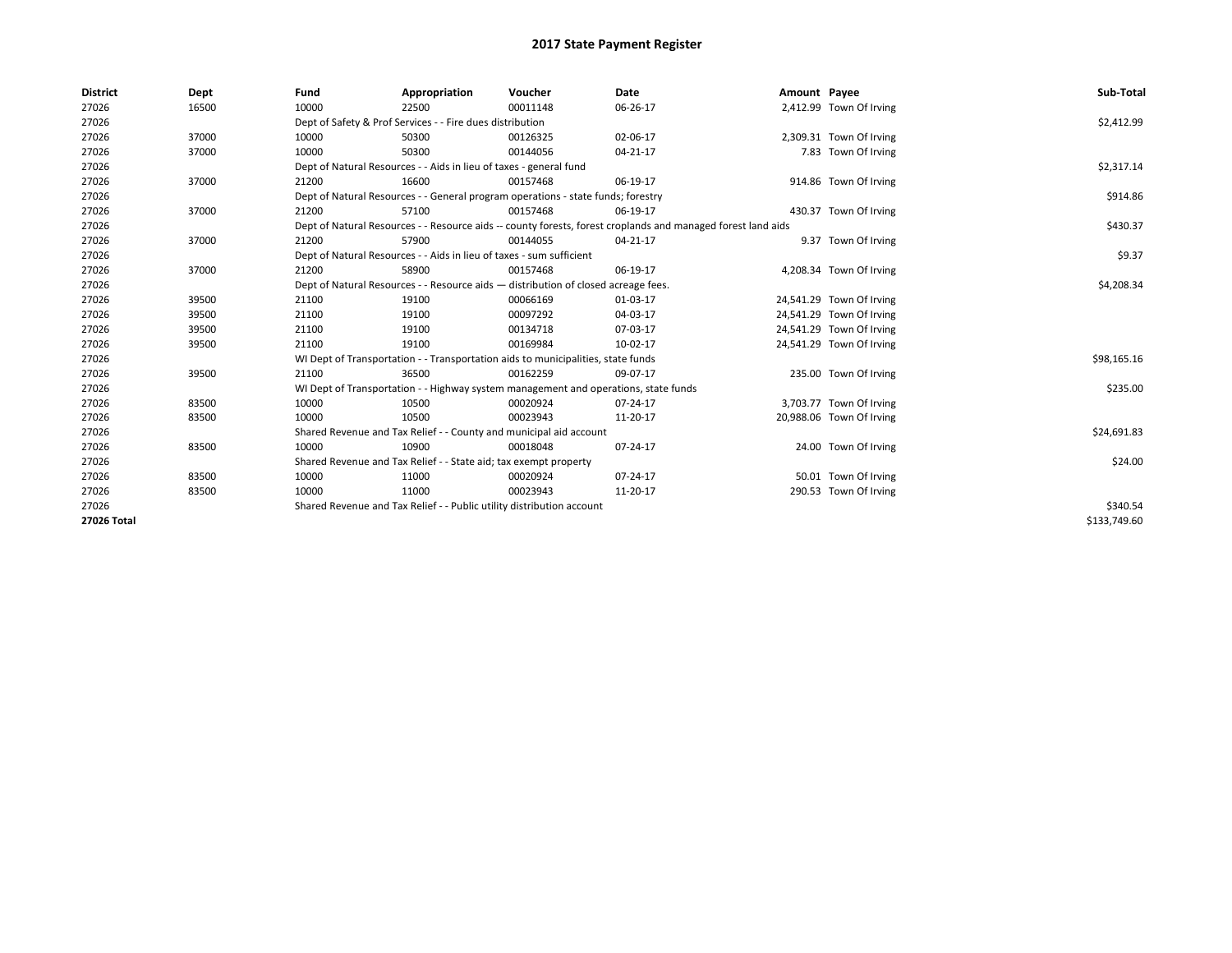| <b>District</b> | Dept  | Fund                                                                               | Appropriation                                                                       | Voucher    | Date                                                                                                         | Amount Payee |                          | Sub-Total    |
|-----------------|-------|------------------------------------------------------------------------------------|-------------------------------------------------------------------------------------|------------|--------------------------------------------------------------------------------------------------------------|--------------|--------------------------|--------------|
| 27026           | 16500 | 10000                                                                              | 22500                                                                               | 00011148   | 06-26-17                                                                                                     |              | 2,412.99 Town Of Irving  |              |
| 27026           |       |                                                                                    | Dept of Safety & Prof Services - - Fire dues distribution                           |            |                                                                                                              |              |                          | \$2,412.99   |
| 27026           | 37000 | 10000                                                                              | 50300                                                                               | 00126325   | 02-06-17                                                                                                     |              | 2,309.31 Town Of Irving  |              |
| 27026           | 37000 | 10000                                                                              | 50300                                                                               | 00144056   | 04-21-17                                                                                                     |              | 7.83 Town Of Irving      |              |
| 27026           |       |                                                                                    | Dept of Natural Resources - - Aids in lieu of taxes - general fund                  |            |                                                                                                              |              |                          | \$2,317.14   |
| 27026           | 37000 | 21200                                                                              | 16600                                                                               | 00157468   | 06-19-17                                                                                                     |              | 914.86 Town Of Irving    |              |
| 27026           |       |                                                                                    | Dept of Natural Resources - - General program operations - state funds; forestry    |            |                                                                                                              |              |                          | \$914.86     |
| 27026           | 37000 | 21200                                                                              | 57100                                                                               | 00157468   | 06-19-17                                                                                                     |              | 430.37 Town Of Irving    |              |
| 27026           |       |                                                                                    |                                                                                     |            | Dept of Natural Resources - - Resource aids -- county forests, forest croplands and managed forest land aids |              |                          | \$430.37     |
| 27026           | 37000 | 21200                                                                              | 57900                                                                               | 00144055   | 04-21-17                                                                                                     |              | 9.37 Town Of Irving      |              |
| 27026           |       |                                                                                    | Dept of Natural Resources - - Aids in lieu of taxes - sum sufficient                |            |                                                                                                              |              |                          | \$9.37       |
| 27026           | 37000 | 21200                                                                              | 58900                                                                               | 00157468   | 06-19-17                                                                                                     |              | 4,208.34 Town Of Irving  |              |
| 27026           |       | Dept of Natural Resources - - Resource aids - distribution of closed acreage fees. |                                                                                     | \$4,208.34 |                                                                                                              |              |                          |              |
| 27026           | 39500 | 21100                                                                              | 19100                                                                               | 00066169   | 01-03-17                                                                                                     |              | 24,541.29 Town Of Irving |              |
| 27026           | 39500 | 21100                                                                              | 19100                                                                               | 00097292   | 04-03-17                                                                                                     |              | 24,541.29 Town Of Irving |              |
| 27026           | 39500 | 21100                                                                              | 19100                                                                               | 00134718   | 07-03-17                                                                                                     |              | 24,541.29 Town Of Irving |              |
| 27026           | 39500 | 21100                                                                              | 19100                                                                               | 00169984   | 10-02-17                                                                                                     |              | 24,541.29 Town Of Irving |              |
| 27026           |       |                                                                                    | WI Dept of Transportation - - Transportation aids to municipalities, state funds    |            |                                                                                                              |              |                          | \$98,165.16  |
| 27026           | 39500 | 21100                                                                              | 36500                                                                               | 00162259   | 09-07-17                                                                                                     |              | 235.00 Town Of Irving    |              |
| 27026           |       |                                                                                    | WI Dept of Transportation - - Highway system management and operations, state funds |            |                                                                                                              |              |                          | \$235.00     |
| 27026           | 83500 | 10000                                                                              | 10500                                                                               | 00020924   | 07-24-17                                                                                                     |              | 3,703.77 Town Of Irving  |              |
| 27026           | 83500 | 10000                                                                              | 10500                                                                               | 00023943   | 11-20-17                                                                                                     |              | 20,988.06 Town Of Irving |              |
| 27026           |       |                                                                                    | Shared Revenue and Tax Relief - - County and municipal aid account                  |            |                                                                                                              |              |                          | \$24,691.83  |
| 27026           | 83500 | 10000                                                                              | 10900                                                                               | 00018048   | 07-24-17                                                                                                     |              | 24.00 Town Of Irving     |              |
| 27026           |       |                                                                                    | Shared Revenue and Tax Relief - - State aid; tax exempt property                    |            |                                                                                                              |              |                          | \$24.00      |
| 27026           | 83500 | 10000                                                                              | 11000                                                                               | 00020924   | 07-24-17                                                                                                     |              | 50.01 Town Of Irving     |              |
| 27026           | 83500 | 10000                                                                              | 11000                                                                               | 00023943   | 11-20-17                                                                                                     |              | 290.53 Town Of Irving    |              |
| 27026           |       | Shared Revenue and Tax Relief - - Public utility distribution account              |                                                                                     | \$340.54   |                                                                                                              |              |                          |              |
| 27026 Total     |       |                                                                                    |                                                                                     |            |                                                                                                              |              |                          | \$133.749.60 |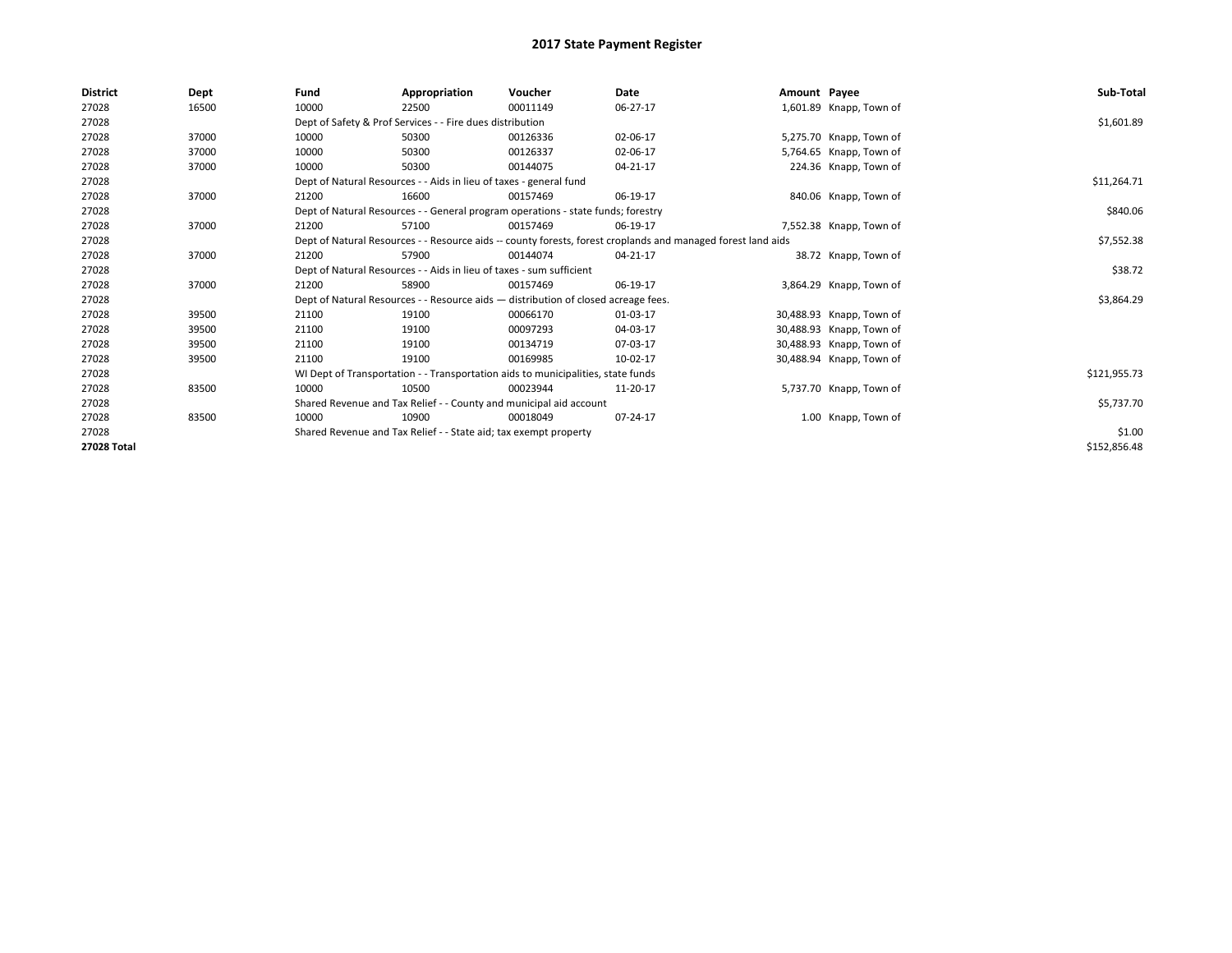| <b>District</b> | Dept  | Fund                                                                 | Appropriation                                                                      | Voucher  | Date                                                                                                         | Amount Payee |                          | Sub-Total    |
|-----------------|-------|----------------------------------------------------------------------|------------------------------------------------------------------------------------|----------|--------------------------------------------------------------------------------------------------------------|--------------|--------------------------|--------------|
| 27028           | 16500 | 10000                                                                | 22500                                                                              | 00011149 | 06-27-17                                                                                                     |              | 1,601.89 Knapp, Town of  |              |
| 27028           |       |                                                                      | Dept of Safety & Prof Services - - Fire dues distribution                          |          |                                                                                                              |              |                          | \$1,601.89   |
| 27028           | 37000 | 10000                                                                | 50300                                                                              | 00126336 | 02-06-17                                                                                                     |              | 5,275.70 Knapp, Town of  |              |
| 27028           | 37000 | 10000                                                                | 50300                                                                              | 00126337 | 02-06-17                                                                                                     |              | 5,764.65 Knapp, Town of  |              |
| 27028           | 37000 | 10000                                                                | 50300                                                                              | 00144075 | 04-21-17                                                                                                     |              | 224.36 Knapp, Town of    |              |
| 27028           |       |                                                                      | Dept of Natural Resources - - Aids in lieu of taxes - general fund                 |          |                                                                                                              |              |                          | \$11,264.71  |
| 27028           | 37000 | 21200                                                                | 16600                                                                              | 00157469 | 06-19-17                                                                                                     |              | 840.06 Knapp, Town of    |              |
| 27028           |       |                                                                      | Dept of Natural Resources - - General program operations - state funds; forestry   |          |                                                                                                              |              |                          | \$840.06     |
| 27028           | 37000 | 21200                                                                | 57100                                                                              | 00157469 | 06-19-17                                                                                                     |              | 7,552.38 Knapp, Town of  |              |
| 27028           |       |                                                                      |                                                                                    |          | Dept of Natural Resources - - Resource aids -- county forests, forest croplands and managed forest land aids |              |                          | \$7,552.38   |
| 27028           | 37000 | 21200                                                                | 57900                                                                              | 00144074 | 04-21-17                                                                                                     |              | 38.72 Knapp, Town of     |              |
| 27028           |       | Dept of Natural Resources - - Aids in lieu of taxes - sum sufficient |                                                                                    | \$38.72  |                                                                                                              |              |                          |              |
| 27028           | 37000 | 21200                                                                | 58900                                                                              | 00157469 | 06-19-17                                                                                                     |              | 3,864.29 Knapp, Town of  |              |
| 27028           |       |                                                                      | Dept of Natural Resources - - Resource aids - distribution of closed acreage fees. |          |                                                                                                              |              |                          | \$3,864.29   |
| 27028           | 39500 | 21100                                                                | 19100                                                                              | 00066170 | 01-03-17                                                                                                     |              | 30,488.93 Knapp, Town of |              |
| 27028           | 39500 | 21100                                                                | 19100                                                                              | 00097293 | 04-03-17                                                                                                     |              | 30,488.93 Knapp, Town of |              |
| 27028           | 39500 | 21100                                                                | 19100                                                                              | 00134719 | 07-03-17                                                                                                     |              | 30,488.93 Knapp, Town of |              |
| 27028           | 39500 | 21100                                                                | 19100                                                                              | 00169985 | 10-02-17                                                                                                     |              | 30,488.94 Knapp, Town of |              |
| 27028           |       |                                                                      | WI Dept of Transportation - - Transportation aids to municipalities, state funds   |          |                                                                                                              |              |                          | \$121,955.73 |
| 27028           | 83500 | 10000                                                                | 10500                                                                              | 00023944 | 11-20-17                                                                                                     |              | 5,737.70 Knapp, Town of  |              |
| 27028           |       |                                                                      | Shared Revenue and Tax Relief - - County and municipal aid account                 |          |                                                                                                              |              |                          | \$5,737.70   |
| 27028           | 83500 | 10000                                                                | 10900                                                                              | 00018049 | 07-24-17                                                                                                     |              | 1.00 Knapp, Town of      |              |
| 27028           |       |                                                                      | Shared Revenue and Tax Relief - - State aid; tax exempt property                   |          |                                                                                                              |              |                          | \$1.00       |
| 27028 Total     |       |                                                                      |                                                                                    |          |                                                                                                              |              |                          | \$152,856.48 |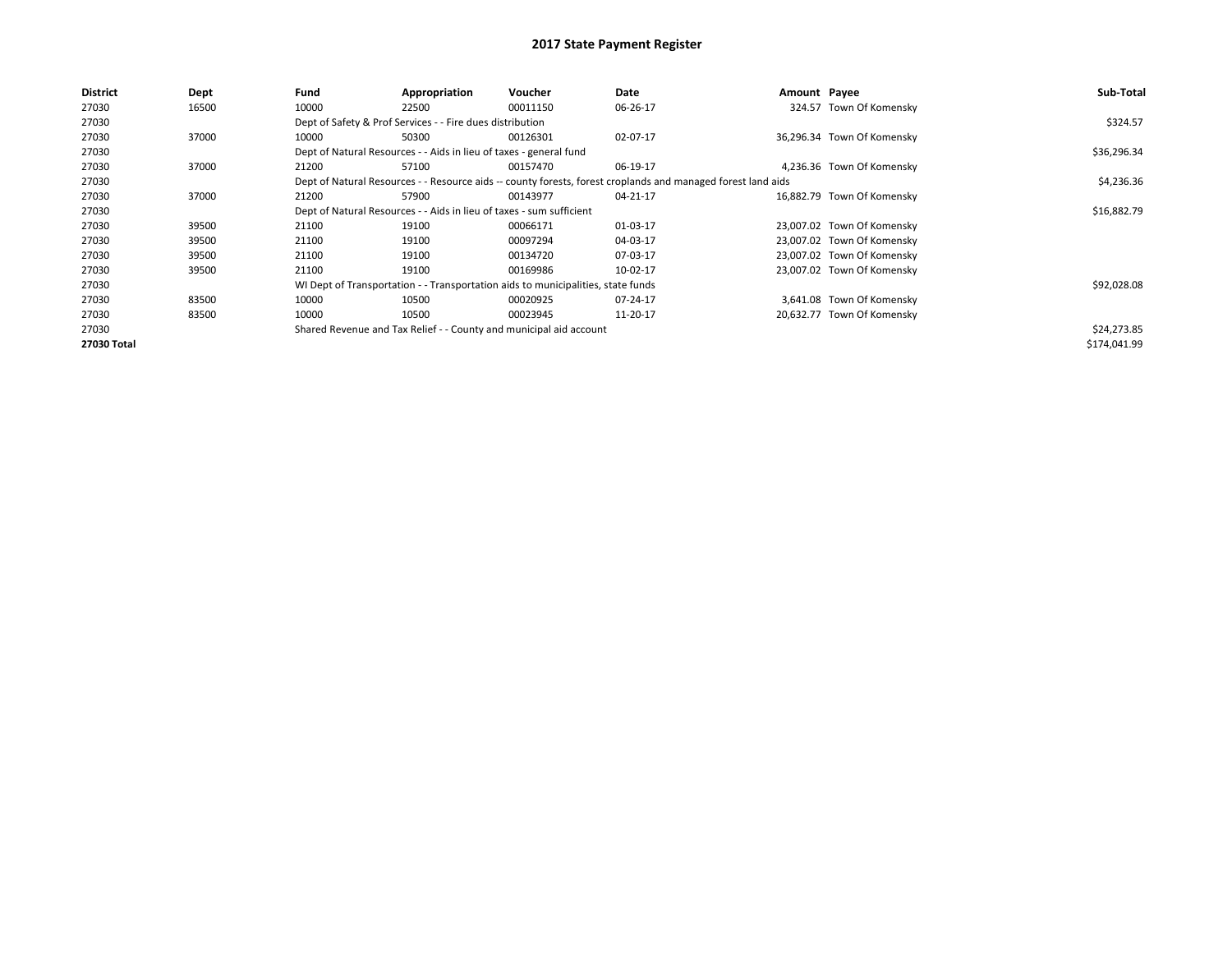| <b>District</b> | Dept  | Fund                                                                 | Appropriation                                                      | Voucher                                                                          | Date                                                                                                         | Amount Payee |                            | Sub-Total    |
|-----------------|-------|----------------------------------------------------------------------|--------------------------------------------------------------------|----------------------------------------------------------------------------------|--------------------------------------------------------------------------------------------------------------|--------------|----------------------------|--------------|
| 27030           | 16500 | 10000                                                                | 22500                                                              | 00011150                                                                         | 06-26-17                                                                                                     |              | 324.57 Town Of Komensky    |              |
| 27030           |       |                                                                      | Dept of Safety & Prof Services - - Fire dues distribution          |                                                                                  |                                                                                                              |              |                            | \$324.57     |
| 27030           | 37000 | 10000                                                                | 50300                                                              | 00126301                                                                         | 02-07-17                                                                                                     |              | 36,296.34 Town Of Komensky |              |
| 27030           |       |                                                                      | Dept of Natural Resources - - Aids in lieu of taxes - general fund |                                                                                  |                                                                                                              |              |                            | \$36,296.34  |
| 27030           | 37000 | 21200                                                                | 57100                                                              | 00157470                                                                         | 06-19-17                                                                                                     |              | 4,236.36 Town Of Komensky  |              |
| 27030           |       |                                                                      |                                                                    |                                                                                  | Dept of Natural Resources - - Resource aids -- county forests, forest croplands and managed forest land aids |              |                            | \$4,236.36   |
| 27030           | 37000 | 21200                                                                | 57900                                                              | 00143977                                                                         | 04-21-17                                                                                                     |              | 16,882.79 Town Of Komensky |              |
| 27030           |       | Dept of Natural Resources - - Aids in lieu of taxes - sum sufficient |                                                                    | \$16,882.79                                                                      |                                                                                                              |              |                            |              |
| 27030           | 39500 | 21100                                                                | 19100                                                              | 00066171                                                                         | 01-03-17                                                                                                     |              | 23,007.02 Town Of Komensky |              |
| 27030           | 39500 | 21100                                                                | 19100                                                              | 00097294                                                                         | 04-03-17                                                                                                     |              | 23,007.02 Town Of Komensky |              |
| 27030           | 39500 | 21100                                                                | 19100                                                              | 00134720                                                                         | 07-03-17                                                                                                     |              | 23,007.02 Town Of Komensky |              |
| 27030           | 39500 | 21100                                                                | 19100                                                              | 00169986                                                                         | 10-02-17                                                                                                     |              | 23,007.02 Town Of Komensky |              |
| 27030           |       |                                                                      |                                                                    | WI Dept of Transportation - - Transportation aids to municipalities, state funds |                                                                                                              |              |                            | \$92,028.08  |
| 27030           | 83500 | 10000                                                                | 10500                                                              | 00020925                                                                         | 07-24-17                                                                                                     |              | 3,641.08 Town Of Komensky  |              |
| 27030           | 83500 | 10000                                                                | 10500                                                              | 00023945                                                                         | 11-20-17                                                                                                     |              | 20,632.77 Town Of Komensky |              |
| 27030           |       |                                                                      |                                                                    | Shared Revenue and Tax Relief - - County and municipal aid account               |                                                                                                              |              |                            | \$24,273.85  |
| 27030 Total     |       |                                                                      |                                                                    |                                                                                  |                                                                                                              |              |                            | \$174,041.99 |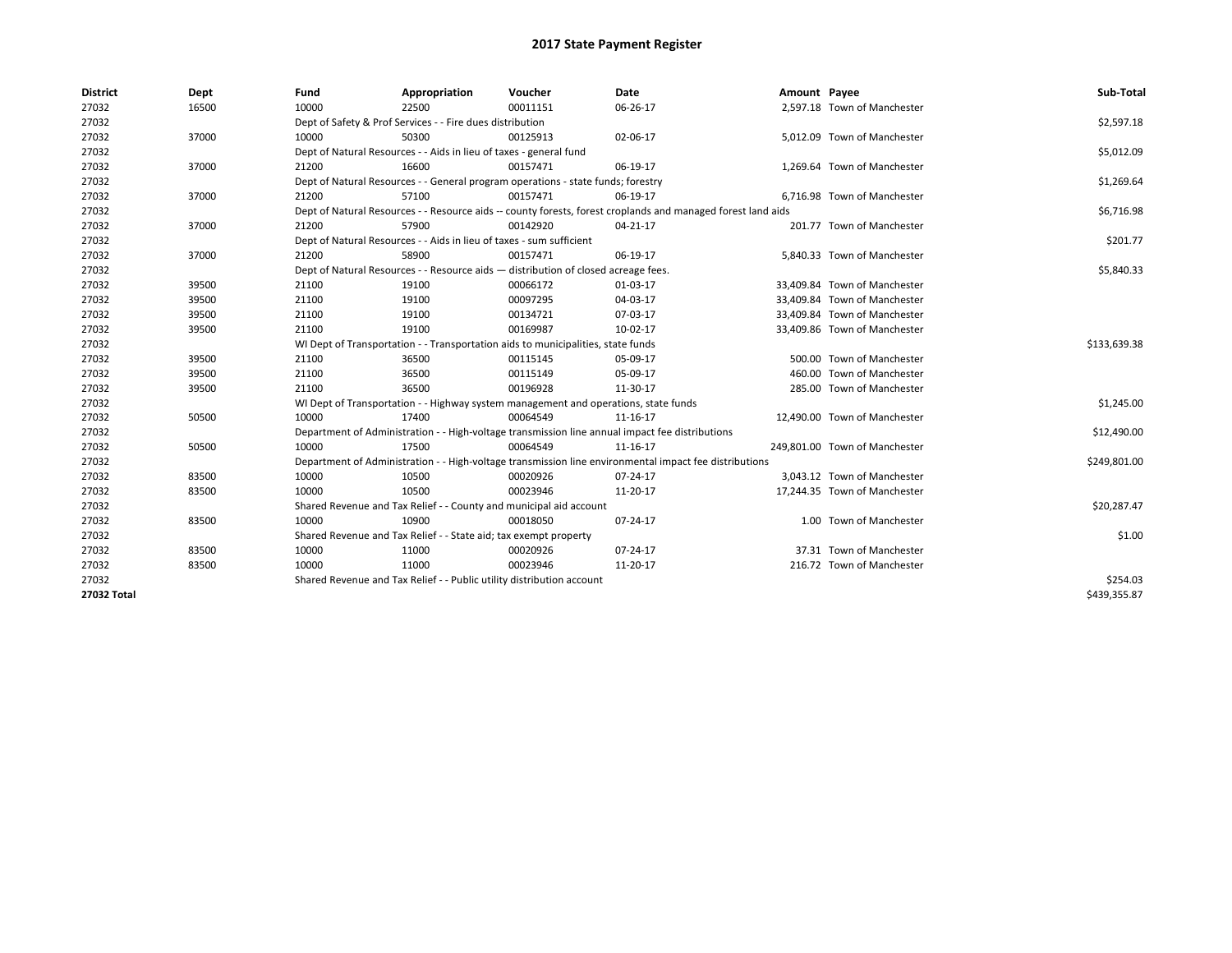| <b>District</b> | Dept  | Fund  | Appropriation                                                                                                | Voucher  | Date     | Amount Payee |                               | Sub-Total    |  |  |
|-----------------|-------|-------|--------------------------------------------------------------------------------------------------------------|----------|----------|--------------|-------------------------------|--------------|--|--|
| 27032           | 16500 | 10000 | 22500                                                                                                        | 00011151 | 06-26-17 |              | 2,597.18 Town of Manchester   |              |  |  |
| 27032           |       |       | Dept of Safety & Prof Services - - Fire dues distribution                                                    |          |          |              |                               | \$2,597.18   |  |  |
| 27032           | 37000 | 10000 | 50300                                                                                                        | 00125913 | 02-06-17 |              | 5,012.09 Town of Manchester   |              |  |  |
| 27032           |       |       | Dept of Natural Resources - - Aids in lieu of taxes - general fund                                           |          |          |              |                               | \$5,012.09   |  |  |
| 27032           | 37000 | 21200 | 16600                                                                                                        | 00157471 | 06-19-17 |              | 1,269.64 Town of Manchester   |              |  |  |
| 27032           |       |       | Dept of Natural Resources - - General program operations - state funds; forestry                             |          |          |              |                               | \$1,269.64   |  |  |
| 27032           | 37000 | 21200 | 57100                                                                                                        | 00157471 | 06-19-17 |              | 6,716.98 Town of Manchester   |              |  |  |
| 27032           |       |       | Dept of Natural Resources - - Resource aids -- county forests, forest croplands and managed forest land aids |          |          |              |                               | \$6,716.98   |  |  |
| 27032           | 37000 | 21200 | 57900                                                                                                        | 00142920 | 04-21-17 |              | 201.77 Town of Manchester     |              |  |  |
| 27032           |       |       | Dept of Natural Resources - - Aids in lieu of taxes - sum sufficient                                         |          |          |              |                               | \$201.77     |  |  |
| 27032           | 37000 | 21200 | 58900                                                                                                        | 00157471 | 06-19-17 |              | 5,840.33 Town of Manchester   |              |  |  |
| 27032           |       |       | Dept of Natural Resources - - Resource aids - distribution of closed acreage fees.                           |          |          |              |                               | \$5,840.33   |  |  |
| 27032           | 39500 | 21100 | 19100                                                                                                        | 00066172 | 01-03-17 |              | 33,409.84 Town of Manchester  |              |  |  |
| 27032           | 39500 | 21100 | 19100                                                                                                        | 00097295 | 04-03-17 |              | 33,409.84 Town of Manchester  |              |  |  |
| 27032           | 39500 | 21100 | 19100                                                                                                        | 00134721 | 07-03-17 |              | 33,409.84 Town of Manchester  |              |  |  |
| 27032           | 39500 | 21100 | 19100                                                                                                        | 00169987 | 10-02-17 |              | 33,409.86 Town of Manchester  |              |  |  |
| 27032           |       |       | WI Dept of Transportation - - Transportation aids to municipalities, state funds                             |          |          |              |                               |              |  |  |
| 27032           | 39500 | 21100 | 36500                                                                                                        | 00115145 | 05-09-17 |              | 500.00 Town of Manchester     |              |  |  |
| 27032           | 39500 | 21100 | 36500                                                                                                        | 00115149 | 05-09-17 |              | 460.00 Town of Manchester     |              |  |  |
| 27032           | 39500 | 21100 | 36500                                                                                                        | 00196928 | 11-30-17 |              | 285.00 Town of Manchester     |              |  |  |
| 27032           |       |       | WI Dept of Transportation - - Highway system management and operations, state funds                          |          |          |              |                               | \$1,245.00   |  |  |
| 27032           | 50500 | 10000 | 17400                                                                                                        | 00064549 | 11-16-17 |              | 12,490.00 Town of Manchester  |              |  |  |
| 27032           |       |       | Department of Administration - - High-voltage transmission line annual impact fee distributions              |          |          |              |                               | \$12,490.00  |  |  |
| 27032           | 50500 | 10000 | 17500                                                                                                        | 00064549 | 11-16-17 |              | 249,801.00 Town of Manchester |              |  |  |
| 27032           |       |       | Department of Administration - - High-voltage transmission line environmental impact fee distributions       |          |          |              |                               | \$249,801.00 |  |  |
| 27032           | 83500 | 10000 | 10500                                                                                                        | 00020926 | 07-24-17 |              | 3,043.12 Town of Manchester   |              |  |  |
| 27032           | 83500 | 10000 | 10500                                                                                                        | 00023946 | 11-20-17 |              | 17,244.35 Town of Manchester  |              |  |  |
| 27032           |       |       | Shared Revenue and Tax Relief - - County and municipal aid account                                           |          |          |              |                               | \$20,287.47  |  |  |
| 27032           | 83500 | 10000 | 10900                                                                                                        | 00018050 | 07-24-17 |              | 1.00 Town of Manchester       |              |  |  |
| 27032           |       |       | Shared Revenue and Tax Relief - - State aid; tax exempt property                                             |          |          |              |                               | \$1.00       |  |  |
| 27032           | 83500 | 10000 | 11000                                                                                                        | 00020926 | 07-24-17 |              | 37.31 Town of Manchester      |              |  |  |
| 27032           | 83500 | 10000 | 11000                                                                                                        | 00023946 | 11-20-17 |              | 216.72 Town of Manchester     |              |  |  |
| 27032           |       |       | Shared Revenue and Tax Relief - - Public utility distribution account                                        |          |          |              |                               | \$254.03     |  |  |
| 27032 Total     |       |       |                                                                                                              |          |          |              |                               | \$439,355.87 |  |  |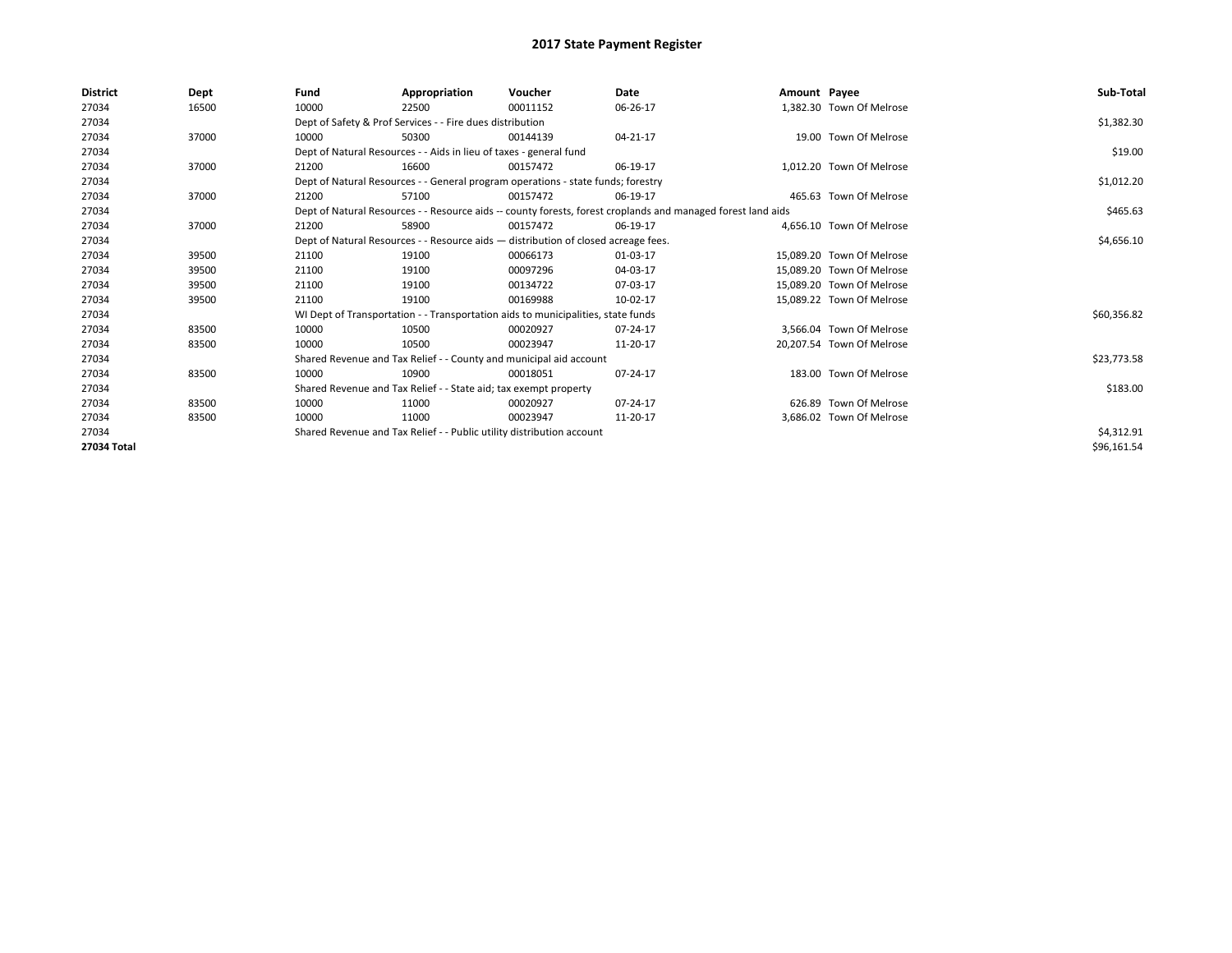| <b>District</b> | Dept  | Fund                                                                               | Appropriation                                                                    | Voucher    | Date                                                                                                         | Amount Payee |                           | Sub-Total   |
|-----------------|-------|------------------------------------------------------------------------------------|----------------------------------------------------------------------------------|------------|--------------------------------------------------------------------------------------------------------------|--------------|---------------------------|-------------|
| 27034           | 16500 | 10000                                                                              | 22500                                                                            | 00011152   | 06-26-17                                                                                                     |              | 1,382.30 Town Of Melrose  |             |
| 27034           |       |                                                                                    | Dept of Safety & Prof Services - - Fire dues distribution                        |            |                                                                                                              |              |                           | \$1,382.30  |
| 27034           | 37000 | 10000                                                                              | 50300                                                                            | 00144139   | 04-21-17                                                                                                     |              | 19.00 Town Of Melrose     |             |
| 27034           |       |                                                                                    | Dept of Natural Resources - - Aids in lieu of taxes - general fund               |            |                                                                                                              |              |                           | \$19.00     |
| 27034           | 37000 | 21200                                                                              | 16600                                                                            | 00157472   | 06-19-17                                                                                                     |              | 1.012.20 Town Of Melrose  |             |
| 27034           |       |                                                                                    | Dept of Natural Resources - - General program operations - state funds; forestry |            |                                                                                                              |              |                           | \$1,012.20  |
| 27034           | 37000 | 21200                                                                              | 57100                                                                            | 00157472   | 06-19-17                                                                                                     |              | 465.63 Town Of Melrose    |             |
| 27034           |       |                                                                                    |                                                                                  |            | Dept of Natural Resources - - Resource aids -- county forests, forest croplands and managed forest land aids |              |                           | \$465.63    |
| 27034           | 37000 | 21200                                                                              | 58900                                                                            | 00157472   | 06-19-17                                                                                                     |              | 4,656.10 Town Of Melrose  |             |
| 27034           |       | Dept of Natural Resources - - Resource aids - distribution of closed acreage fees. |                                                                                  | \$4,656.10 |                                                                                                              |              |                           |             |
| 27034           | 39500 | 21100                                                                              | 19100                                                                            | 00066173   | 01-03-17                                                                                                     |              | 15.089.20 Town Of Melrose |             |
| 27034           | 39500 | 21100                                                                              | 19100                                                                            | 00097296   | 04-03-17                                                                                                     |              | 15,089.20 Town Of Melrose |             |
| 27034           | 39500 | 21100                                                                              | 19100                                                                            | 00134722   | 07-03-17                                                                                                     |              | 15.089.20 Town Of Melrose |             |
| 27034           | 39500 | 21100                                                                              | 19100                                                                            | 00169988   | 10-02-17                                                                                                     |              | 15,089.22 Town Of Melrose |             |
| 27034           |       |                                                                                    | WI Dept of Transportation - - Transportation aids to municipalities, state funds |            |                                                                                                              |              |                           | \$60,356.82 |
| 27034           | 83500 | 10000                                                                              | 10500                                                                            | 00020927   | 07-24-17                                                                                                     |              | 3,566.04 Town Of Melrose  |             |
| 27034           | 83500 | 10000                                                                              | 10500                                                                            | 00023947   | 11-20-17                                                                                                     |              | 20,207.54 Town Of Melrose |             |
| 27034           |       |                                                                                    | Shared Revenue and Tax Relief - - County and municipal aid account               |            |                                                                                                              |              |                           | \$23,773.58 |
| 27034           | 83500 | 10000                                                                              | 10900                                                                            | 00018051   | 07-24-17                                                                                                     |              | 183.00 Town Of Melrose    |             |
| 27034           |       |                                                                                    | Shared Revenue and Tax Relief - - State aid; tax exempt property                 |            |                                                                                                              |              |                           | \$183.00    |
| 27034           | 83500 | 10000                                                                              | 11000                                                                            | 00020927   | 07-24-17                                                                                                     |              | 626.89 Town Of Melrose    |             |
| 27034           | 83500 | 10000                                                                              | 11000                                                                            | 00023947   | 11-20-17                                                                                                     |              | 3,686.02 Town Of Melrose  |             |
| 27034           |       |                                                                                    | Shared Revenue and Tax Relief - - Public utility distribution account            |            |                                                                                                              |              |                           | \$4,312.91  |
| 27034 Total     |       |                                                                                    |                                                                                  |            |                                                                                                              |              |                           | \$96,161.54 |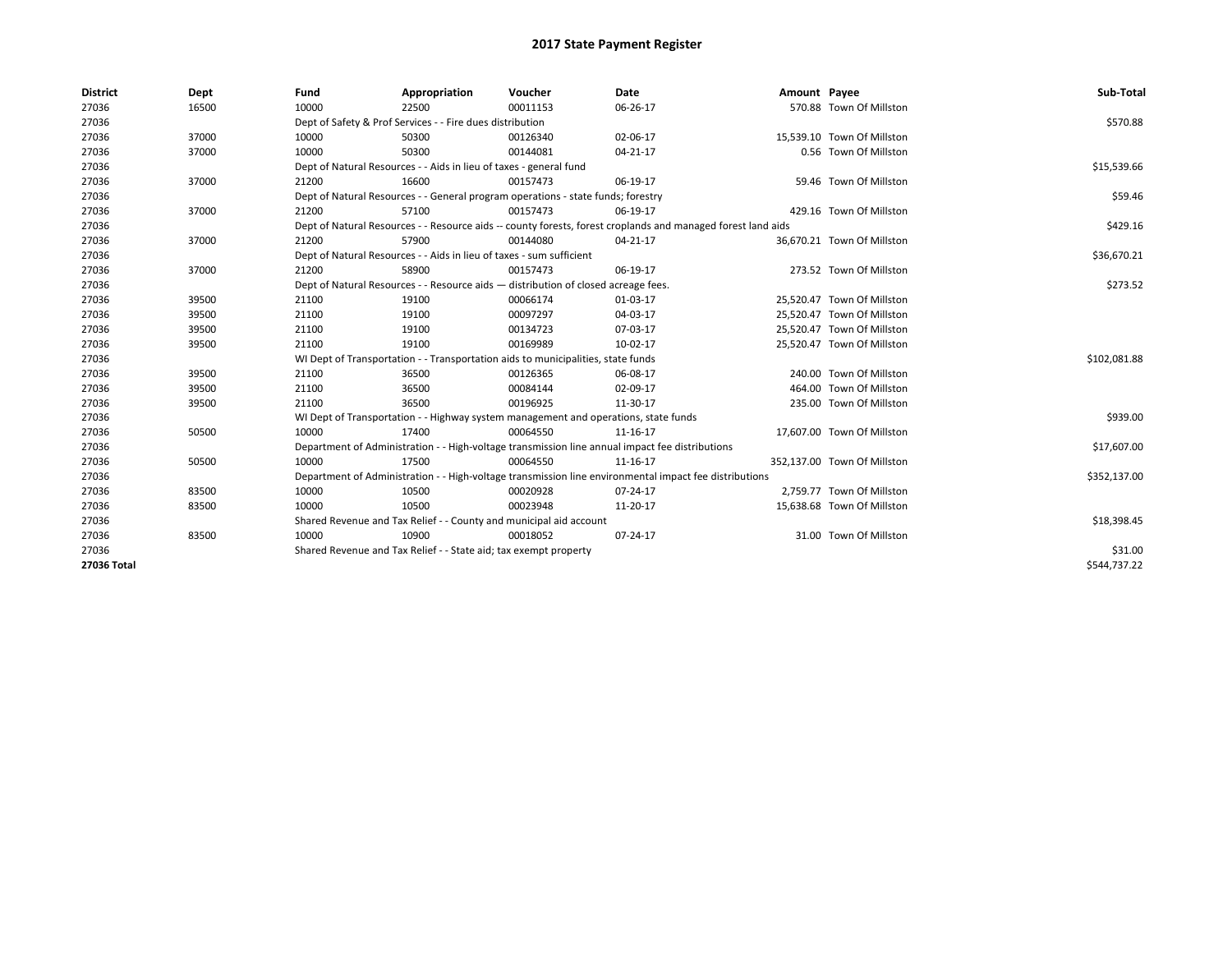| <b>District</b> | Dept  | Fund  | Appropriation                                                                                                | Voucher  | Date     | Amount Payee |                             | Sub-Total    |
|-----------------|-------|-------|--------------------------------------------------------------------------------------------------------------|----------|----------|--------------|-----------------------------|--------------|
| 27036           | 16500 | 10000 | 22500                                                                                                        | 00011153 | 06-26-17 |              | 570.88 Town Of Millston     |              |
| 27036           |       |       | Dept of Safety & Prof Services - - Fire dues distribution                                                    |          |          |              |                             | \$570.88     |
| 27036           | 37000 | 10000 | 50300                                                                                                        | 00126340 | 02-06-17 |              | 15,539.10 Town Of Millston  |              |
| 27036           | 37000 | 10000 | 50300                                                                                                        | 00144081 | 04-21-17 |              | 0.56 Town Of Millston       |              |
| 27036           |       |       | Dept of Natural Resources - - Aids in lieu of taxes - general fund                                           |          |          |              |                             | \$15,539.66  |
| 27036           | 37000 | 21200 | 16600                                                                                                        | 00157473 | 06-19-17 |              | 59.46 Town Of Millston      |              |
| 27036           |       |       | Dept of Natural Resources - - General program operations - state funds; forestry                             |          |          |              |                             | \$59.46      |
| 27036           | 37000 | 21200 | 57100                                                                                                        | 00157473 | 06-19-17 |              | 429.16 Town Of Millston     |              |
| 27036           |       |       | Dept of Natural Resources - - Resource aids -- county forests, forest croplands and managed forest land aids |          |          |              |                             | \$429.16     |
| 27036           | 37000 | 21200 | 57900                                                                                                        | 00144080 | 04-21-17 |              | 36,670.21 Town Of Millston  |              |
| 27036           |       |       | Dept of Natural Resources - - Aids in lieu of taxes - sum sufficient                                         |          |          |              |                             | \$36,670.21  |
| 27036           | 37000 | 21200 | 58900                                                                                                        | 00157473 | 06-19-17 |              | 273.52 Town Of Millston     |              |
| 27036           |       |       | Dept of Natural Resources - - Resource aids - distribution of closed acreage fees.                           |          | \$273.52 |              |                             |              |
| 27036           | 39500 | 21100 | 19100                                                                                                        | 00066174 | 01-03-17 |              | 25,520.47 Town Of Millston  |              |
| 27036           | 39500 | 21100 | 19100                                                                                                        | 00097297 | 04-03-17 |              | 25,520.47 Town Of Millston  |              |
| 27036           | 39500 | 21100 | 19100                                                                                                        | 00134723 | 07-03-17 |              | 25.520.47 Town Of Millston  |              |
| 27036           | 39500 | 21100 | 19100                                                                                                        | 00169989 | 10-02-17 |              | 25,520.47 Town Of Millston  |              |
| 27036           |       |       | WI Dept of Transportation - - Transportation aids to municipalities, state funds                             |          |          |              |                             | \$102,081.88 |
| 27036           | 39500 | 21100 | 36500                                                                                                        | 00126365 | 06-08-17 |              | 240.00 Town Of Millston     |              |
| 27036           | 39500 | 21100 | 36500                                                                                                        | 00084144 | 02-09-17 |              | 464.00 Town Of Millston     |              |
| 27036           | 39500 | 21100 | 36500                                                                                                        | 00196925 | 11-30-17 |              | 235.00 Town Of Millston     |              |
| 27036           |       |       | WI Dept of Transportation - - Highway system management and operations, state funds                          |          |          |              |                             | \$939.00     |
| 27036           | 50500 | 10000 | 17400                                                                                                        | 00064550 | 11-16-17 |              | 17.607.00 Town Of Millston  |              |
| 27036           |       |       | Department of Administration - - High-voltage transmission line annual impact fee distributions              |          |          |              |                             | \$17,607.00  |
| 27036           | 50500 | 10000 | 17500                                                                                                        | 00064550 | 11-16-17 |              | 352,137.00 Town Of Millston |              |
| 27036           |       |       | Department of Administration - - High-voltage transmission line environmental impact fee distributions       |          |          |              |                             | \$352,137.00 |
| 27036           | 83500 | 10000 | 10500                                                                                                        | 00020928 | 07-24-17 |              | 2,759.77 Town Of Millston   |              |
| 27036           | 83500 | 10000 | 10500                                                                                                        | 00023948 | 11-20-17 |              | 15,638.68 Town Of Millston  |              |
| 27036           |       |       | Shared Revenue and Tax Relief - - County and municipal aid account                                           |          |          |              |                             | \$18,398.45  |
| 27036           | 83500 | 10000 | 10900                                                                                                        | 00018052 | 07-24-17 |              | 31.00 Town Of Millston      |              |
| 27036           |       |       | Shared Revenue and Tax Relief - - State aid; tax exempt property                                             |          |          |              |                             | \$31.00      |
| 27036 Total     |       |       |                                                                                                              |          |          |              |                             | \$544,737.22 |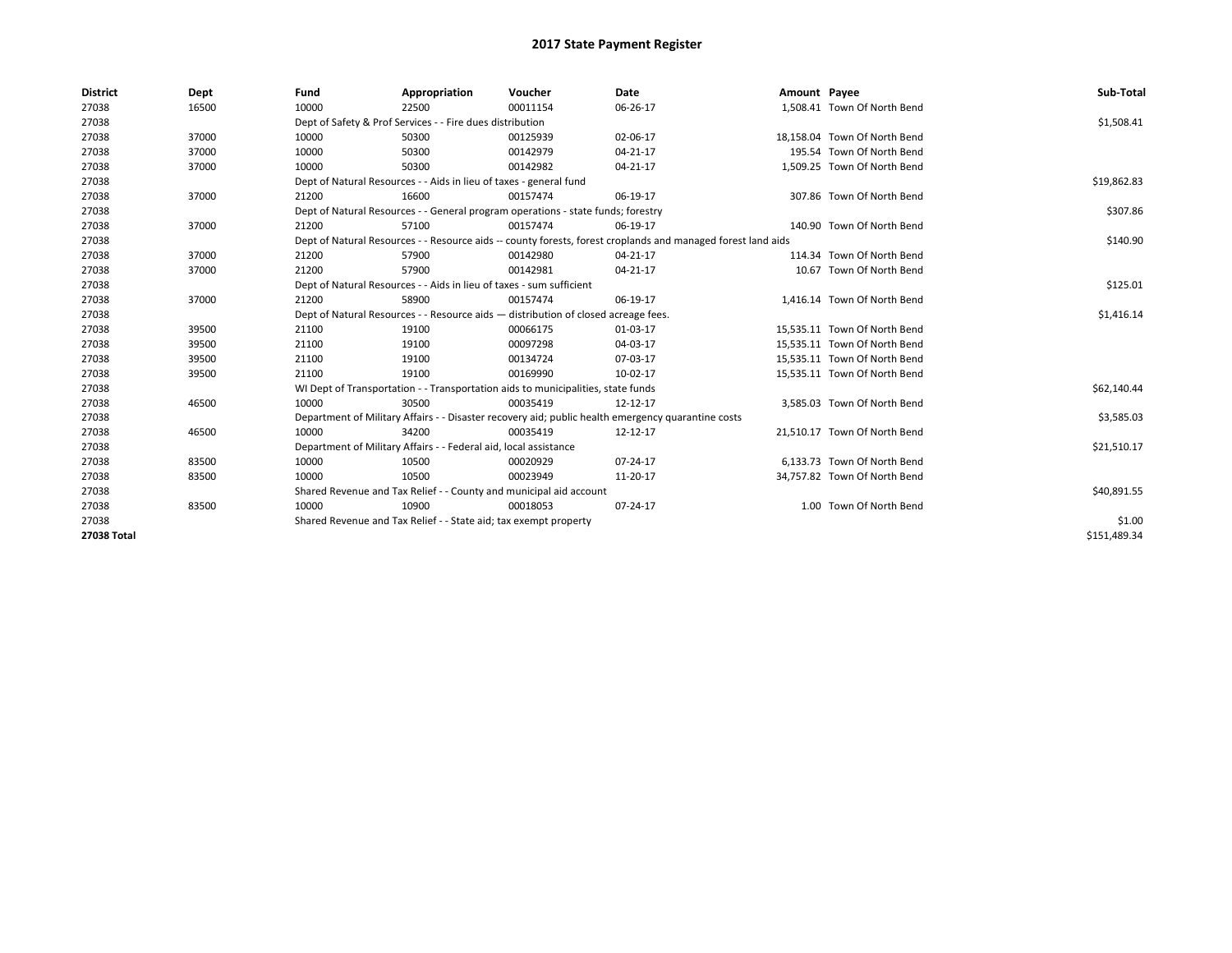| <b>District</b> | Dept  | Fund  | Appropriation                                                                      | Voucher  | <b>Date</b>                                                                                                  | Amount Payee |                              | Sub-Total    |
|-----------------|-------|-------|------------------------------------------------------------------------------------|----------|--------------------------------------------------------------------------------------------------------------|--------------|------------------------------|--------------|
| 27038           | 16500 | 10000 | 22500                                                                              | 00011154 | 06-26-17                                                                                                     |              | 1,508.41 Town Of North Bend  |              |
| 27038           |       |       | Dept of Safety & Prof Services - - Fire dues distribution                          |          |                                                                                                              |              |                              | \$1,508.41   |
| 27038           | 37000 | 10000 | 50300                                                                              | 00125939 | 02-06-17                                                                                                     |              | 18,158.04 Town Of North Bend |              |
| 27038           | 37000 | 10000 | 50300                                                                              | 00142979 | 04-21-17                                                                                                     |              | 195.54 Town Of North Bend    |              |
| 27038           | 37000 | 10000 | 50300                                                                              | 00142982 | 04-21-17                                                                                                     |              | 1,509.25 Town Of North Bend  |              |
| 27038           |       |       | Dept of Natural Resources - - Aids in lieu of taxes - general fund                 |          |                                                                                                              |              |                              | \$19,862.83  |
| 27038           | 37000 | 21200 | 16600                                                                              | 00157474 | 06-19-17                                                                                                     |              | 307.86 Town Of North Bend    |              |
| 27038           |       |       | Dept of Natural Resources - - General program operations - state funds; forestry   |          |                                                                                                              |              |                              | \$307.86     |
| 27038           | 37000 | 21200 | 57100                                                                              | 00157474 | 06-19-17                                                                                                     |              | 140.90 Town Of North Bend    |              |
| 27038           |       |       |                                                                                    |          | Dept of Natural Resources - - Resource aids -- county forests, forest croplands and managed forest land aids |              |                              | \$140.90     |
| 27038           | 37000 | 21200 | 57900                                                                              | 00142980 | 04-21-17                                                                                                     |              | 114.34 Town Of North Bend    |              |
| 27038           | 37000 | 21200 | 57900                                                                              | 00142981 | 04-21-17                                                                                                     |              | 10.67 Town Of North Bend     |              |
| 27038           |       |       | Dept of Natural Resources - - Aids in lieu of taxes - sum sufficient               |          |                                                                                                              |              |                              | \$125.01     |
| 27038           | 37000 | 21200 | 58900                                                                              | 00157474 | 06-19-17                                                                                                     |              | 1,416.14 Town Of North Bend  |              |
| 27038           |       |       | Dept of Natural Resources - - Resource aids - distribution of closed acreage fees. |          |                                                                                                              |              |                              | \$1,416.14   |
| 27038           | 39500 | 21100 | 19100                                                                              | 00066175 | 01-03-17                                                                                                     |              | 15,535.11 Town Of North Bend |              |
| 27038           | 39500 | 21100 | 19100                                                                              | 00097298 | 04-03-17                                                                                                     |              | 15,535.11 Town Of North Bend |              |
| 27038           | 39500 | 21100 | 19100                                                                              | 00134724 | 07-03-17                                                                                                     |              | 15,535.11 Town Of North Bend |              |
| 27038           | 39500 | 21100 | 19100                                                                              | 00169990 | 10-02-17                                                                                                     |              | 15,535.11 Town Of North Bend |              |
| 27038           |       |       | WI Dept of Transportation - - Transportation aids to municipalities, state funds   |          |                                                                                                              |              |                              | \$62,140.44  |
| 27038           | 46500 | 10000 | 30500                                                                              | 00035419 | 12-12-17                                                                                                     |              | 3,585.03 Town Of North Bend  |              |
| 27038           |       |       |                                                                                    |          | Department of Military Affairs - - Disaster recovery aid; public health emergency quarantine costs           |              |                              | \$3,585.03   |
| 27038           | 46500 | 10000 | 34200                                                                              | 00035419 | 12-12-17                                                                                                     |              | 21,510.17 Town Of North Bend |              |
| 27038           |       |       | Department of Military Affairs - - Federal aid, local assistance                   |          |                                                                                                              |              |                              | \$21,510.17  |
| 27038           | 83500 | 10000 | 10500                                                                              | 00020929 | 07-24-17                                                                                                     |              | 6.133.73 Town Of North Bend  |              |
| 27038           | 83500 | 10000 | 10500                                                                              | 00023949 | 11-20-17                                                                                                     |              | 34,757.82 Town Of North Bend |              |
| 27038           |       |       | Shared Revenue and Tax Relief - - County and municipal aid account                 |          |                                                                                                              |              |                              | \$40,891.55  |
| 27038           | 83500 | 10000 | 10900                                                                              | 00018053 | 07-24-17                                                                                                     |              | 1.00 Town Of North Bend      |              |
| 27038           |       |       | Shared Revenue and Tax Relief - - State aid; tax exempt property                   |          |                                                                                                              |              |                              | \$1.00       |
| 27038 Total     |       |       |                                                                                    |          |                                                                                                              |              |                              | \$151,489.34 |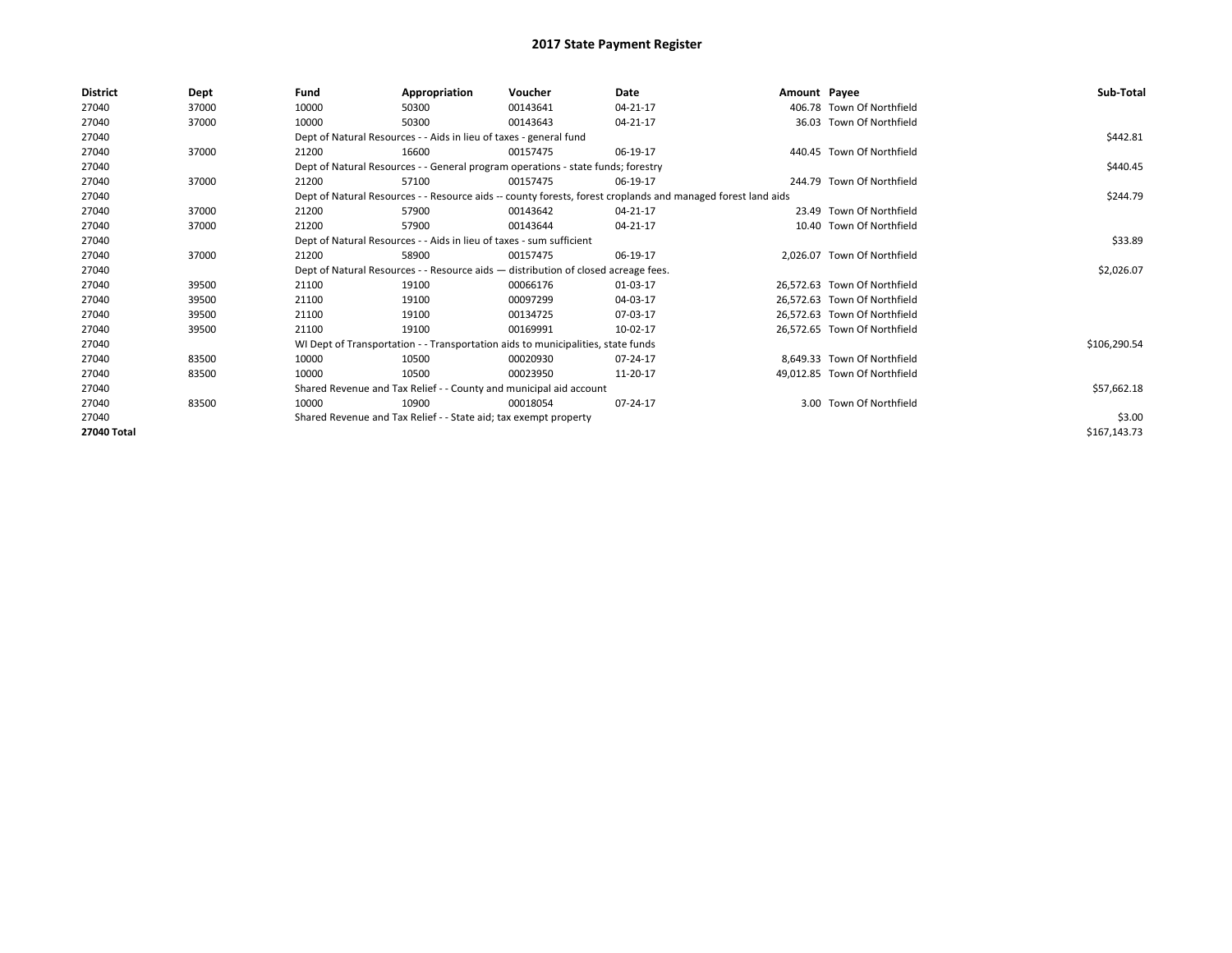| 27040<br>10000<br>00143641<br>04-21-17<br>406.78 Town Of Northfield<br>37000<br>50300<br>27040<br>10000<br>36.03 Town Of Northfield<br>37000<br>50300<br>00143643<br>04-21-17<br>27040<br>Dept of Natural Resources - - Aids in lieu of taxes - general fund | \$442.81<br>\$440.45 |
|--------------------------------------------------------------------------------------------------------------------------------------------------------------------------------------------------------------------------------------------------------------|----------------------|
|                                                                                                                                                                                                                                                              |                      |
|                                                                                                                                                                                                                                                              |                      |
|                                                                                                                                                                                                                                                              |                      |
| 27040<br>37000<br>06-19-17<br>440.45 Town Of Northfield<br>21200<br>16600<br>00157475                                                                                                                                                                        |                      |
| 27040<br>Dept of Natural Resources - - General program operations - state funds; forestry                                                                                                                                                                    |                      |
| 27040<br>37000<br>57100<br>06-19-17<br>244.79 Town Of Northfield<br>21200<br>00157475                                                                                                                                                                        |                      |
| 27040<br>Dept of Natural Resources - - Resource aids -- county forests, forest croplands and managed forest land aids                                                                                                                                        | \$244.79             |
| 23.49 Town Of Northfield<br>27040<br>37000<br>21200<br>57900<br>00143642<br>04-21-17                                                                                                                                                                         |                      |
| 10.40 Town Of Northfield<br>27040<br>37000<br>21200<br>57900<br>04-21-17<br>00143644                                                                                                                                                                         |                      |
| 27040<br>Dept of Natural Resources - - Aids in lieu of taxes - sum sufficient                                                                                                                                                                                | \$33.89              |
| 27040<br>37000<br>58900<br>06-19-17<br>2.026.07 Town Of Northfield<br>21200<br>00157475                                                                                                                                                                      |                      |
| 27040<br>Dept of Natural Resources - - Resource aids - distribution of closed acreage fees.                                                                                                                                                                  | \$2,026.07           |
| 27040<br>39500<br>21100<br>19100<br>00066176<br>01-03-17<br>26.572.63 Town Of Northfield                                                                                                                                                                     |                      |
| 27040<br>21100<br>00097299<br>04-03-17<br>26.572.63 Town Of Northfield<br>39500<br>19100                                                                                                                                                                     |                      |
| 27040<br>39500<br>21100<br>00134725<br>07-03-17<br>26,572.63 Town Of Northfield<br>19100                                                                                                                                                                     |                      |
| 27040<br>21100<br>19100<br>00169991<br>10-02-17<br>26,572.65 Town Of Northfield<br>39500                                                                                                                                                                     |                      |
| 27040<br>WI Dept of Transportation - - Transportation aids to municipalities, state funds                                                                                                                                                                    | \$106,290.54         |
| 27040<br>8,649.33 Town Of Northfield<br>83500<br>10000<br>07-24-17<br>10500<br>00020930                                                                                                                                                                      |                      |
| 27040<br>10000<br>49,012.85 Town Of Northfield<br>83500<br>10500<br>00023950<br>11-20-17                                                                                                                                                                     |                      |
| 27040<br>Shared Revenue and Tax Relief - - County and municipal aid account                                                                                                                                                                                  | \$57,662.18          |
| 3.00 Town Of Northfield<br>83500<br>10000<br>10900<br>07-24-17<br>27040<br>00018054                                                                                                                                                                          |                      |
| Shared Revenue and Tax Relief - - State aid; tax exempt property<br>27040                                                                                                                                                                                    | \$3.00               |
| 27040 Total                                                                                                                                                                                                                                                  | \$167,143.73         |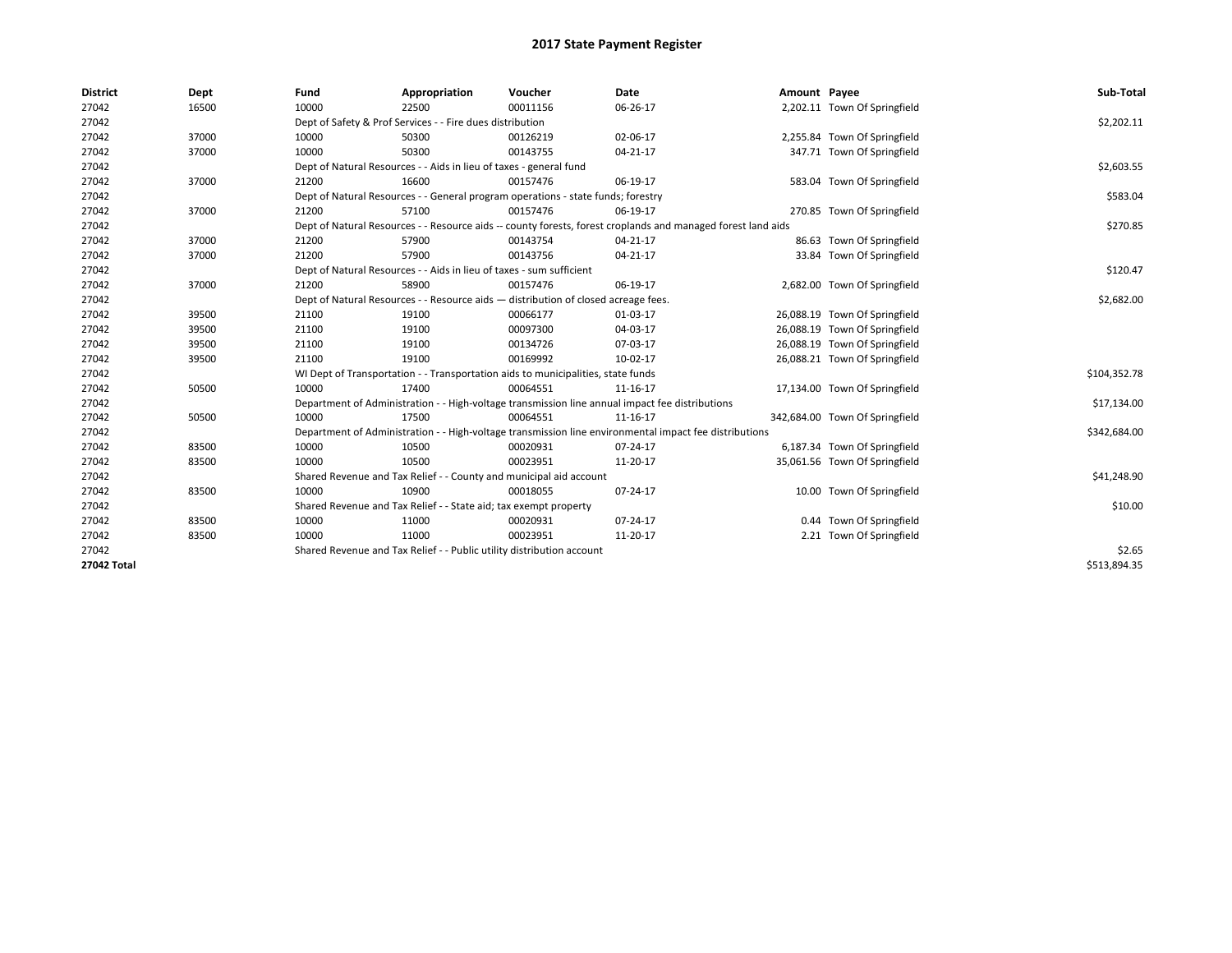| <b>District</b> | Dept  | Fund  | Appropriation                                                                                                | Voucher  | Date     | Amount Payee |                                | Sub-Total    |
|-----------------|-------|-------|--------------------------------------------------------------------------------------------------------------|----------|----------|--------------|--------------------------------|--------------|
| 27042           | 16500 | 10000 | 22500                                                                                                        | 00011156 | 06-26-17 |              | 2,202.11 Town Of Springfield   |              |
| 27042           |       |       | Dept of Safety & Prof Services - - Fire dues distribution                                                    |          |          |              |                                | \$2,202.11   |
| 27042           | 37000 | 10000 | 50300                                                                                                        | 00126219 | 02-06-17 |              | 2,255.84 Town Of Springfield   |              |
| 27042           | 37000 | 10000 | 50300                                                                                                        | 00143755 | 04-21-17 |              | 347.71 Town Of Springfield     |              |
| 27042           |       |       | Dept of Natural Resources - - Aids in lieu of taxes - general fund                                           |          |          |              |                                | \$2,603.55   |
| 27042           | 37000 | 21200 | 16600                                                                                                        | 00157476 | 06-19-17 |              | 583.04 Town Of Springfield     |              |
| 27042           |       |       | Dept of Natural Resources - - General program operations - state funds; forestry                             |          |          |              |                                | \$583.04     |
| 27042           | 37000 | 21200 | 57100                                                                                                        | 00157476 | 06-19-17 |              | 270.85 Town Of Springfield     |              |
| 27042           |       |       | Dept of Natural Resources - - Resource aids -- county forests, forest croplands and managed forest land aids |          |          |              |                                | \$270.85     |
| 27042           | 37000 | 21200 | 57900                                                                                                        | 00143754 | 04-21-17 |              | 86.63 Town Of Springfield      |              |
| 27042           | 37000 | 21200 | 57900                                                                                                        | 00143756 | 04-21-17 |              | 33.84 Town Of Springfield      |              |
| 27042           |       |       | Dept of Natural Resources - - Aids in lieu of taxes - sum sufficient                                         |          |          |              |                                | \$120.47     |
| 27042           | 37000 | 21200 | 58900                                                                                                        | 00157476 | 06-19-17 |              | 2,682.00 Town Of Springfield   |              |
| 27042           |       |       | Dept of Natural Resources - - Resource aids - distribution of closed acreage fees.                           |          |          |              |                                | \$2,682.00   |
| 27042           | 39500 | 21100 | 19100                                                                                                        | 00066177 | 01-03-17 |              | 26,088.19 Town Of Springfield  |              |
| 27042           | 39500 | 21100 | 19100                                                                                                        | 00097300 | 04-03-17 |              | 26,088.19 Town Of Springfield  |              |
| 27042           | 39500 | 21100 | 19100                                                                                                        | 00134726 | 07-03-17 |              | 26,088.19 Town Of Springfield  |              |
| 27042           | 39500 | 21100 | 19100                                                                                                        | 00169992 | 10-02-17 |              | 26,088.21 Town Of Springfield  |              |
| 27042           |       |       | WI Dept of Transportation - - Transportation aids to municipalities, state funds                             |          |          |              |                                | \$104,352.78 |
| 27042           | 50500 | 10000 | 17400                                                                                                        | 00064551 | 11-16-17 |              | 17,134.00 Town Of Springfield  |              |
| 27042           |       |       | Department of Administration - - High-voltage transmission line annual impact fee distributions              |          |          |              |                                | \$17,134.00  |
| 27042           | 50500 | 10000 | 17500                                                                                                        | 00064551 | 11-16-17 |              | 342,684.00 Town Of Springfield |              |
| 27042           |       |       | Department of Administration - - High-voltage transmission line environmental impact fee distributions       |          |          |              |                                | \$342,684.00 |
| 27042           | 83500 | 10000 | 10500                                                                                                        | 00020931 | 07-24-17 |              | 6,187.34 Town Of Springfield   |              |
| 27042           | 83500 | 10000 | 10500                                                                                                        | 00023951 | 11-20-17 |              | 35,061.56 Town Of Springfield  |              |
| 27042           |       |       | Shared Revenue and Tax Relief - - County and municipal aid account                                           |          |          |              |                                | \$41,248.90  |
| 27042           | 83500 | 10000 | 10900                                                                                                        | 00018055 | 07-24-17 |              | 10.00 Town Of Springfield      |              |
| 27042           |       |       | Shared Revenue and Tax Relief - - State aid; tax exempt property                                             |          |          |              |                                | \$10.00      |
| 27042           | 83500 | 10000 | 11000                                                                                                        | 00020931 | 07-24-17 |              | 0.44 Town Of Springfield       |              |
| 27042           | 83500 | 10000 | 11000                                                                                                        | 00023951 | 11-20-17 |              | 2.21 Town Of Springfield       |              |
| 27042           |       |       | Shared Revenue and Tax Relief - - Public utility distribution account                                        |          |          |              |                                | \$2.65       |
| 27042 Total     |       |       |                                                                                                              |          |          |              |                                | \$513,894.35 |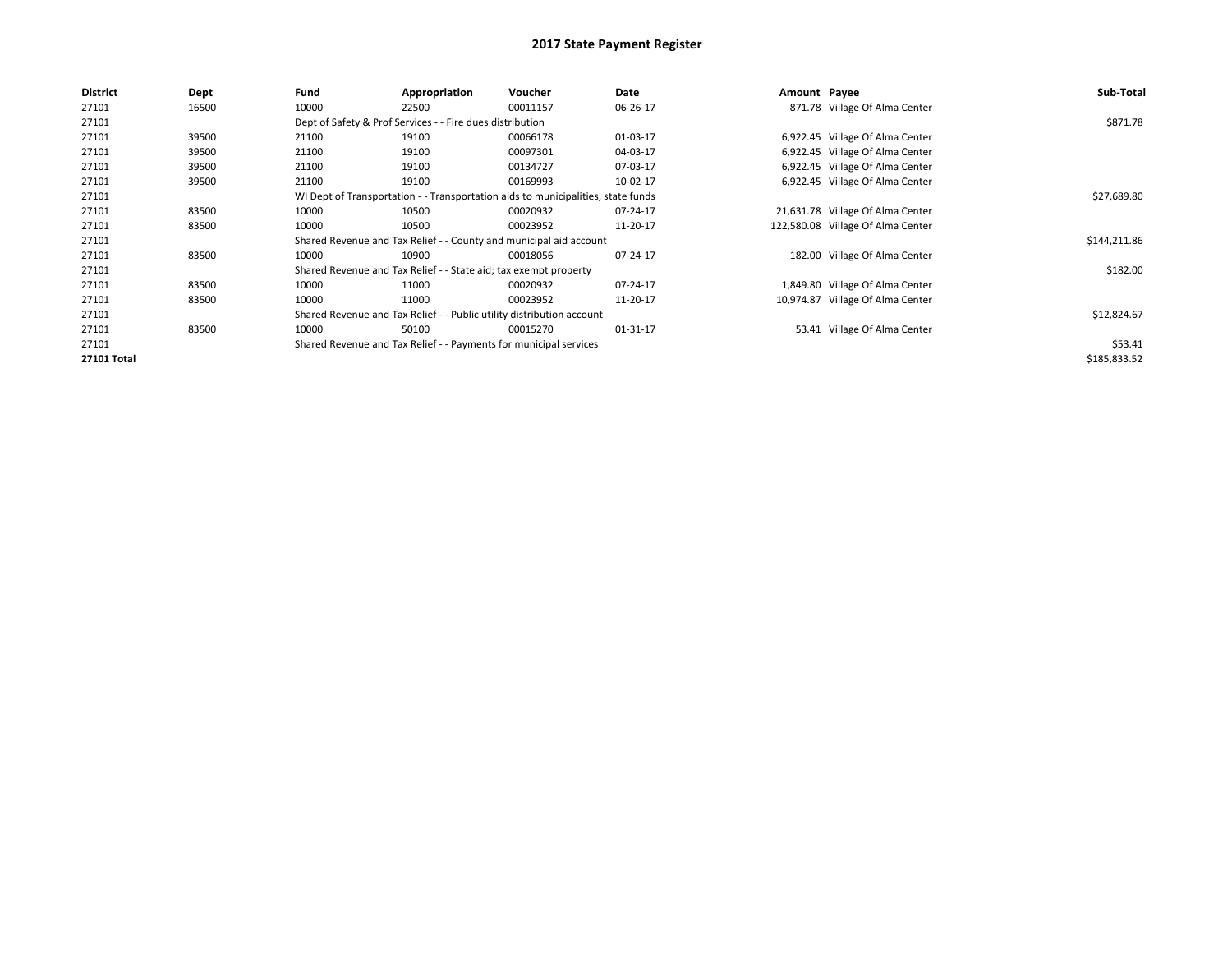| <b>District</b> | Dept  | Fund  | Appropriation                                                                    | Voucher  | Date     | Amount Payee |                                   | Sub-Total    |
|-----------------|-------|-------|----------------------------------------------------------------------------------|----------|----------|--------------|-----------------------------------|--------------|
| 27101           | 16500 | 10000 | 22500                                                                            | 00011157 | 06-26-17 |              | 871.78 Village Of Alma Center     |              |
| 27101           |       |       | Dept of Safety & Prof Services - - Fire dues distribution                        |          |          |              |                                   | \$871.78     |
| 27101           | 39500 | 21100 | 19100                                                                            | 00066178 | 01-03-17 |              | 6,922.45 Village Of Alma Center   |              |
| 27101           | 39500 | 21100 | 19100                                                                            | 00097301 | 04-03-17 |              | 6,922.45 Village Of Alma Center   |              |
| 27101           | 39500 | 21100 | 19100                                                                            | 00134727 | 07-03-17 |              | 6,922.45 Village Of Alma Center   |              |
| 27101           | 39500 | 21100 | 19100                                                                            | 00169993 | 10-02-17 |              | 6,922.45 Village Of Alma Center   |              |
| 27101           |       |       | WI Dept of Transportation - - Transportation aids to municipalities, state funds |          |          |              |                                   | \$27,689.80  |
| 27101           | 83500 | 10000 | 10500                                                                            | 00020932 | 07-24-17 |              | 21,631.78 Village Of Alma Center  |              |
| 27101           | 83500 | 10000 | 10500                                                                            | 00023952 | 11-20-17 |              | 122,580.08 Village Of Alma Center |              |
| 27101           |       |       | Shared Revenue and Tax Relief - - County and municipal aid account               |          |          |              |                                   | \$144,211.86 |
| 27101           | 83500 | 10000 | 10900                                                                            | 00018056 | 07-24-17 |              | 182.00 Village Of Alma Center     |              |
| 27101           |       |       | Shared Revenue and Tax Relief - - State aid; tax exempt property                 |          |          |              |                                   | \$182.00     |
| 27101           | 83500 | 10000 | 11000                                                                            | 00020932 | 07-24-17 |              | 1,849.80 Village Of Alma Center   |              |
| 27101           | 83500 | 10000 | 11000                                                                            | 00023952 | 11-20-17 |              | 10,974.87 Village Of Alma Center  |              |
| 27101           |       |       | Shared Revenue and Tax Relief - - Public utility distribution account            |          |          |              |                                   | \$12,824.67  |
| 27101           | 83500 | 10000 | 50100                                                                            | 00015270 | 01-31-17 |              | 53.41 Village Of Alma Center      |              |
| 27101           |       |       | Shared Revenue and Tax Relief - - Payments for municipal services                |          |          |              |                                   | \$53.41      |
| 27101 Total     |       |       |                                                                                  |          |          |              |                                   | \$185,833.52 |
|                 |       |       |                                                                                  |          |          |              |                                   |              |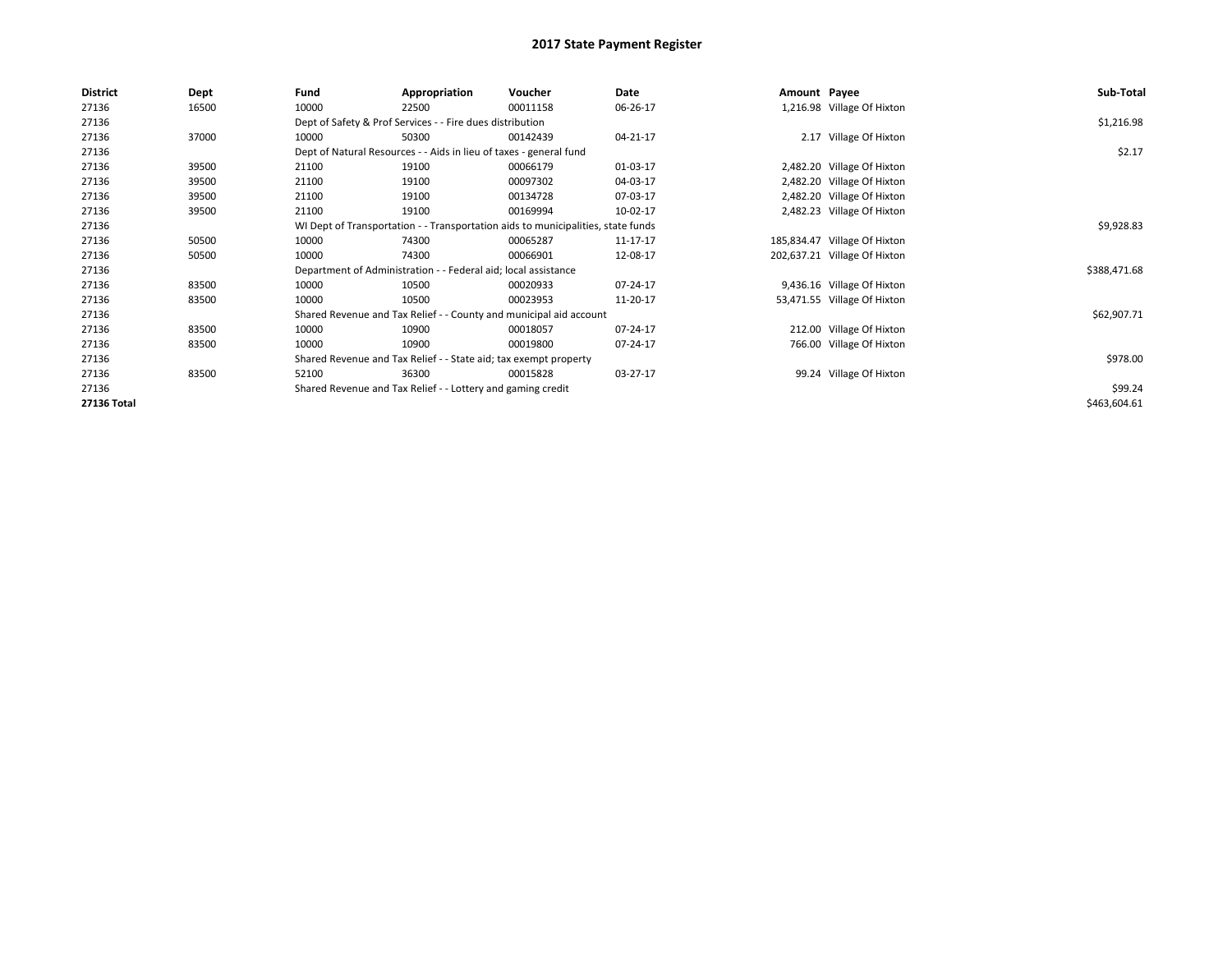| <b>District</b> | Dept  | Fund  | Appropriation                                                                    | Voucher  | Date     | Amount Payee |                              | Sub-Total    |
|-----------------|-------|-------|----------------------------------------------------------------------------------|----------|----------|--------------|------------------------------|--------------|
| 27136           | 16500 | 10000 | 22500                                                                            | 00011158 | 06-26-17 |              | 1,216.98 Village Of Hixton   |              |
| 27136           |       |       | Dept of Safety & Prof Services - - Fire dues distribution                        |          |          |              |                              | \$1,216.98   |
| 27136           | 37000 | 10000 | 50300                                                                            | 00142439 | 04-21-17 |              | 2.17 Village Of Hixton       |              |
| 27136           |       |       | Dept of Natural Resources - - Aids in lieu of taxes - general fund               |          |          |              |                              | \$2.17       |
| 27136           | 39500 | 21100 | 19100                                                                            | 00066179 | 01-03-17 |              | 2,482.20 Village Of Hixton   |              |
| 27136           | 39500 | 21100 | 19100                                                                            | 00097302 | 04-03-17 |              | 2,482.20 Village Of Hixton   |              |
| 27136           | 39500 | 21100 | 19100                                                                            | 00134728 | 07-03-17 |              | 2,482.20 Village Of Hixton   |              |
| 27136           | 39500 | 21100 | 19100                                                                            | 00169994 | 10-02-17 |              | 2,482.23 Village Of Hixton   |              |
| 27136           |       |       | WI Dept of Transportation - - Transportation aids to municipalities, state funds |          |          |              |                              | \$9,928.83   |
| 27136           | 50500 | 10000 | 74300                                                                            | 00065287 | 11-17-17 |              | 185,834.47 Village Of Hixton |              |
| 27136           | 50500 | 10000 | 74300                                                                            | 00066901 | 12-08-17 |              | 202,637.21 Village Of Hixton |              |
| 27136           |       |       | Department of Administration - - Federal aid; local assistance                   |          |          |              |                              | \$388,471.68 |
| 27136           | 83500 | 10000 | 10500                                                                            | 00020933 | 07-24-17 |              | 9,436.16 Village Of Hixton   |              |
| 27136           | 83500 | 10000 | 10500                                                                            | 00023953 | 11-20-17 |              | 53,471.55 Village Of Hixton  |              |
| 27136           |       |       | Shared Revenue and Tax Relief - - County and municipal aid account               |          |          |              |                              | \$62,907.71  |
| 27136           | 83500 | 10000 | 10900                                                                            | 00018057 | 07-24-17 |              | 212.00 Village Of Hixton     |              |
| 27136           | 83500 | 10000 | 10900                                                                            | 00019800 | 07-24-17 |              | 766.00 Village Of Hixton     |              |
| 27136           |       |       | Shared Revenue and Tax Relief - - State aid; tax exempt property                 |          |          |              |                              | \$978.00     |
| 27136           | 83500 | 52100 | 36300                                                                            | 00015828 | 03-27-17 |              | 99.24 Village Of Hixton      |              |
| 27136           |       |       | Shared Revenue and Tax Relief - - Lottery and gaming credit                      |          |          |              |                              | \$99.24      |
| 27136 Total     |       |       |                                                                                  |          |          |              |                              | \$463,604.61 |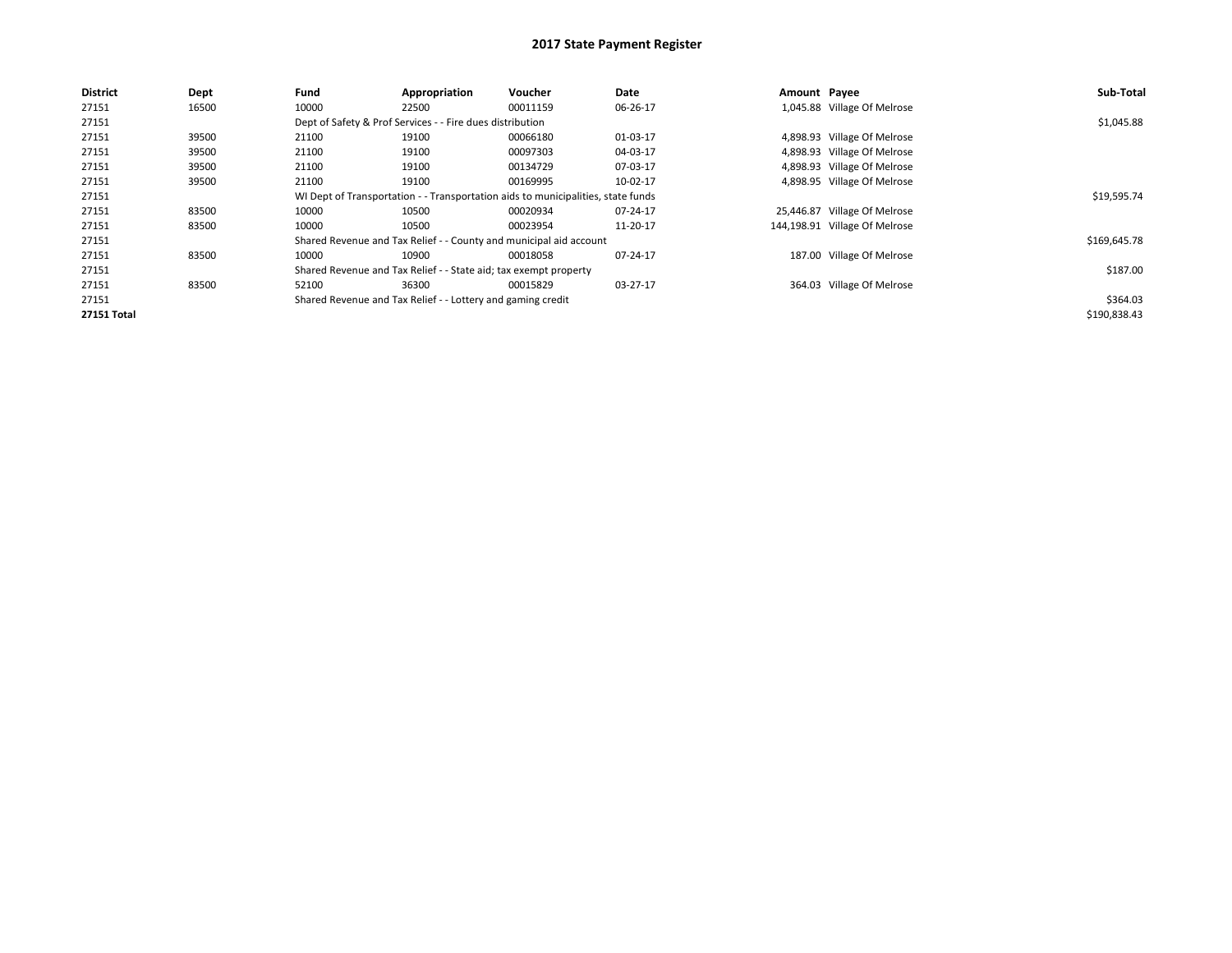| <b>District</b>    | Dept  | Fund                                                        | Appropriation                                                    | Voucher                                                                          | Date     | Amount Payee |                               | Sub-Total    |
|--------------------|-------|-------------------------------------------------------------|------------------------------------------------------------------|----------------------------------------------------------------------------------|----------|--------------|-------------------------------|--------------|
| 27151              | 16500 | 10000                                                       | 22500                                                            | 00011159                                                                         | 06-26-17 |              | 1,045.88 Village Of Melrose   |              |
| 27151              |       |                                                             | Dept of Safety & Prof Services - - Fire dues distribution        |                                                                                  |          |              |                               | \$1,045.88   |
| 27151              | 39500 | 21100                                                       | 19100                                                            | 00066180                                                                         | 01-03-17 |              | 4,898.93 Village Of Melrose   |              |
| 27151              | 39500 | 21100                                                       | 19100                                                            | 00097303                                                                         | 04-03-17 |              | 4,898.93 Village Of Melrose   |              |
| 27151              | 39500 | 21100                                                       | 19100                                                            | 00134729                                                                         | 07-03-17 |              | 4,898.93 Village Of Melrose   |              |
| 27151              | 39500 | 21100                                                       | 19100                                                            | 00169995                                                                         | 10-02-17 |              | 4,898.95 Village Of Melrose   |              |
| 27151              |       |                                                             |                                                                  | WI Dept of Transportation - - Transportation aids to municipalities, state funds |          |              |                               | \$19,595.74  |
| 27151              | 83500 | 10000                                                       | 10500                                                            | 00020934                                                                         | 07-24-17 |              | 25,446.87 Village Of Melrose  |              |
| 27151              | 83500 | 10000                                                       | 10500                                                            | 00023954                                                                         | 11-20-17 |              | 144,198.91 Village Of Melrose |              |
| 27151              |       |                                                             |                                                                  | Shared Revenue and Tax Relief - - County and municipal aid account               |          |              |                               | \$169,645.78 |
| 27151              | 83500 | 10000                                                       | 10900                                                            | 00018058                                                                         | 07-24-17 |              | 187.00 Village Of Melrose     |              |
| 27151              |       |                                                             | Shared Revenue and Tax Relief - - State aid; tax exempt property |                                                                                  |          |              |                               | \$187.00     |
| 27151              | 83500 | 52100                                                       | 36300                                                            | 00015829                                                                         | 03-27-17 |              | 364.03 Village Of Melrose     |              |
| 27151              |       | Shared Revenue and Tax Relief - - Lottery and gaming credit |                                                                  | \$364.03                                                                         |          |              |                               |              |
| <b>27151 Total</b> |       |                                                             |                                                                  |                                                                                  |          |              |                               | \$190,838.43 |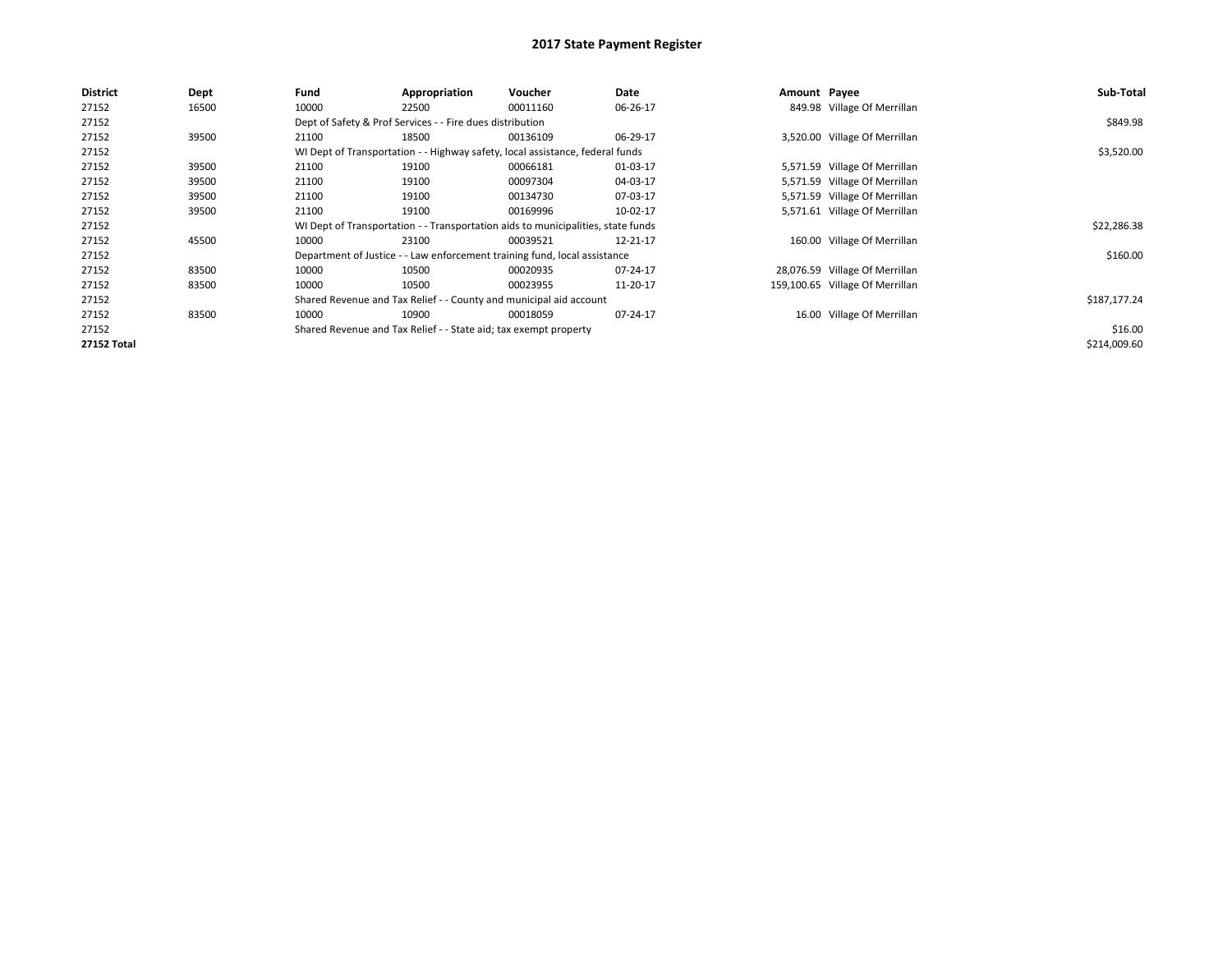| <b>District</b>    | Dept  | Fund  | Appropriation                                                    | Voucher                                                                          | Date     | Amount Payee |                                 | Sub-Total    |
|--------------------|-------|-------|------------------------------------------------------------------|----------------------------------------------------------------------------------|----------|--------------|---------------------------------|--------------|
| 27152              | 16500 | 10000 | 22500                                                            | 00011160                                                                         | 06-26-17 |              | 849.98 Village Of Merrillan     |              |
| 27152              |       |       | Dept of Safety & Prof Services - - Fire dues distribution        |                                                                                  |          |              |                                 | \$849.98     |
| 27152              | 39500 | 21100 | 18500                                                            | 00136109                                                                         | 06-29-17 |              | 3,520.00 Village Of Merrillan   |              |
| 27152              |       |       |                                                                  | WI Dept of Transportation - - Highway safety, local assistance, federal funds    |          |              |                                 | \$3,520.00   |
| 27152              | 39500 | 21100 | 19100                                                            | 00066181                                                                         | 01-03-17 |              | 5,571.59 Village Of Merrillan   |              |
| 27152              | 39500 | 21100 | 19100                                                            | 00097304                                                                         | 04-03-17 |              | 5,571.59 Village Of Merrillan   |              |
| 27152              | 39500 | 21100 | 19100                                                            | 00134730                                                                         | 07-03-17 |              | 5,571.59 Village Of Merrillan   |              |
| 27152              | 39500 | 21100 | 19100                                                            | 00169996                                                                         | 10-02-17 |              | 5,571.61 Village Of Merrillan   |              |
| 27152              |       |       |                                                                  | WI Dept of Transportation - - Transportation aids to municipalities, state funds |          |              |                                 | \$22,286.38  |
| 27152              | 45500 | 10000 | 23100                                                            | 00039521                                                                         | 12-21-17 |              | 160.00 Village Of Merrillan     |              |
| 27152              |       |       |                                                                  | Department of Justice - - Law enforcement training fund, local assistance        |          |              |                                 | \$160.00     |
| 27152              | 83500 | 10000 | 10500                                                            | 00020935                                                                         | 07-24-17 |              | 28,076.59 Village Of Merrillan  |              |
| 27152              | 83500 | 10000 | 10500                                                            | 00023955                                                                         | 11-20-17 |              | 159,100.65 Village Of Merrillan |              |
| 27152              |       |       |                                                                  | Shared Revenue and Tax Relief - - County and municipal aid account               |          |              |                                 | \$187,177.24 |
| 27152              | 83500 | 10000 | 10900                                                            | 00018059                                                                         | 07-24-17 |              | 16.00 Village Of Merrillan      |              |
| 27152              |       |       | Shared Revenue and Tax Relief - - State aid; tax exempt property |                                                                                  | \$16.00  |              |                                 |              |
| <b>27152 Total</b> |       |       |                                                                  |                                                                                  |          |              |                                 | \$214,009.60 |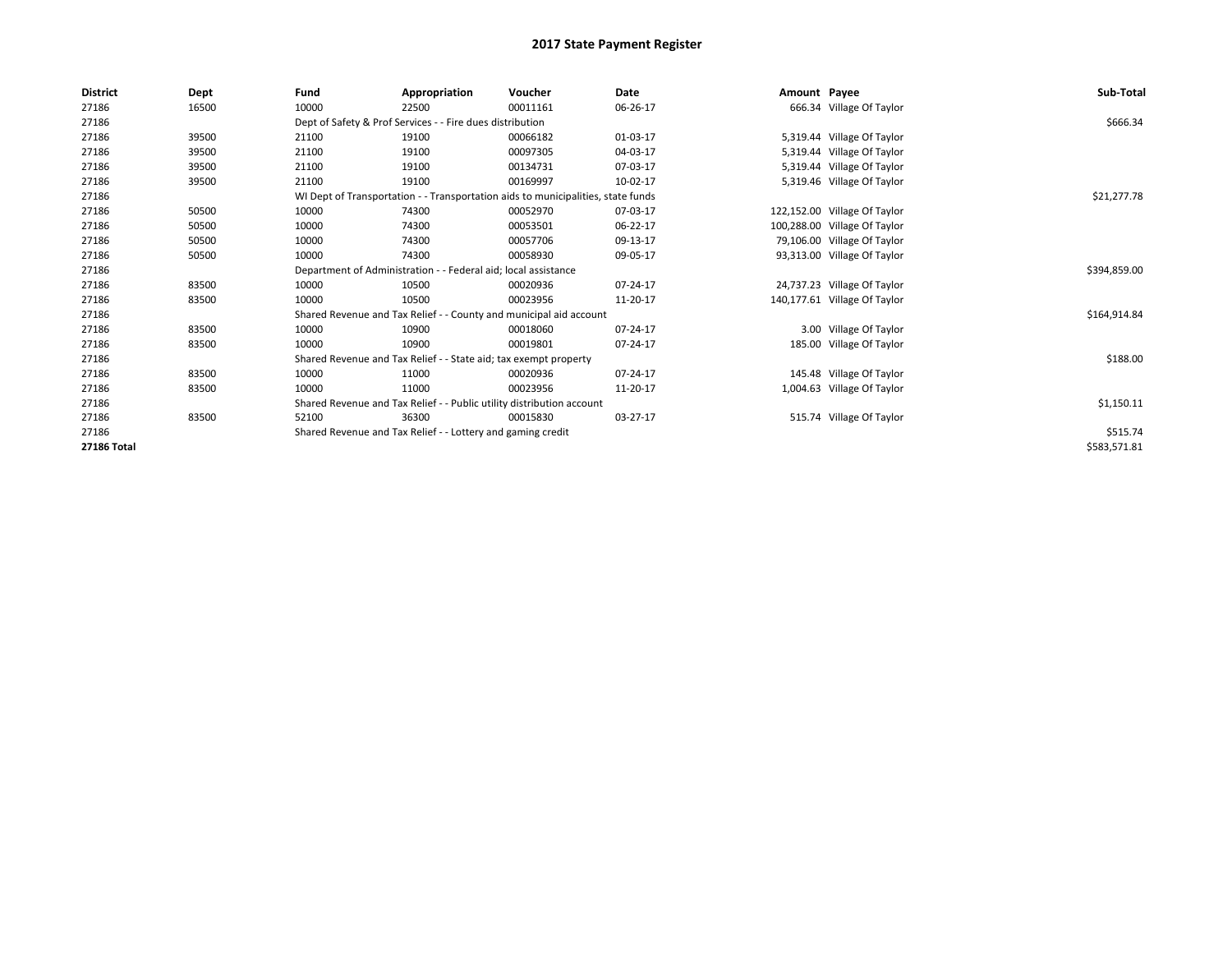| <b>District</b>    | Dept  | Fund  | Appropriation                                                                    | Voucher  | Date     | Amount Payee |                              | Sub-Total    |
|--------------------|-------|-------|----------------------------------------------------------------------------------|----------|----------|--------------|------------------------------|--------------|
| 27186              | 16500 | 10000 | 22500                                                                            | 00011161 | 06-26-17 |              | 666.34 Village Of Taylor     |              |
| 27186              |       |       | Dept of Safety & Prof Services - - Fire dues distribution                        |          |          |              |                              | \$666.34     |
| 27186              | 39500 | 21100 | 19100                                                                            | 00066182 | 01-03-17 |              | 5,319.44 Village Of Taylor   |              |
| 27186              | 39500 | 21100 | 19100                                                                            | 00097305 | 04-03-17 | 5,319.44     | Village Of Taylor            |              |
| 27186              | 39500 | 21100 | 19100                                                                            | 00134731 | 07-03-17 |              | 5,319.44 Village Of Taylor   |              |
| 27186              | 39500 | 21100 | 19100                                                                            | 00169997 | 10-02-17 |              | 5,319.46 Village Of Taylor   |              |
| 27186              |       |       | WI Dept of Transportation - - Transportation aids to municipalities, state funds |          |          |              |                              | \$21,277.78  |
| 27186              | 50500 | 10000 | 74300                                                                            | 00052970 | 07-03-17 |              | 122,152.00 Village Of Taylor |              |
| 27186              | 50500 | 10000 | 74300                                                                            | 00053501 | 06-22-17 |              | 100,288.00 Village Of Taylor |              |
| 27186              | 50500 | 10000 | 74300                                                                            | 00057706 | 09-13-17 |              | 79,106.00 Village Of Taylor  |              |
| 27186              | 50500 | 10000 | 74300                                                                            | 00058930 | 09-05-17 |              | 93,313.00 Village Of Taylor  |              |
| 27186              |       |       | Department of Administration - - Federal aid; local assistance                   |          |          |              |                              | \$394,859.00 |
| 27186              | 83500 | 10000 | 10500                                                                            | 00020936 | 07-24-17 |              | 24,737.23 Village Of Taylor  |              |
| 27186              | 83500 | 10000 | 10500                                                                            | 00023956 | 11-20-17 |              | 140,177.61 Village Of Taylor |              |
| 27186              |       |       | Shared Revenue and Tax Relief - - County and municipal aid account               |          |          |              |                              | \$164,914.84 |
| 27186              | 83500 | 10000 | 10900                                                                            | 00018060 | 07-24-17 |              | 3.00 Village Of Taylor       |              |
| 27186              | 83500 | 10000 | 10900                                                                            | 00019801 | 07-24-17 |              | 185.00 Village Of Taylor     |              |
| 27186              |       |       | Shared Revenue and Tax Relief - - State aid; tax exempt property                 |          |          |              |                              | \$188.00     |
| 27186              | 83500 | 10000 | 11000                                                                            | 00020936 | 07-24-17 |              | 145.48 Village Of Taylor     |              |
| 27186              | 83500 | 10000 | 11000                                                                            | 00023956 | 11-20-17 |              | 1,004.63 Village Of Taylor   |              |
| 27186              |       |       | Shared Revenue and Tax Relief - - Public utility distribution account            |          |          |              |                              | \$1,150.11   |
| 27186              | 83500 | 52100 | 36300                                                                            | 00015830 | 03-27-17 |              | 515.74 Village Of Taylor     |              |
| 27186              |       |       | Shared Revenue and Tax Relief - - Lottery and gaming credit                      |          |          |              |                              | \$515.74     |
| <b>27186 Total</b> |       |       |                                                                                  |          |          |              |                              | \$583,571.81 |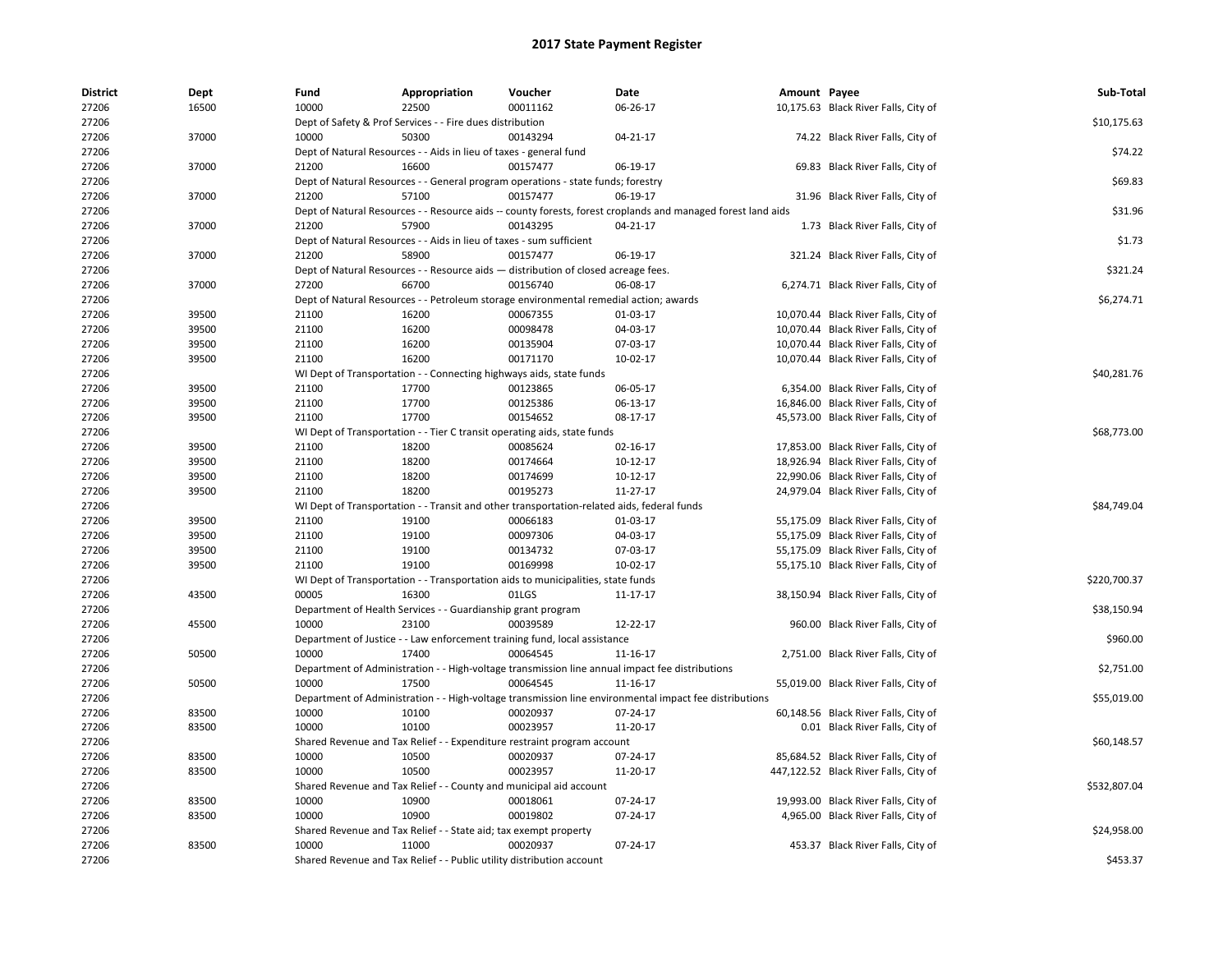| <b>District</b> | Dept  | Fund  | Appropriation                                                                              | Voucher  | Date                                                                                                         | Amount Payee |                                       | Sub-Total    |
|-----------------|-------|-------|--------------------------------------------------------------------------------------------|----------|--------------------------------------------------------------------------------------------------------------|--------------|---------------------------------------|--------------|
| 27206           | 16500 | 10000 | 22500                                                                                      | 00011162 | 06-26-17                                                                                                     |              | 10,175.63 Black River Falls, City of  |              |
| 27206           |       |       | Dept of Safety & Prof Services - - Fire dues distribution                                  |          |                                                                                                              |              |                                       | \$10,175.63  |
| 27206           | 37000 | 10000 | 50300                                                                                      | 00143294 | 04-21-17                                                                                                     |              | 74.22 Black River Falls, City of      |              |
| 27206           |       |       | Dept of Natural Resources - - Aids in lieu of taxes - general fund                         |          |                                                                                                              |              |                                       | \$74.22      |
| 27206           | 37000 | 21200 | 16600                                                                                      | 00157477 | 06-19-17                                                                                                     |              | 69.83 Black River Falls, City of      |              |
| 27206           |       |       | Dept of Natural Resources - - General program operations - state funds; forestry           |          |                                                                                                              |              |                                       | \$69.83      |
| 27206           | 37000 | 21200 | 57100                                                                                      | 00157477 | 06-19-17                                                                                                     |              | 31.96 Black River Falls, City of      |              |
| 27206           |       |       |                                                                                            |          | Dept of Natural Resources - - Resource aids -- county forests, forest croplands and managed forest land aids |              |                                       | \$31.96      |
| 27206           | 37000 | 21200 | 57900                                                                                      | 00143295 | 04-21-17                                                                                                     |              | 1.73 Black River Falls, City of       |              |
| 27206           |       |       | Dept of Natural Resources - - Aids in lieu of taxes - sum sufficient                       |          |                                                                                                              |              |                                       | \$1.73       |
| 27206           | 37000 | 21200 | 58900                                                                                      | 00157477 | 06-19-17                                                                                                     |              | 321.24 Black River Falls, City of     |              |
| 27206           |       |       | Dept of Natural Resources - - Resource aids - distribution of closed acreage fees.         |          |                                                                                                              |              |                                       | \$321.24     |
| 27206           | 37000 | 27200 | 66700                                                                                      | 00156740 | 06-08-17                                                                                                     |              | 6,274.71 Black River Falls, City of   |              |
| 27206           |       |       | Dept of Natural Resources - - Petroleum storage environmental remedial action; awards      |          |                                                                                                              |              |                                       | \$6,274.71   |
| 27206           | 39500 | 21100 | 16200                                                                                      | 00067355 | 01-03-17                                                                                                     |              | 10,070.44 Black River Falls, City of  |              |
| 27206           | 39500 | 21100 | 16200                                                                                      | 00098478 | 04-03-17                                                                                                     |              | 10,070.44 Black River Falls, City of  |              |
| 27206           | 39500 | 21100 | 16200                                                                                      | 00135904 | 07-03-17                                                                                                     |              | 10,070.44 Black River Falls, City of  |              |
| 27206           | 39500 | 21100 | 16200                                                                                      | 00171170 | 10-02-17                                                                                                     |              | 10,070.44 Black River Falls, City of  |              |
| 27206           |       |       | WI Dept of Transportation - - Connecting highways aids, state funds                        |          |                                                                                                              |              |                                       | \$40,281.76  |
| 27206           | 39500 | 21100 | 17700                                                                                      | 00123865 | 06-05-17                                                                                                     |              | 6,354.00 Black River Falls, City of   |              |
| 27206           | 39500 | 21100 | 17700                                                                                      | 00125386 | 06-13-17                                                                                                     |              | 16,846.00 Black River Falls, City of  |              |
| 27206           | 39500 | 21100 | 17700                                                                                      | 00154652 | 08-17-17                                                                                                     |              | 45,573.00 Black River Falls, City of  |              |
| 27206           |       |       | WI Dept of Transportation - - Tier C transit operating aids, state funds                   |          |                                                                                                              |              |                                       | \$68,773.00  |
| 27206           | 39500 | 21100 | 18200                                                                                      | 00085624 | 02-16-17                                                                                                     |              | 17,853.00 Black River Falls, City of  |              |
| 27206           | 39500 | 21100 | 18200                                                                                      | 00174664 | 10-12-17                                                                                                     |              | 18,926.94 Black River Falls, City of  |              |
| 27206           | 39500 | 21100 | 18200                                                                                      | 00174699 | 10-12-17                                                                                                     |              | 22,990.06 Black River Falls, City of  |              |
| 27206           | 39500 | 21100 | 18200                                                                                      | 00195273 | 11-27-17                                                                                                     |              | 24,979.04 Black River Falls, City of  |              |
| 27206           |       |       | WI Dept of Transportation - - Transit and other transportation-related aids, federal funds |          |                                                                                                              |              |                                       | \$84,749.04  |
| 27206           | 39500 | 21100 | 19100                                                                                      | 00066183 | 01-03-17                                                                                                     |              | 55,175.09 Black River Falls, City of  |              |
| 27206           | 39500 | 21100 | 19100                                                                                      | 00097306 | 04-03-17                                                                                                     |              | 55,175.09 Black River Falls, City of  |              |
| 27206           | 39500 | 21100 | 19100                                                                                      | 00134732 | 07-03-17                                                                                                     |              | 55,175.09 Black River Falls, City of  |              |
| 27206           | 39500 | 21100 | 19100                                                                                      | 00169998 | 10-02-17                                                                                                     |              | 55,175.10 Black River Falls, City of  |              |
| 27206           |       |       | WI Dept of Transportation - - Transportation aids to municipalities, state funds           |          |                                                                                                              |              |                                       | \$220,700.37 |
| 27206           | 43500 | 00005 | 16300                                                                                      | 01LGS    | 11-17-17                                                                                                     |              | 38,150.94 Black River Falls, City of  |              |
| 27206           |       |       | Department of Health Services - - Guardianship grant program                               |          |                                                                                                              |              |                                       | \$38,150.94  |
| 27206           | 45500 | 10000 | 23100                                                                                      | 00039589 | 12-22-17                                                                                                     |              | 960.00 Black River Falls, City of     |              |
| 27206           |       |       | Department of Justice - - Law enforcement training fund, local assistance                  |          |                                                                                                              |              |                                       | \$960.00     |
|                 |       |       | 17400                                                                                      | 00064545 |                                                                                                              |              |                                       |              |
| 27206           | 50500 | 10000 |                                                                                            |          | 11-16-17                                                                                                     |              | 2,751.00 Black River Falls, City of   |              |
| 27206           |       |       |                                                                                            |          | Department of Administration - - High-voltage transmission line annual impact fee distributions              |              |                                       | \$2,751.00   |
| 27206           | 50500 | 10000 | 17500                                                                                      | 00064545 | 11-16-17                                                                                                     |              | 55,019.00 Black River Falls, City of  |              |
| 27206           |       |       |                                                                                            |          | Department of Administration - - High-voltage transmission line environmental impact fee distributions       |              |                                       | \$55,019.00  |
| 27206           | 83500 | 10000 | 10100                                                                                      | 00020937 | 07-24-17                                                                                                     |              | 60,148.56 Black River Falls, City of  |              |
| 27206           | 83500 | 10000 | 10100                                                                                      | 00023957 | 11-20-17                                                                                                     |              | 0.01 Black River Falls, City of       |              |
| 27206           |       |       | Shared Revenue and Tax Relief - - Expenditure restraint program account                    |          |                                                                                                              |              |                                       | \$60,148.57  |
| 27206           | 83500 | 10000 | 10500                                                                                      | 00020937 | 07-24-17                                                                                                     |              | 85,684.52 Black River Falls, City of  |              |
| 27206           | 83500 | 10000 | 10500                                                                                      | 00023957 | 11-20-17                                                                                                     |              | 447,122.52 Black River Falls, City of |              |
| 27206           |       |       | Shared Revenue and Tax Relief - - County and municipal aid account                         |          |                                                                                                              |              |                                       | \$532,807.04 |
| 27206           | 83500 | 10000 | 10900                                                                                      | 00018061 | 07-24-17                                                                                                     |              | 19,993.00 Black River Falls, City of  |              |
| 27206           | 83500 | 10000 | 10900                                                                                      | 00019802 | 07-24-17                                                                                                     |              | 4,965.00 Black River Falls, City of   |              |
| 27206           |       |       | Shared Revenue and Tax Relief - - State aid; tax exempt property                           |          |                                                                                                              |              |                                       | \$24,958.00  |
| 27206           | 83500 | 10000 | 11000                                                                                      | 00020937 | $07 - 24 - 17$                                                                                               |              | 453.37 Black River Falls, City of     |              |
| 27206           |       |       | Shared Revenue and Tax Relief - - Public utility distribution account                      |          |                                                                                                              |              |                                       | \$453.37     |